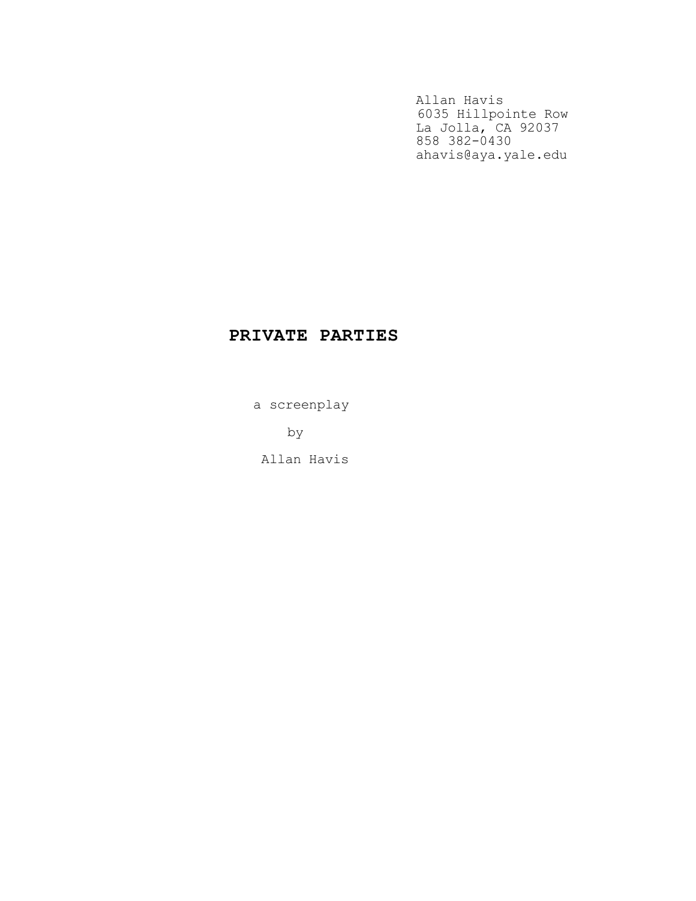Allan Havis 6035 Hillpointe Row La Jolla, CA 92037 858 382-0430 ahavis@aya.yale.edu

# PRIVATE PARTIES

a screenplay

by

Allan Havis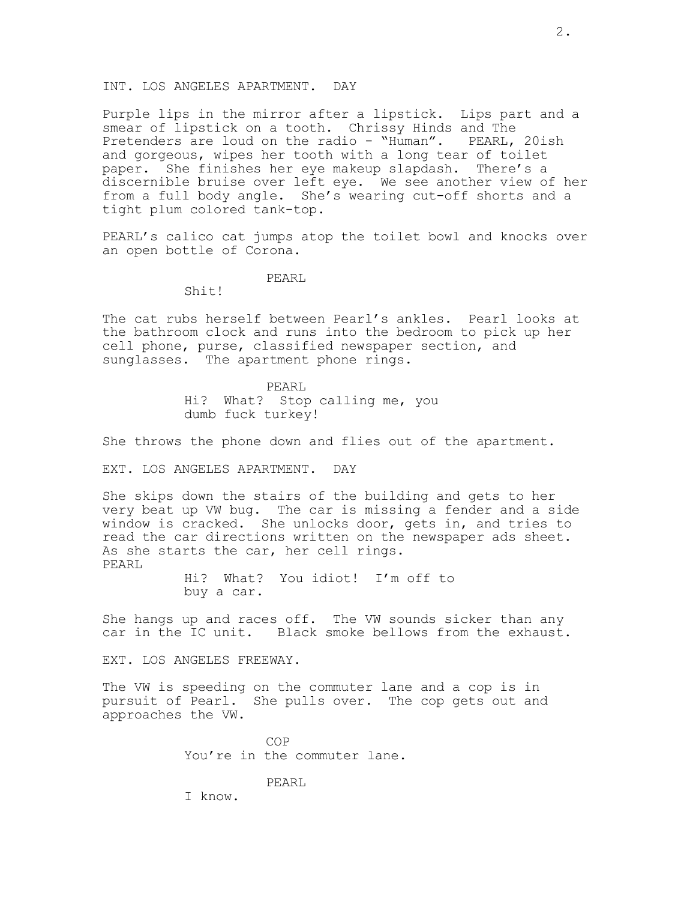#### INT. LOS ANGELES APARTMENT. DAY

Purple lips in the mirror after a lipstick. Lips part and a smear of lipstick on a tooth. Chrissy Hinds and The Pretenders are loud on the radio - "Human". PEARL, 20ish and gorgeous, wipes her tooth with a long tear of toilet paper. She finishes her eye makeup slapdash. There's a discernible bruise over left eye. We see another view of her from a full body angle. She's wearing cut-off shorts and a tight plum colored tank-top.

PEARL's calico cat jumps atop the toilet bowl and knocks over an open bottle of Corona.

#### PEARL

## Shit!

The cat rubs herself between Pearl's ankles. Pearl looks at the bathroom clock and runs into the bedroom to pick up her cell phone, purse, classified newspaper section, and sunglasses. The apartment phone rings.

> PEARL Hi? What? Stop calling me, you dumb fuck turkey!

She throws the phone down and flies out of the apartment.

#### EXT. LOS ANGELES APARTMENT. DAY

She skips down the stairs of the building and gets to her very beat up VW bug. The car is missing a fender and a side window is cracked. She unlocks door, gets in, and tries to read the car directions written on the newspaper ads sheet. As she starts the car, her cell rings. PEARL

> Hi? What? You idiot! I'm off to buy a car.

She hangs up and races off. The VW sounds sicker than any car in the IC unit. Black smoke bellows from the exhaust.

EXT. LOS ANGELES FREEWAY.

The VW is speeding on the commuter lane and a cop is in pursuit of Pearl. She pulls over. The cop gets out and approaches the VW.

> COP You're in the commuter lane.

## PEARL

I know.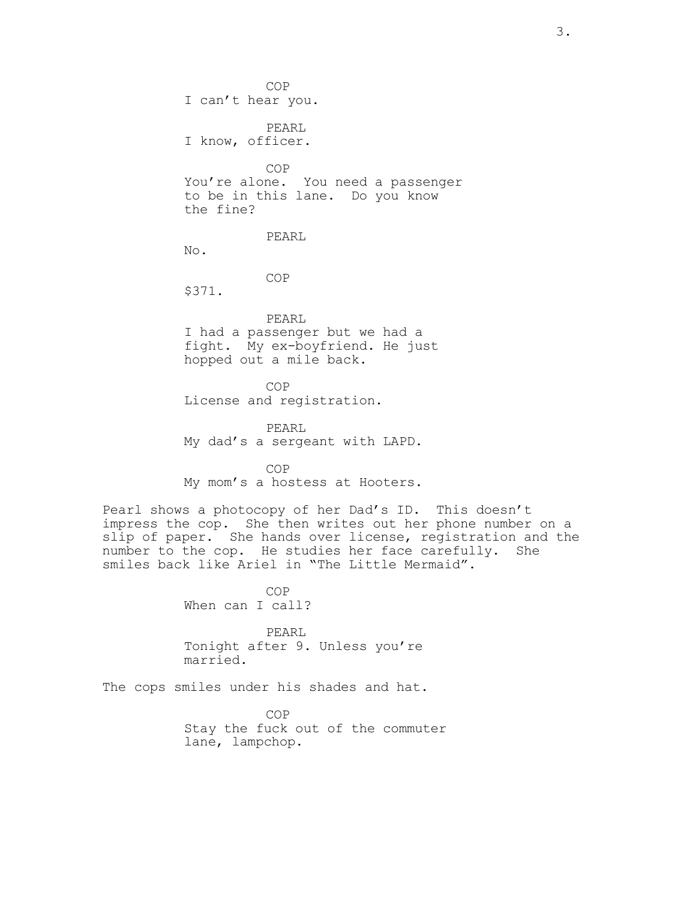COP I can't hear you. PEARL I know, officer.

COP You're alone. You need a passenger to be in this lane. Do you know the fine?

PEARL

No.

COP

\$371.

PEARL I had a passenger but we had a fight. My ex-boyfriend. He just hopped out a mile back.

COP License and registration.

PEARL My dad's a sergeant with LAPD.

COP My mom's a hostess at Hooters.

Pearl shows a photocopy of her Dad's ID. This doesn't impress the cop. She then writes out her phone number on a slip of paper. She hands over license, registration and the number to the cop. He studies her face carefully. She smiles back like Ariel in "The Little Mermaid".

> COP When can I call?

PEARL Tonight after 9. Unless you're married.

The cops smiles under his shades and hat.

COP Stay the fuck out of the commuter lane, lampchop.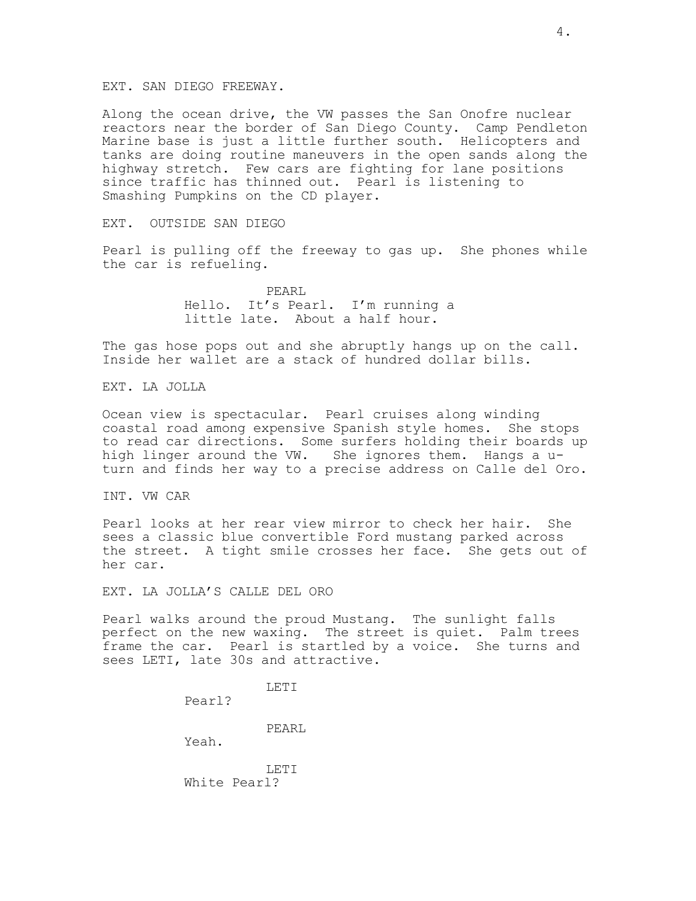#### EXT. SAN DIEGO FREEWAY.

Along the ocean drive, the VW passes the San Onofre nuclear reactors near the border of San Diego County. Camp Pendleton Marine base is just a little further south. Helicopters and tanks are doing routine maneuvers in the open sands along the highway stretch. Few cars are fighting for lane positions since traffic has thinned out. Pearl is listening to Smashing Pumpkins on the CD player.

EXT. OUTSIDE SAN DIEGO

Pearl is pulling off the freeway to gas up. She phones while the car is refueling.

> PEARL Hello. It's Pearl. I'm running a little late. About a half hour.

The gas hose pops out and she abruptly hangs up on the call. Inside her wallet are a stack of hundred dollar bills.

EXT. LA JOLLA

Ocean view is spectacular. Pearl cruises along winding coastal road among expensive Spanish style homes. She stops to read car directions. Some surfers holding their boards up high linger around the VW. She ignores them. Hangs a uturn and finds her way to a precise address on Calle del Oro.

INT. VW CAR

Pearl looks at her rear view mirror to check her hair. She sees a classic blue convertible Ford mustang parked across the street. A tight smile crosses her face. She gets out of her car.

EXT. LA JOLLA'S CALLE DEL ORO

Pearl walks around the proud Mustang. The sunlight falls perfect on the new waxing. The street is quiet. Palm trees frame the car. Pearl is startled by a voice. She turns and sees LETI, late 30s and attractive.

LETI

Pearl?

PEARL

Yeah.

LETI White Pearl?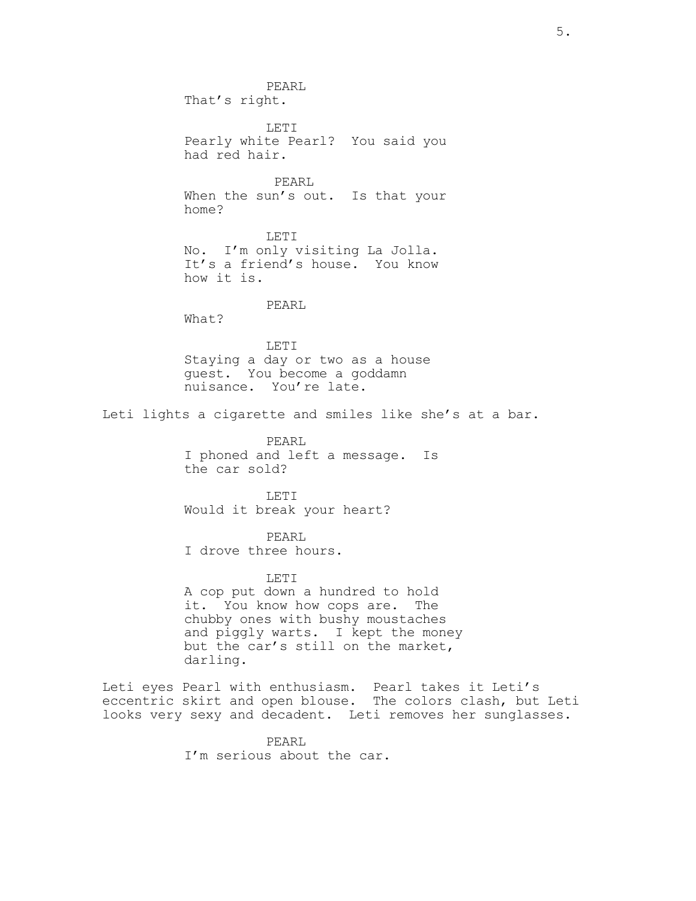PEARL That's right. LETI Pearly white Pearl? You said you had red hair. PEARL When the sun's out. Is that your home? LETI No. I'm only visiting La Jolla. It's a friend's house. You know how it is. PEARL What? LETI Staying a day or two as a house guest. You become a goddamn nuisance. You're late. Leti lights a cigarette and smiles like she's at a bar. PEARL I phoned and left a message. Is the car sold? LETI Would it break your heart? PEARL I drove three hours. LETI A cop put down a hundred to hold it. You know how cops are. The chubby ones with bushy moustaches and piggly warts. I kept the money but the car's still on the market, darling. Leti eyes Pearl with enthusiasm. Pearl takes it Leti's eccentric skirt and open blouse. The colors clash, but Leti looks very sexy and decadent. Leti removes her sunglasses.

PEARL I'm serious about the car.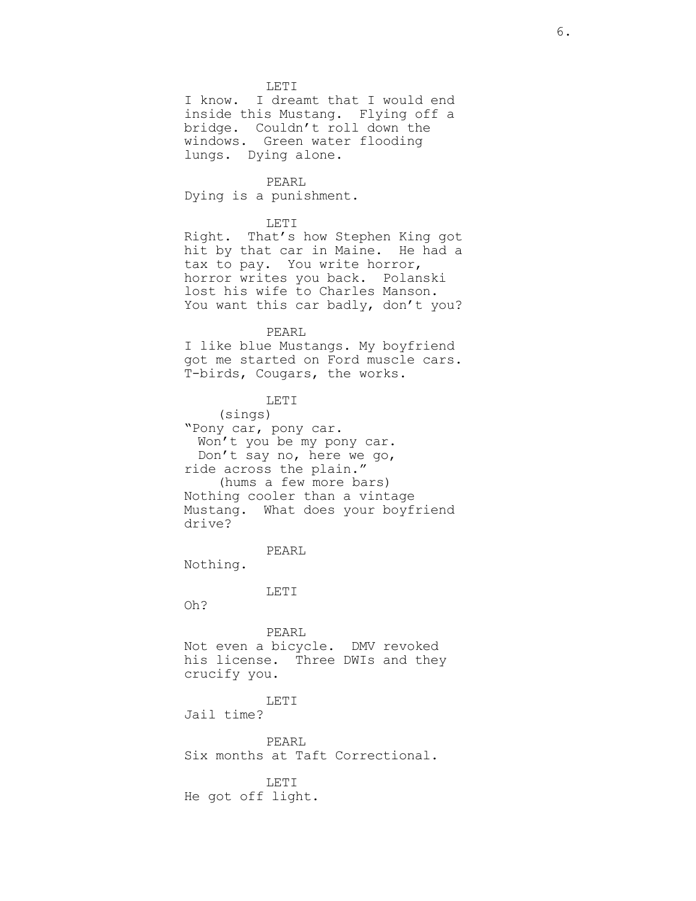LETI

I know. I dreamt that I would end inside this Mustang. Flying off a bridge. Couldn't roll down the windows. Green water flooding lungs. Dying alone.

PEARL Dying is a punishment.

# LETI

Right. That's how Stephen King got hit by that car in Maine. He had a tax to pay. You write horror, horror writes you back. Polanski lost his wife to Charles Manson. You want this car badly, don't you?

## PEARL

I like blue Mustangs. My boyfriend got me started on Ford muscle cars. T-birds, Cougars, the works.

# LETI

(sings) "Pony car, pony car. Won't you be my pony car. Don't say no, here we go, ride across the plain." (hums a few more bars) Nothing cooler than a vintage Mustang. What does your boyfriend drive?

# PEARL

Nothing.

#### LETI

Oh?

PEARL Not even a bicycle. DMV revoked his license. Three DWIs and they crucify you.

# LETI

Jail time?

PEARL Six months at Taft Correctional.

LETI He got off light.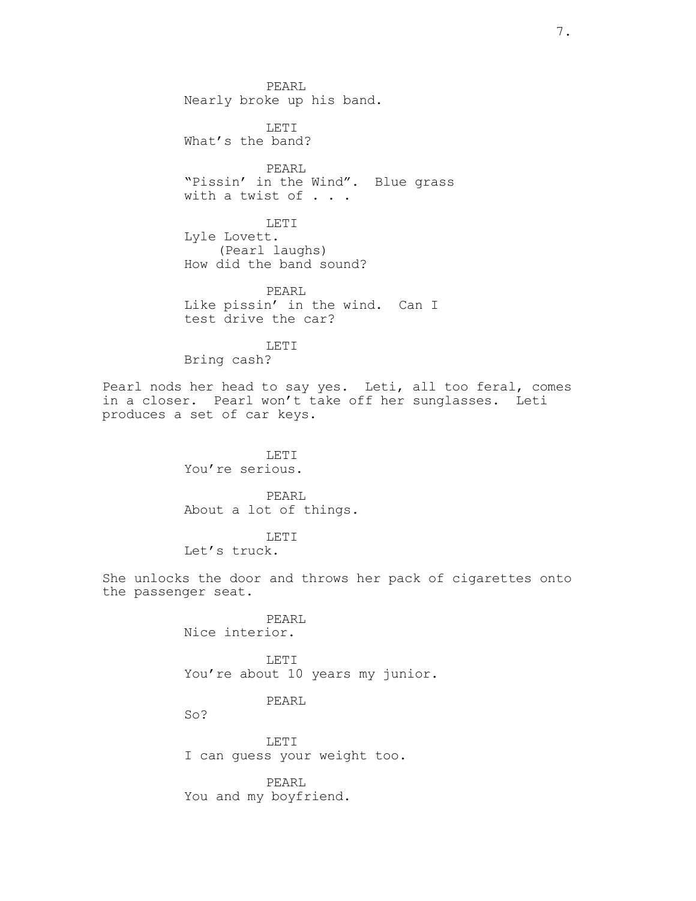PEARL Nearly broke up his band. LETI What's the band? PEARL "Pissin' in the Wind". Blue grass with a twist of . . . LETI Lyle Lovett. (Pearl laughs) How did the band sound? PEARL Like pissin' in the wind. Can I test drive the car? LETI Bring cash? Pearl nods her head to say yes. Leti, all too feral, comes in a closer. Pearl won't take off her sunglasses. Leti produces a set of car keys. LETI You're serious. PEARL About a lot of things. LETI Let's truck. She unlocks the door and throws her pack of cigarettes onto the passenger seat. PEARL Nice interior. LETI You're about 10 years my junior. PEARL So? LETI

> PEARL You and my boyfriend.

I can guess your weight too.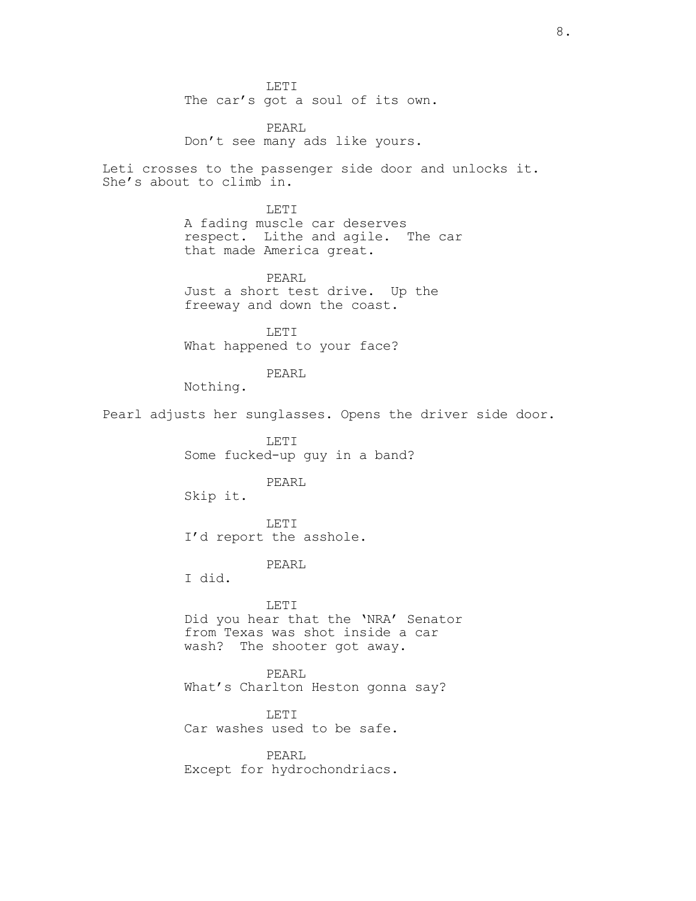LETI The car's got a soul of its own.

PEARL Don't see many ads like yours.

Leti crosses to the passenger side door and unlocks it. She's about to climb in.

> LETI A fading muscle car deserves respect. Lithe and agile. The car that made America great.

PEARL Just a short test drive. Up the freeway and down the coast.

LETI What happened to your face?

PEARL

Nothing.

Pearl adjusts her sunglasses. Opens the driver side door.

LETI Some fucked-up guy in a band?

## PEARL

Skip it.

LETI I'd report the asshole.

PEARL

I did.

LETI Did you hear that the 'NRA' Senator from Texas was shot inside a car wash? The shooter got away.

PEARL What's Charlton Heston gonna say?

LETI Car washes used to be safe.

PEARL Except for hydrochondriacs.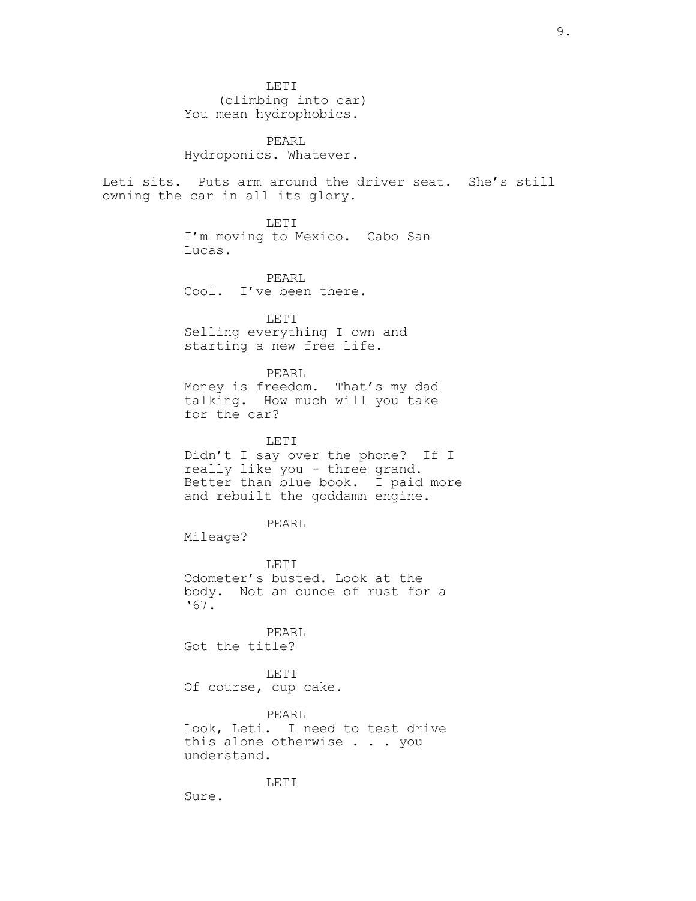LETI (climbing into car) You mean hydrophobics.

PEARL Hydroponics. Whatever.

Leti sits. Puts arm around the driver seat. She's still owning the car in all its glory.

> LETI I'm moving to Mexico. Cabo San Lucas.

PEARL Cool. I've been there.

LETI Selling everything I own and starting a new free life.

# PEARL

Money is freedom. That's my dad talking. How much will you take for the car?

#### LETI

Didn't I say over the phone? If I really like you - three grand. Better than blue book. I paid more and rebuilt the goddamn engine.

#### PEARL

Mileage?

#### LETI

Odometer's busted. Look at the body. Not an ounce of rust for a '67.

PEARL Got the title?

LETI

Of course, cup cake.

## PEARL

Look, Leti. I need to test drive this alone otherwise . . . you understand.

#### LETI

Sure.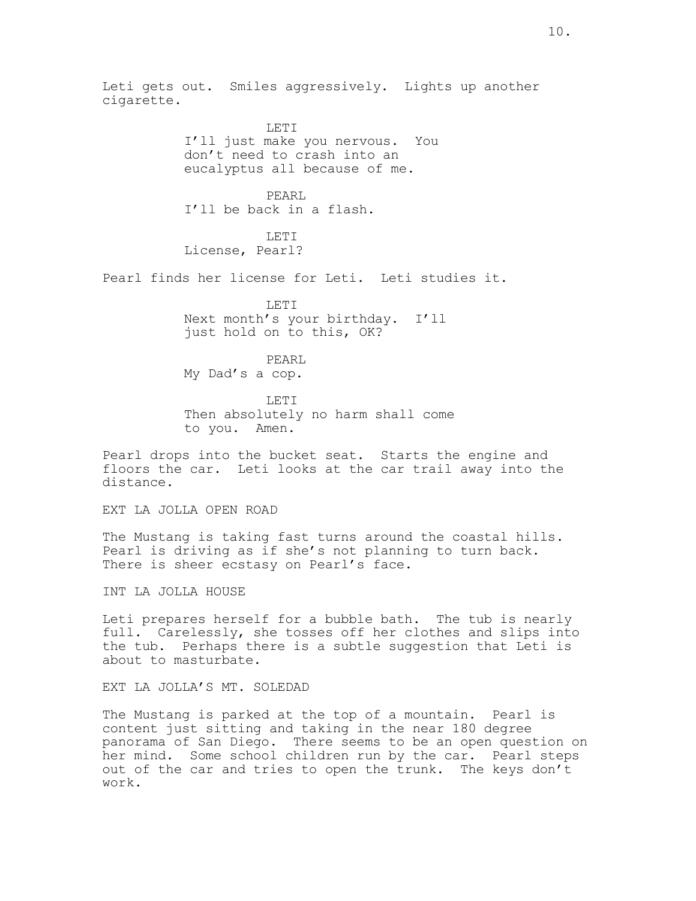Leti gets out. Smiles aggressively. Lights up another cigarette.

> LETI I'll just make you nervous. You don't need to crash into an eucalyptus all because of me.

PEARL I'll be back in a flash.

LETI License, Pearl?

Pearl finds her license for Leti. Leti studies it.

LETT. Next month's your birthday. I'll just hold on to this, OK?

PEARL My Dad's a cop.

LETI Then absolutely no harm shall come to you. Amen.

Pearl drops into the bucket seat. Starts the engine and floors the car. Leti looks at the car trail away into the distance.

EXT LA JOLLA OPEN ROAD

The Mustang is taking fast turns around the coastal hills. Pearl is driving as if she's not planning to turn back. There is sheer ecstasy on Pearl's face.

INT LA JOLLA HOUSE

Leti prepares herself for a bubble bath. The tub is nearly full. Carelessly, she tosses off her clothes and slips into the tub. Perhaps there is a subtle suggestion that Leti is about to masturbate.

EXT LA JOLLA'S MT. SOLEDAD

The Mustang is parked at the top of a mountain. Pearl is content just sitting and taking in the near 180 degree panorama of San Diego. There seems to be an open question on her mind. Some school children run by the car. Pearl steps out of the car and tries to open the trunk. The keys don't work.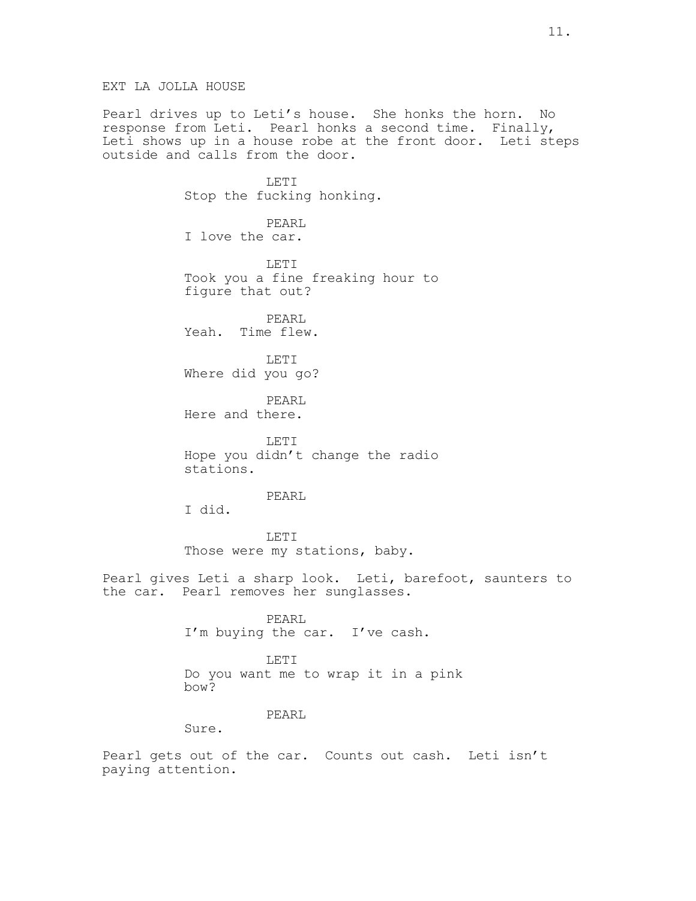EXT LA JOLLA HOUSE

Pearl drives up to Leti's house. She honks the horn. No response from Leti. Pearl honks a second time. Finally, Leti shows up in a house robe at the front door. Leti steps outside and calls from the door.

> LETT. Stop the fucking honking.

PEARL I love the car.

LETI Took you a fine freaking hour to figure that out?

PEARL Yeah. Time flew.

LETI Where did you go?

PEARL Here and there.

LETI Hope you didn't change the radio stations.

# PEARL

I did.

LETI Those were my stations, baby.

Pearl gives Leti a sharp look. Leti, barefoot, saunters to the car. Pearl removes her sunglasses.

> PEARL I'm buying the car. I've cash.

LETI Do you want me to wrap it in a pink bow?

# PEARL

Sure.

Pearl gets out of the car. Counts out cash. Leti isn't paying attention.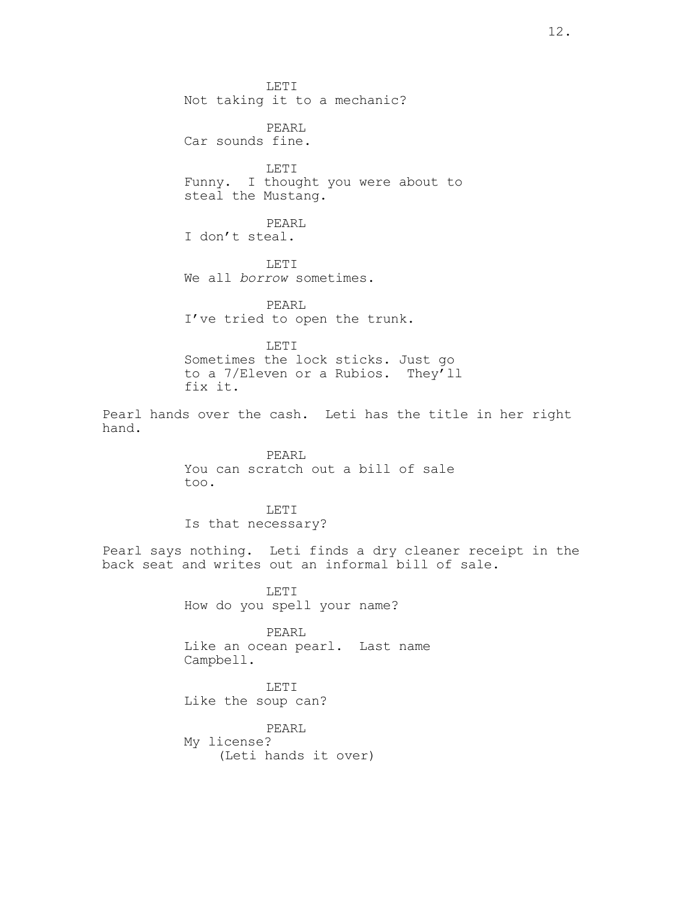LETI Not taking it to a mechanic? PEARL Car sounds fine. LETI Funny. I thought you were about to steal the Mustang. PEARL I don't steal. LETI We all borrow sometimes. PEARL I've tried to open the trunk. LETI Sometimes the lock sticks. Just go to a 7/Eleven or a Rubios. They'll fix it. Pearl hands over the cash. Leti has the title in her right hand. PEARL You can scratch out a bill of sale too. LETI Is that necessary? Pearl says nothing. Leti finds a dry cleaner receipt in the back seat and writes out an informal bill of sale. LETI How do you spell your name? PEARL Like an ocean pearl. Last name Campbell. LETI Like the soup can? PEARL My license? (Leti hands it over)

12.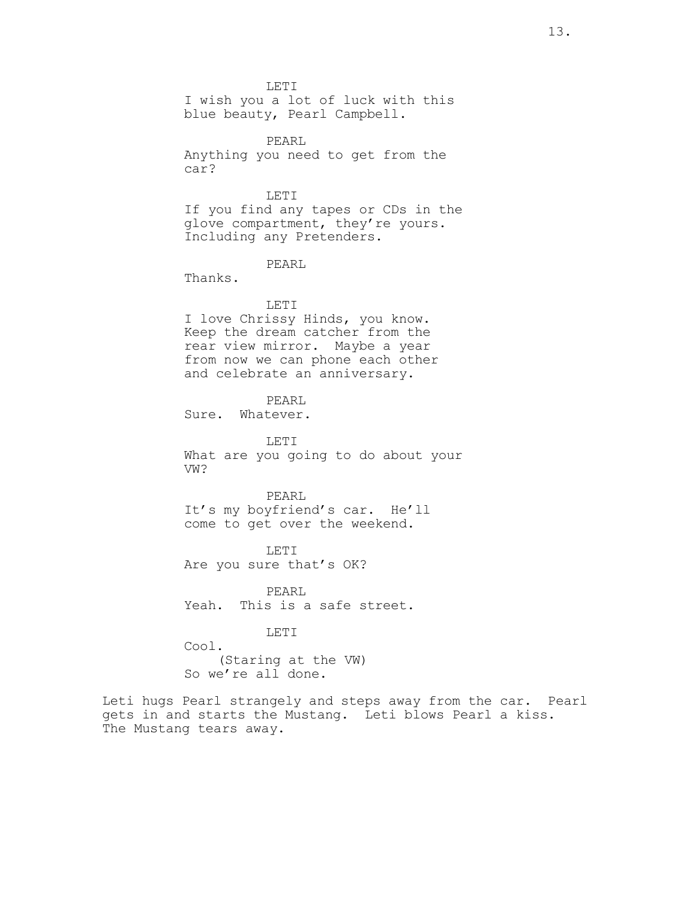LETI

I wish you a lot of luck with this blue beauty, Pearl Campbell.

PEARL Anything you need to get from the car?

LETI If you find any tapes or CDs in the glove compartment, they're yours. Including any Pretenders.

# PEARL

Thanks.

# LETI

I love Chrissy Hinds, you know. Keep the dream catcher from the rear view mirror. Maybe a year from now we can phone each other and celebrate an anniversary.

PEARL

Sure. Whatever.

LETI What are you going to do about your VW?

PEARL It's my boyfriend's car. He'll come to get over the weekend.

LETI Are you sure that's OK?

PEARL Yeah. This is a safe street.

## LETI

Cool. (Staring at the VW) So we're all done.

Leti hugs Pearl strangely and steps away from the car. Pearl gets in and starts the Mustang. Leti blows Pearl a kiss. The Mustang tears away.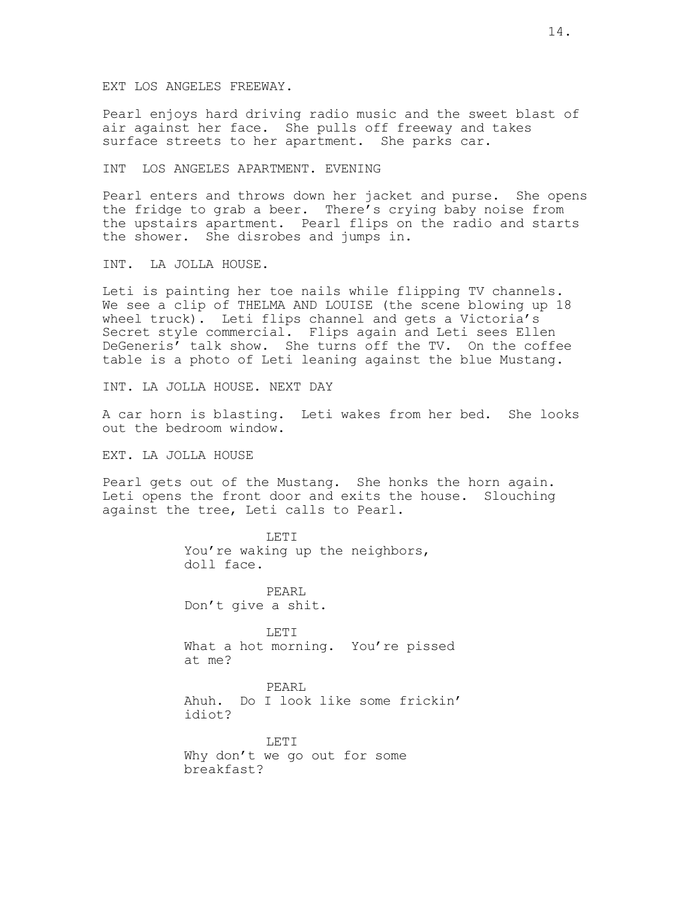EXT LOS ANGELES FREEWAY.

Pearl enjoys hard driving radio music and the sweet blast of air against her face. She pulls off freeway and takes surface streets to her apartment. She parks car.

INT LOS ANGELES APARTMENT. EVENING

Pearl enters and throws down her jacket and purse. She opens the fridge to grab a beer. There's crying baby noise from the upstairs apartment. Pearl flips on the radio and starts the shower. She disrobes and jumps in.

INT. LA JOLLA HOUSE.

Leti is painting her toe nails while flipping TV channels. We see a clip of THELMA AND LOUISE (the scene blowing up 18 wheel truck). Leti flips channel and gets a Victoria's Secret style commercial. Flips again and Leti sees Ellen DeGeneris' talk show. She turns off the TV. On the coffee table is a photo of Leti leaning against the blue Mustang.

INT. LA JOLLA HOUSE. NEXT DAY

A car horn is blasting. Leti wakes from her bed. She looks out the bedroom window.

EXT. LA JOLLA HOUSE

Pearl gets out of the Mustang. She honks the horn again. Leti opens the front door and exits the house. Slouching against the tree, Leti calls to Pearl.

> LETI You're waking up the neighbors, doll face.

PEARL Don't give a shit.

LETI What a hot morning. You're pissed at me?

PEARL Ahuh. Do I look like some frickin' idiot?

LETI Why don't we go out for some breakfast?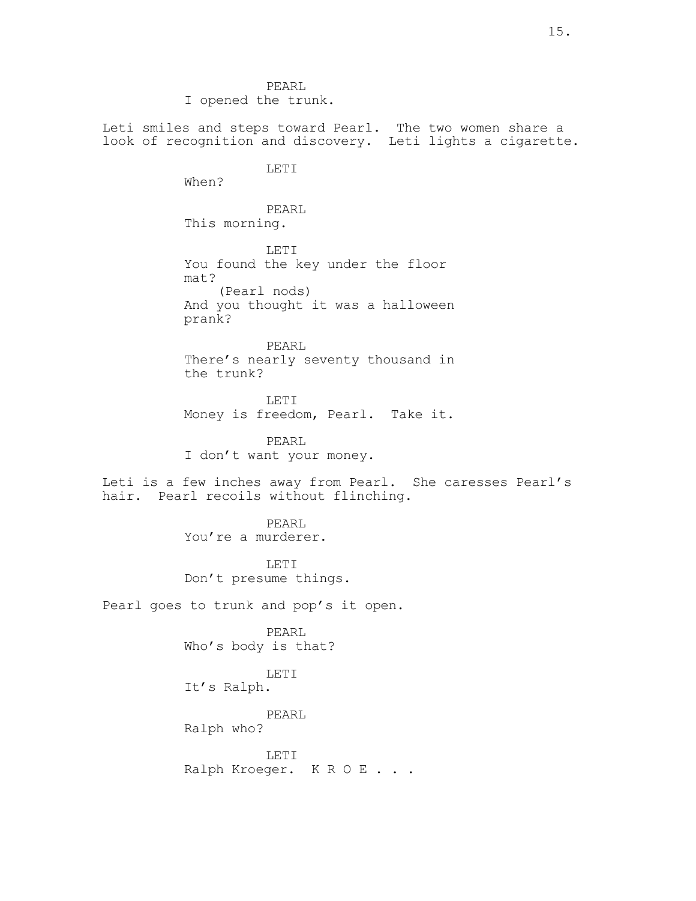PEARL I opened the trunk. Leti smiles and steps toward Pearl. The two women share a look of recognition and discovery. Leti lights a cigarette. LETI When? PEARL This morning. LETI You found the key under the floor mat? (Pearl nods) And you thought it was a halloween prank? PEARL There's nearly seventy thousand in the trunk? LETI Money is freedom, Pearl. Take it. PEARL I don't want your money. Leti is a few inches away from Pearl. She caresses Pearl's hair. Pearl recoils without flinching. PEARL You're a murderer. LETI Don't presume things. Pearl goes to trunk and pop's it open. PEARL Who's body is that? LETI It's Ralph. PEARL Ralph who? LETI Ralph Kroeger. K R O E . . .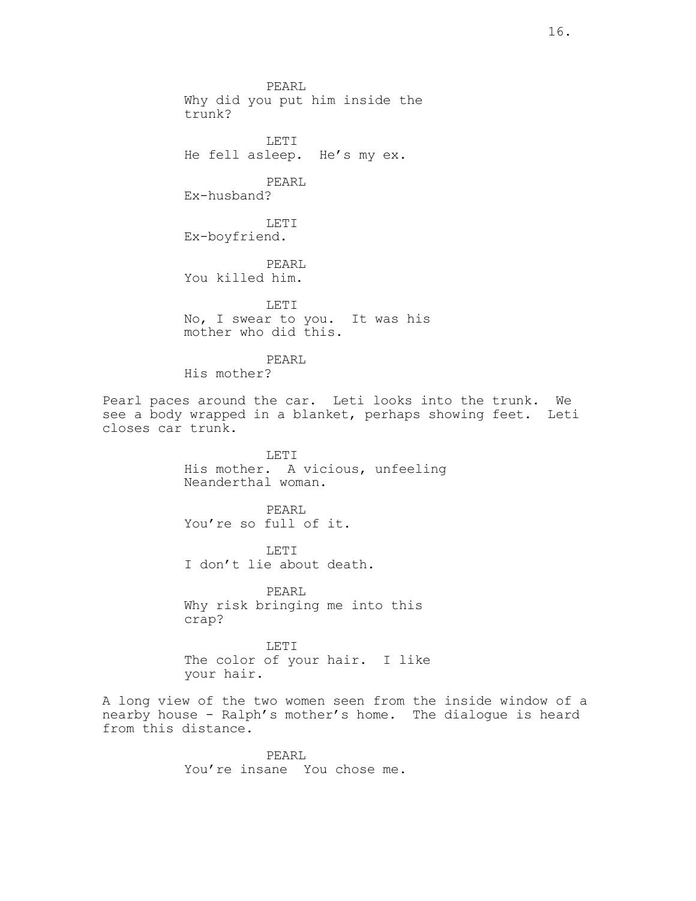PEARL Why did you put him inside the trunk? LETI He fell asleep. He's my ex. PEARL Ex-husband? LETI Ex-boyfriend. PEARL You killed him. LETI No, I swear to you. It was his mother who did this. PEARL His mother? Pearl paces around the car. Leti looks into the trunk. We see a body wrapped in a blanket, perhaps showing feet. Leti closes car trunk. LETI His mother. A vicious, unfeeling Neanderthal woman. PEARL You're so full of it. LETI I don't lie about death. PEARL Why risk bringing me into this crap? LETI The color of your hair. I like your hair. A long view of the two women seen from the inside window of a nearby house - Ralph's mother's home. The dialogue is heard from this distance.

> PEARL You're insane You chose me.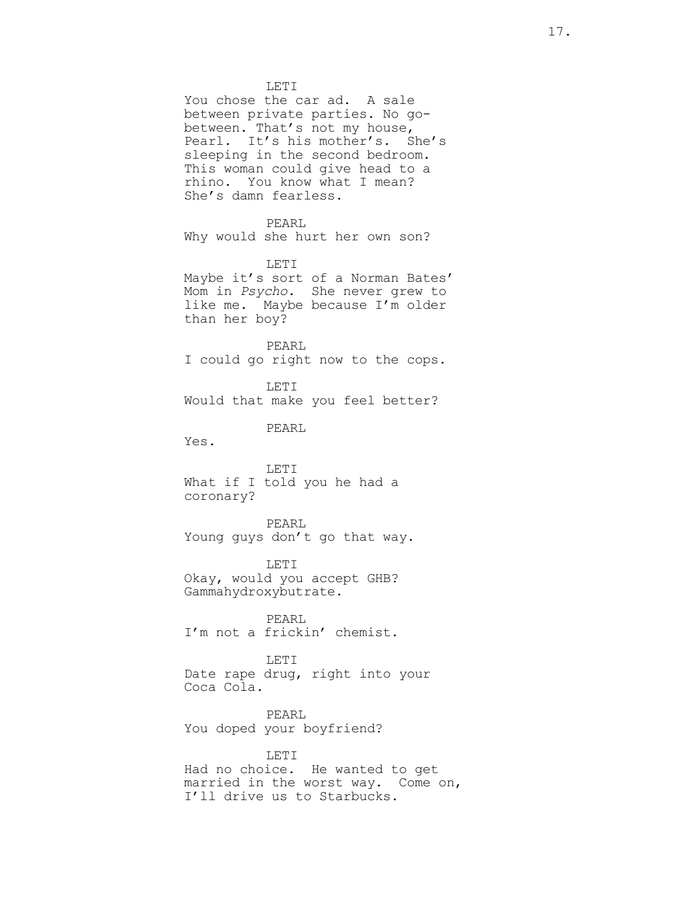LETI You chose the car ad. A sale between private parties. No gobetween. That's not my house, Pearl. It's his mother's. She's sleeping in the second bedroom. This woman could give head to a rhino. You know what I mean? She's damn fearless. PEARL Why would she hurt her own son? LETI Maybe it's sort of a Norman Bates' Mom in Psycho. She never grew to like me. Maybe because I'm older than her boy? PEARL I could go right now to the cops. LETI Would that make you feel better? PEARL Yes. LETI What if I told you he had a coronary? PEARL Young guys don't go that way. LETI Okay, would you accept GHB? Gammahydroxybutrate. PEARL I'm not a frickin' chemist. LETI Date rape drug, right into your Coca Cola. PEARL You doped your boyfriend? LETI Had no choice. He wanted to get married in the worst way. Come on, I'll drive us to Starbucks.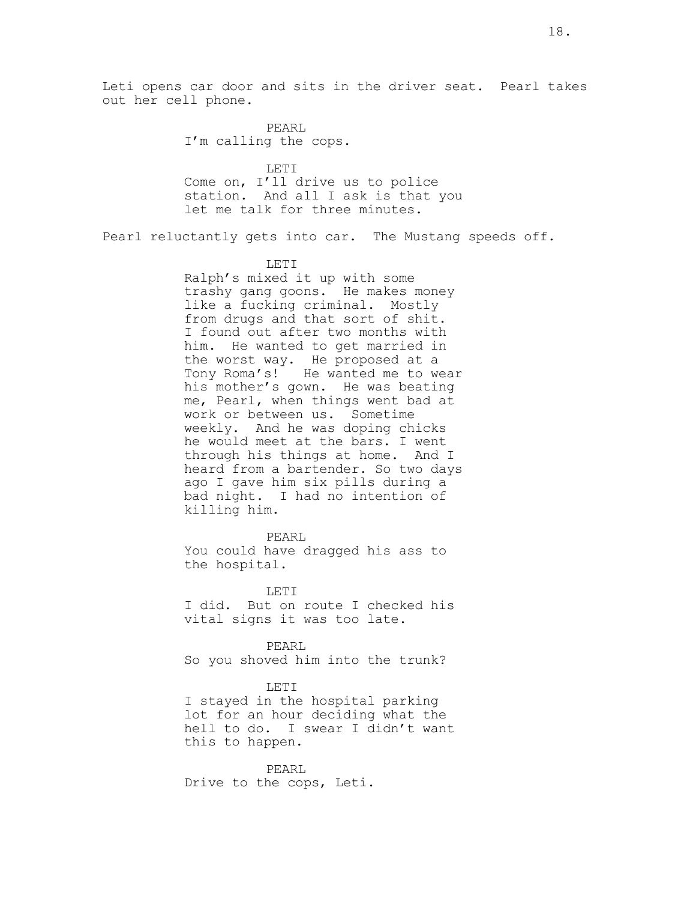PEARL I'm calling the cops.

LETI Come on, I'll drive us to police station. And all I ask is that you let me talk for three minutes.

Pearl reluctantly gets into car. The Mustang speeds off.

#### LETI

Ralph's mixed it up with some trashy gang goons. He makes money like a fucking criminal. Mostly from drugs and that sort of shit. I found out after two months with him. He wanted to get married in the worst way. He proposed at a Tony Roma's! He wanted me to wear his mother's gown. He was beating me, Pearl, when things went bad at work or between us. Sometime weekly. And he was doping chicks he would meet at the bars. I went through his things at home. And I heard from a bartender. So two days ago I gave him six pills during a bad night. I had no intention of killing him.

#### PEARL

You could have dragged his ass to the hospital.

LETT. I did. But on route I checked his vital signs it was too late.

PEARL So you shoved him into the trunk?

### LETI

I stayed in the hospital parking lot for an hour deciding what the hell to do. I swear I didn't want this to happen.

PEARL Drive to the cops, Leti.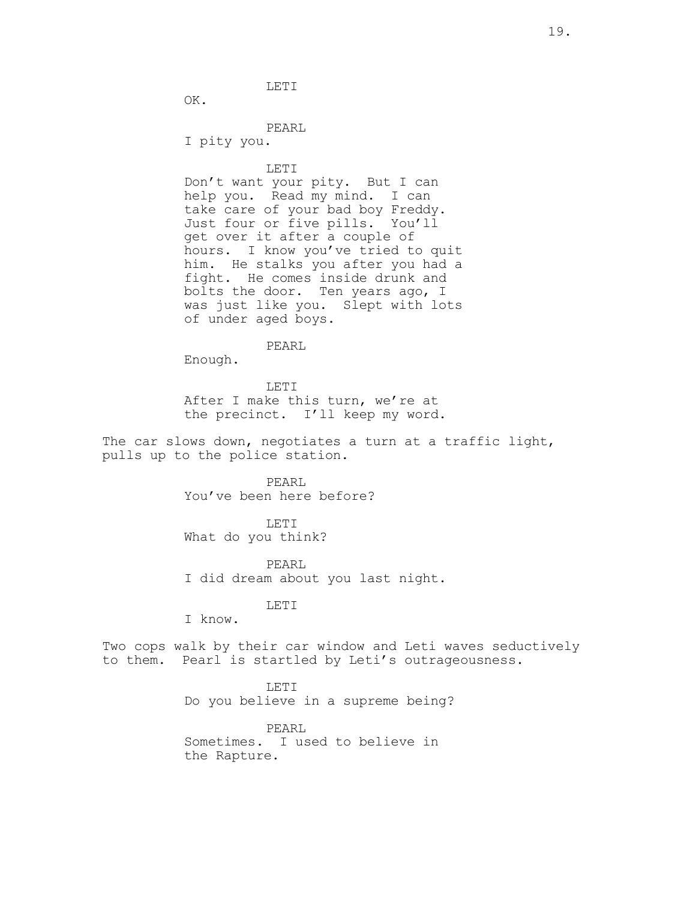LETI

OK.

PEARL

I pity you.

LETI

Don't want your pity. But I can help you. Read my mind. I can take care of your bad boy Freddy. Just four or five pills. You'll get over it after a couple of hours. I know you've tried to quit him. He stalks you after you had a fight. He comes inside drunk and bolts the door. Ten years ago, I was just like you. Slept with lots of under aged boys.

PEARL

Enough.

LETI After I make this turn, we're at the precinct. I'll keep my word.

The car slows down, negotiates a turn at a traffic light, pulls up to the police station.

> PEARL You've been here before?

LETI What do you think?

PEARL I did dream about you last night.

# LETI

I know.

Two cops walk by their car window and Leti waves seductively to them. Pearl is startled by Leti's outrageousness.

> LETI Do you believe in a supreme being?

PEARL Sometimes. I used to believe in the Rapture.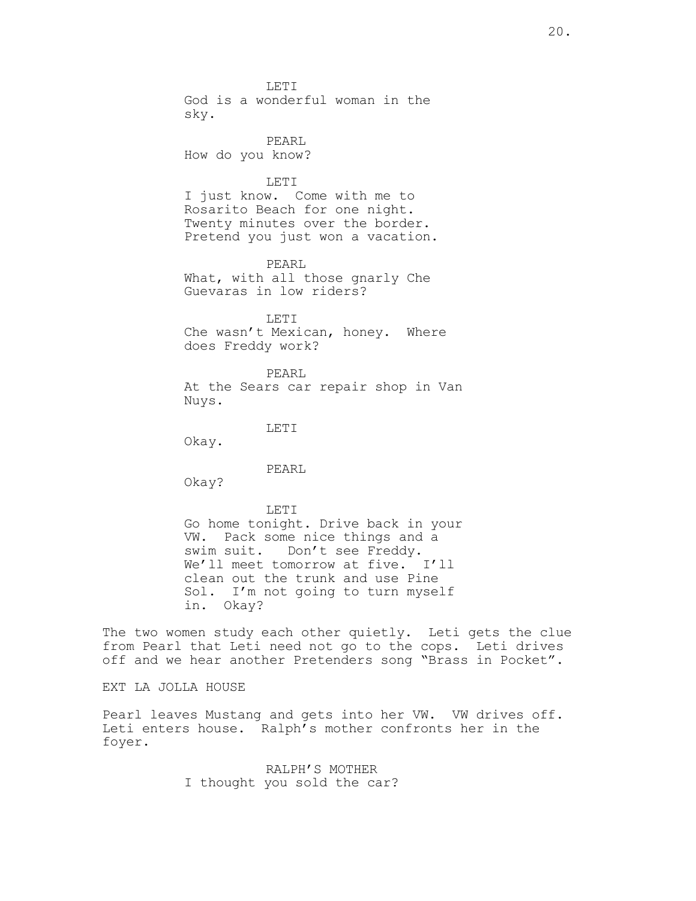LETI God is a wonderful woman in the sky. PEARL How do you know? LETI I just know. Come with me to Rosarito Beach for one night. Twenty minutes over the border. Pretend you just won a vacation. PEARL What, with all those gnarly Che Guevaras in low riders? LETI Che wasn't Mexican, honey. Where does Freddy work? PEARL At the Sears car repair shop in Van Nuys. LETI Okay. PEARL Okay? LETT. Go home tonight. Drive back in your VW. Pack some nice things and a swim suit. Don't see Freddy. We'll meet tomorrow at five. I'll clean out the trunk and use Pine Sol. I'm not going to turn myself in. Okay?

The two women study each other quietly. Leti gets the clue from Pearl that Leti need not go to the cops. Leti drives off and we hear another Pretenders song "Brass in Pocket".

EXT LA JOLLA HOUSE

Pearl leaves Mustang and gets into her VW. VW drives off. Leti enters house. Ralph's mother confronts her in the foyer.

> RALPH'S MOTHER I thought you sold the car?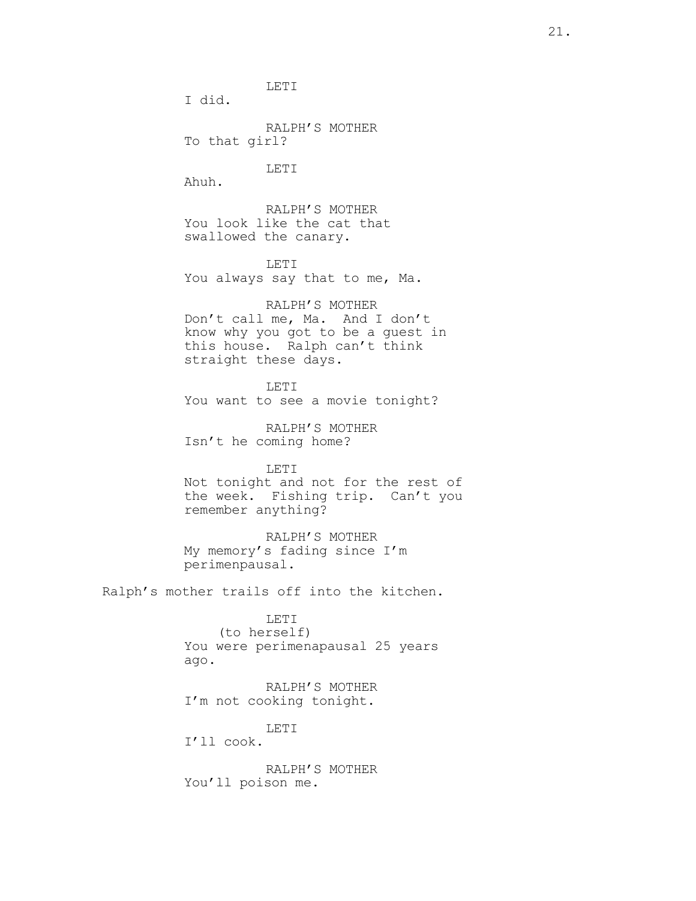LETI

I did.

RALPH'S MOTHER To that girl?

LETI

Ahuh.

RALPH'S MOTHER You look like the cat that swallowed the canary.

LETI You always say that to me, Ma.

RALPH'S MOTHER Don't call me, Ma. And I don't know why you got to be a guest in this house. Ralph can't think straight these days.

LETI You want to see a movie tonight?

RALPH'S MOTHER Isn't he coming home?

LETI Not tonight and not for the rest of the week. Fishing trip. Can't you remember anything?

RALPH'S MOTHER My memory's fading since I'm perimenpausal.

Ralph's mother trails off into the kitchen.

LETI (to herself) You were perimenapausal 25 years ago.

RALPH'S MOTHER I'm not cooking tonight.

LETI

I'll cook.

RALPH'S MOTHER You'll poison me.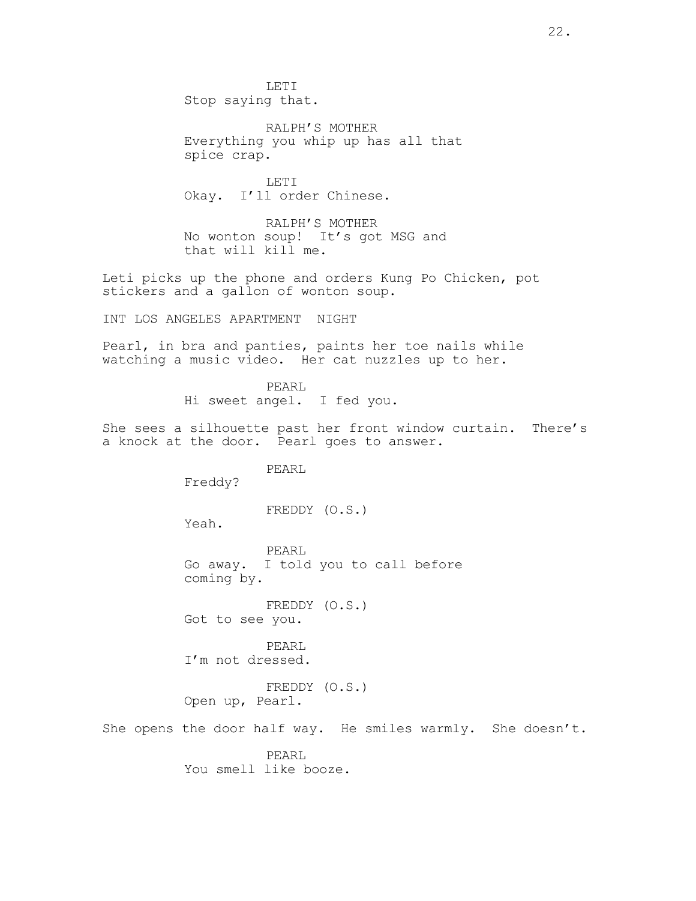LETI Stop saying that.

RALPH'S MOTHER Everything you whip up has all that spice crap.

LETI Okay. I'll order Chinese.

RALPH'S MOTHER No wonton soup! It's got MSG and that will kill me.

Leti picks up the phone and orders Kung Po Chicken, pot stickers and a gallon of wonton soup.

INT LOS ANGELES APARTMENT NIGHT

Pearl, in bra and panties, paints her toe nails while watching a music video. Her cat nuzzles up to her.

> PEARL Hi sweet angel. I fed you.

She sees a silhouette past her front window curtain. There's a knock at the door. Pearl goes to answer.

PEARL

Freddy?

FREDDY (O.S.)

Yeah.

PEARL Go away. I told you to call before coming by.

FREDDY (O.S.) Got to see you.

PEARL I'm not dressed.

FREDDY (O.S.) Open up, Pearl.

She opens the door half way. He smiles warmly. She doesn't.

PEARL You smell like booze.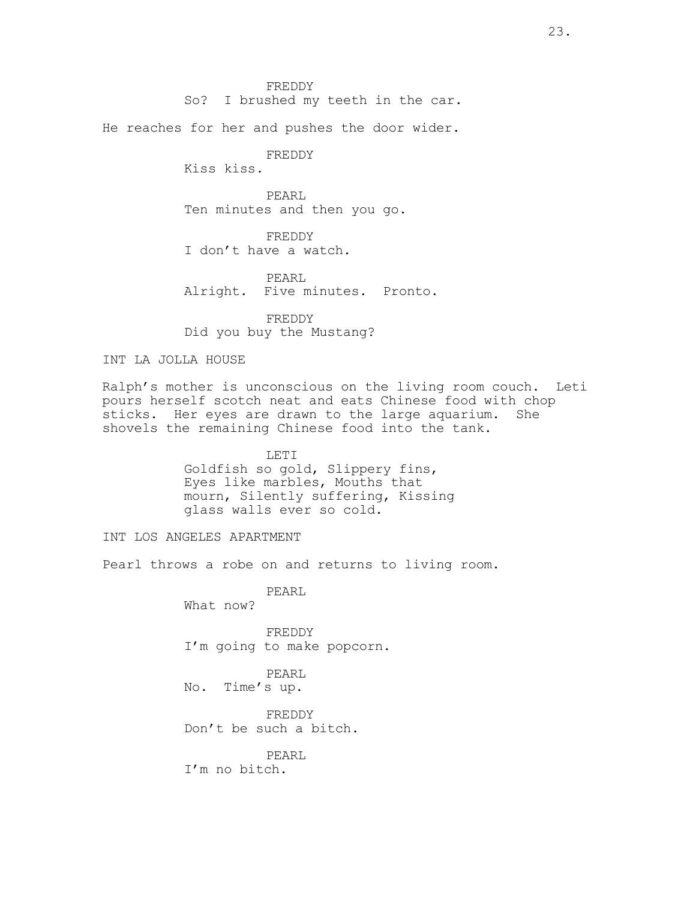FREDDY

So? I brushed my teeth in the car.

He reaches for her and pushes the door wider.

FREDDY

Kiss kiss.

PEARL Ten minutes and then you go.

FREDDY I don't have a watch.

PEARL Alright. Five minutes. Pronto.

FREDDY Did you buy the Mustang?

## INT LA JOLLA HOUSE

Ralph's mother is unconscious on the living room couch. Leti pours herself scotch neat and eats Chinese food with chop sticks. Her eyes are drawn to the large aquarium. She shovels the remaining Chinese food into the tank.

> LETI Goldfish so gold, Slippery fins, Eyes like marbles, Mouths that mourn, Silently suffering, Kissing glass walls ever so cold.

INT LOS ANGELES APARTMENT

Pearl throws a robe on and returns to living room.

PEARL What now?

FREDDY I'm going to make popcorn.

PEARL No. Time's up.

FREDDY Don't be such a bitch.

PEARL I'm no bitch.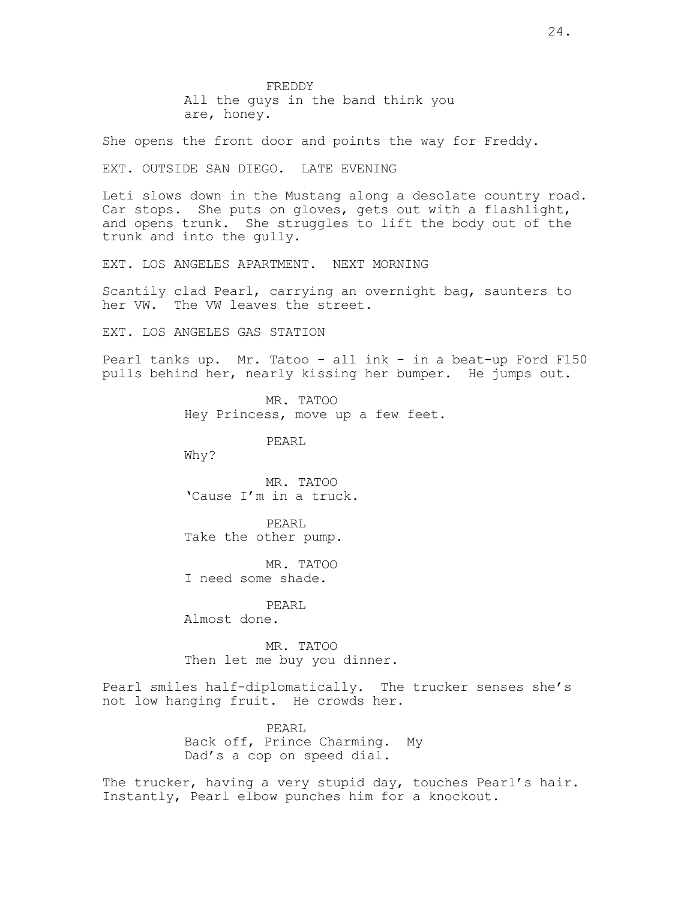FREDDY All the guys in the band think you are, honey.

She opens the front door and points the way for Freddy.

EXT. OUTSIDE SAN DIEGO. LATE EVENING

Leti slows down in the Mustang along a desolate country road. Car stops. She puts on gloves, gets out with a flashlight, and opens trunk. She struggles to lift the body out of the trunk and into the gully.

EXT. LOS ANGELES APARTMENT. NEXT MORNING

Scantily clad Pearl, carrying an overnight bag, saunters to her VW. The VW leaves the street.

EXT. LOS ANGELES GAS STATION

Pearl tanks up. Mr. Tatoo - all ink - in a beat-up Ford F150 pulls behind her, nearly kissing her bumper. He jumps out.

> MR. TATOO Hey Princess, move up a few feet.

> > PEARL

Why?

MR. TATOO 'Cause I'm in a truck.

PEARL Take the other pump.

MR. TATOO I need some shade.

PEARL Almost done.

MR. TATOO Then let me buy you dinner.

Pearl smiles half-diplomatically. The trucker senses she's not low hanging fruit. He crowds her.

> PEARL Back off, Prince Charming. My Dad's a cop on speed dial.

The trucker, having a very stupid day, touches Pearl's hair. Instantly, Pearl elbow punches him for a knockout.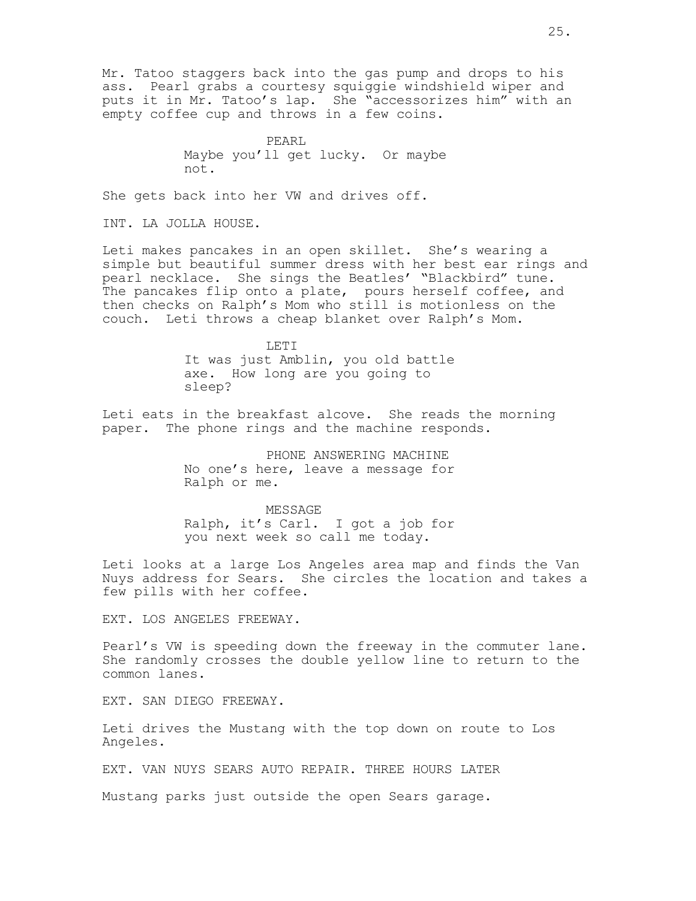Mr. Tatoo staggers back into the gas pump and drops to his ass. Pearl grabs a courtesy squiggie windshield wiper and puts it in Mr. Tatoo's lap. She "accessorizes him" with an empty coffee cup and throws in a few coins.

> PEARL Maybe you'll get lucky. Or maybe not.

She gets back into her VW and drives off.

INT. LA JOLLA HOUSE.

Leti makes pancakes in an open skillet. She's wearing a simple but beautiful summer dress with her best ear rings and pearl necklace. She sings the Beatles' "Blackbird" tune. The pancakes flip onto a plate, pours herself coffee, and then checks on Ralph's Mom who still is motionless on the couch. Leti throws a cheap blanket over Ralph's Mom.

> LETI It was just Amblin, you old battle axe. How long are you going to sleep?

Leti eats in the breakfast alcove. She reads the morning paper. The phone rings and the machine responds.

> PHONE ANSWERING MACHINE No one's here, leave a message for Ralph or me.

> MESSAGE Ralph, it's Carl. I got a job for you next week so call me today.

Leti looks at a large Los Angeles area map and finds the Van Nuys address for Sears. She circles the location and takes a few pills with her coffee.

EXT. LOS ANGELES FREEWAY.

Pearl's VW is speeding down the freeway in the commuter lane. She randomly crosses the double yellow line to return to the common lanes.

EXT. SAN DIEGO FREEWAY.

Leti drives the Mustang with the top down on route to Los Angeles.

EXT. VAN NUYS SEARS AUTO REPAIR. THREE HOURS LATER

Mustang parks just outside the open Sears garage.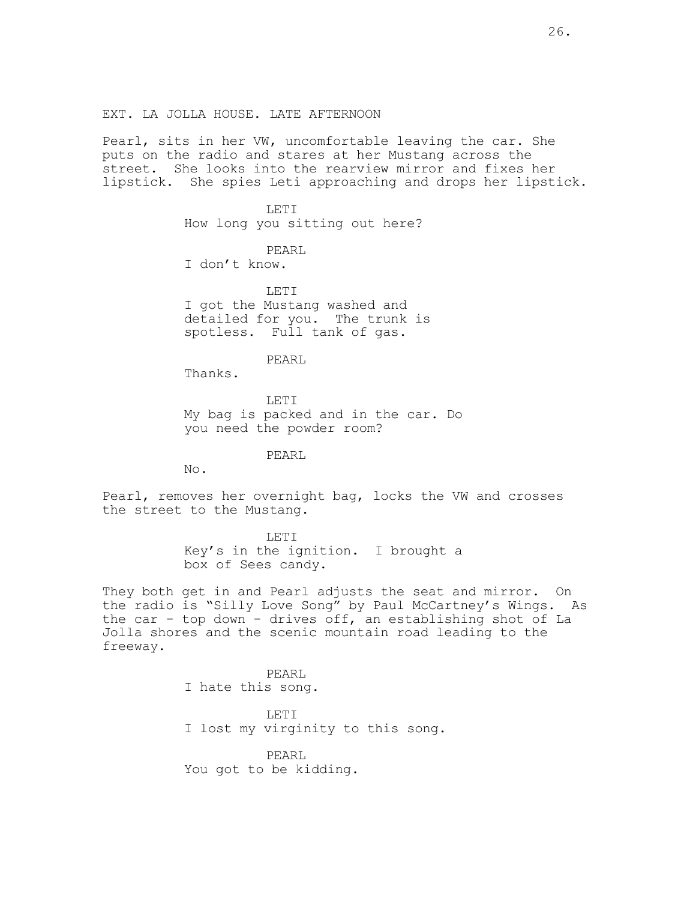EXT. LA JOLLA HOUSE. LATE AFTERNOON

Pearl, sits in her VW, uncomfortable leaving the car. She puts on the radio and stares at her Mustang across the street. She looks into the rearview mirror and fixes her lipstick. She spies Leti approaching and drops her lipstick.

> LETI How long you sitting out here?

PEARL I don't know.

LETI I got the Mustang washed and detailed for you. The trunk is spotless. Full tank of gas.

PEARL

Thanks.

LETI My bag is packed and in the car. Do you need the powder room?

PEARL

No.

Pearl, removes her overnight bag, locks the VW and crosses the street to the Mustang.

> LETI Key's in the ignition. I brought a box of Sees candy.

They both get in and Pearl adjusts the seat and mirror. On the radio is "Silly Love Song" by Paul McCartney's Wings. As the car - top down - drives off, an establishing shot of La Jolla shores and the scenic mountain road leading to the freeway.

> PEARL I hate this song.

LETI I lost my virginity to this song.

PEARL You got to be kidding.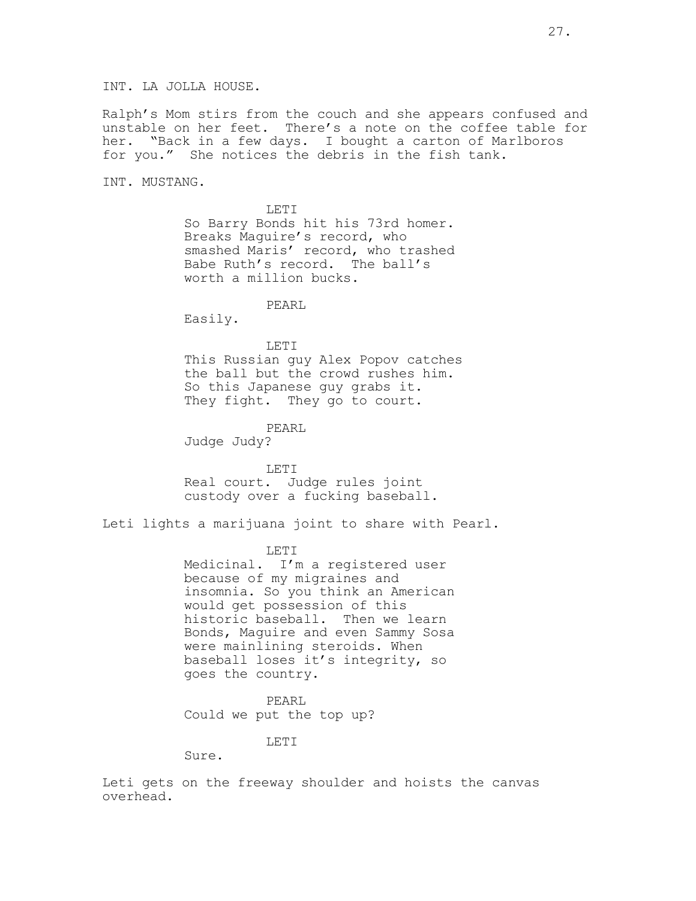Ralph's Mom stirs from the couch and she appears confused and unstable on her feet. There's a note on the coffee table for her. "Back in a few days. I bought a carton of Marlboros for you." She notices the debris in the fish tank.

INT. MUSTANG.

LETI So Barry Bonds hit his 73rd homer. Breaks Maguire's record, who smashed Maris' record, who trashed Babe Ruth's record. The ball's worth a million bucks.

PEARL

Easily.

LETI

This Russian guy Alex Popov catches the ball but the crowd rushes him. So this Japanese guy grabs it. They fight. They go to court.

PEARL

Judge Judy?

LETI Real court. Judge rules joint custody over a fucking baseball.

Leti lights a marijuana joint to share with Pearl.

LETI

Medicinal. I'm a registered user because of my migraines and insomnia. So you think an American would get possession of this historic baseball. Then we learn Bonds, Maguire and even Sammy Sosa were mainlining steroids. When baseball loses it's integrity, so goes the country.

PEARL Could we put the top up?

LETI

Sure.

Leti gets on the freeway shoulder and hoists the canvas overhead.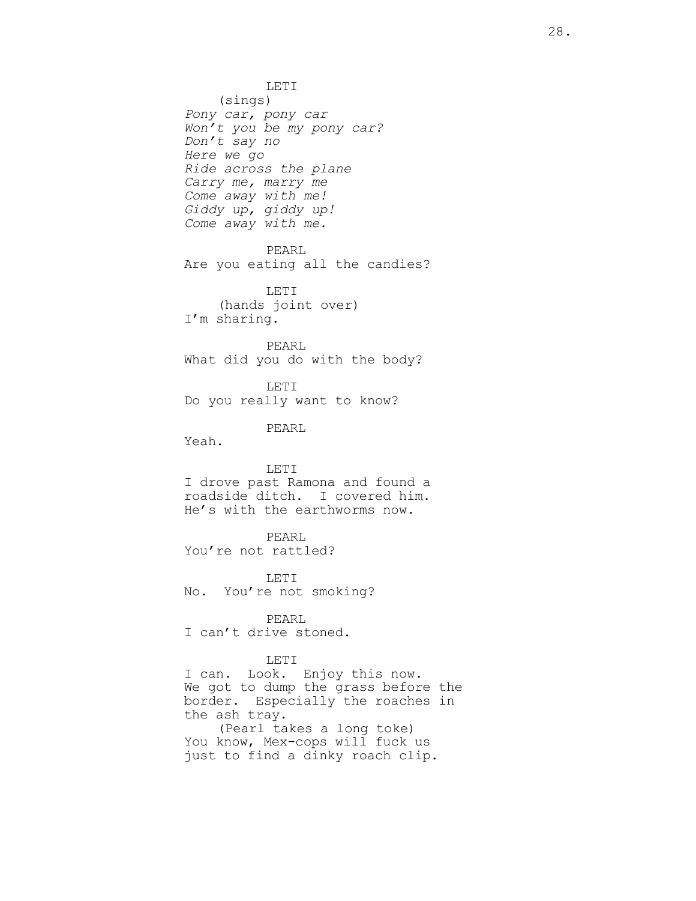LETI (sings) Pony car, pony car Won't you be my pony car? Don't say no Here we go Ride across the plane Carry me, marry me Come away with me! Giddy up, giddy up! Come away with me. PEARL Are you eating all the candies? LETI (hands joint over) I'm sharing. PEARL What did you do with the body? LETI Do you really want to know? PEARL Yeah. LETI I drove past Ramona and found a roadside ditch. I covered him. He's with the earthworms now. PEARL You're not rattled? LETI No. You're not smoking? PEARL I can't drive stoned. LETI I can. Look. Enjoy this now. We got to dump the grass before the border. Especially the roaches in the ash tray. (Pearl takes a long toke) You know, Mex-cops will fuck us just to find a dinky roach clip.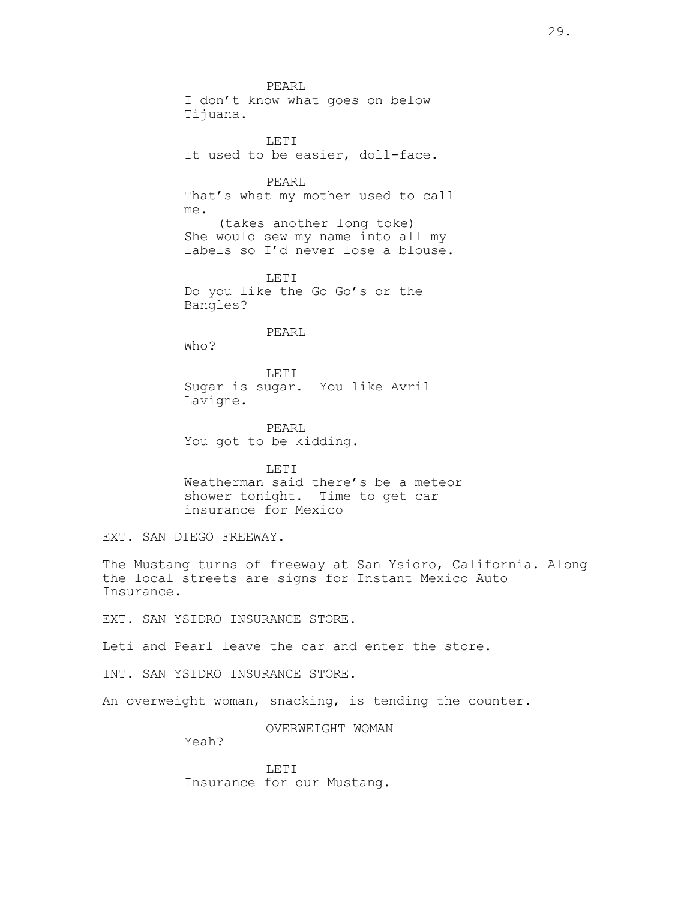PEARL I don't know what goes on below Tijuana. LETI It used to be easier, doll-face. PEARL That's what my mother used to call me. (takes another long toke) She would sew my name into all my labels so I'd never lose a blouse. LET<sub>I</sub> Do you like the Go Go's or the Bangles? PEARL Who? LETI Sugar is sugar. You like Avril Lavigne. PEARL You got to be kidding. LETI Weatherman said there's be a meteor shower tonight. Time to get car insurance for Mexico EXT. SAN DIEGO FREEWAY. The Mustang turns of freeway at San Ysidro, California. Along the local streets are signs for Instant Mexico Auto Insurance. EXT. SAN YSIDRO INSURANCE STORE. Leti and Pearl leave the car and enter the store. INT. SAN YSIDRO INSURANCE STORE. An overweight woman, snacking, is tending the counter.

OVERWEIGHT WOMAN

Yeah?

LETI Insurance for our Mustang.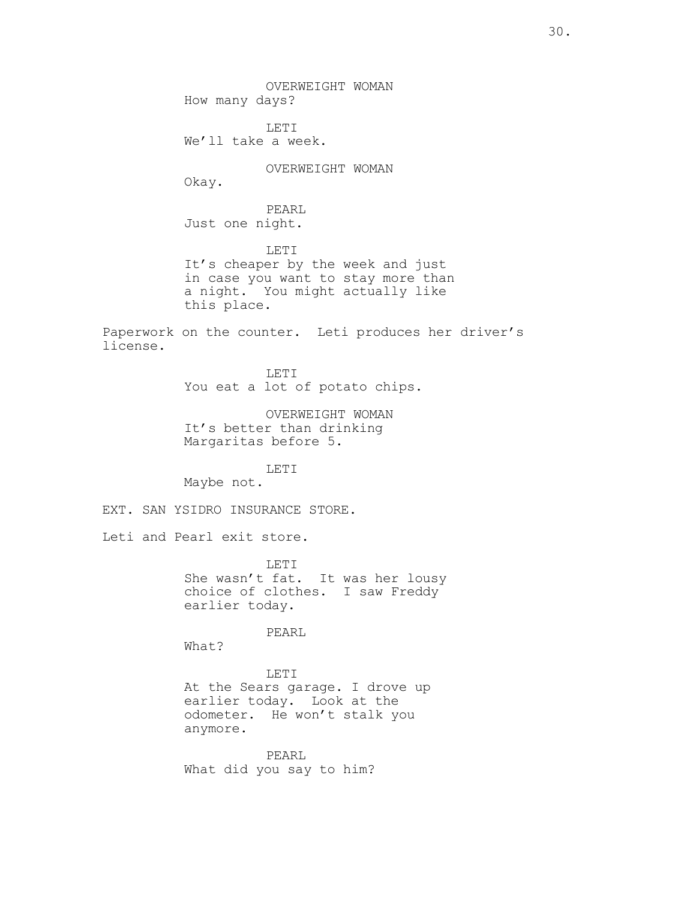OVERWEIGHT WOMAN How many days? LETI We'll take a week. OVERWEIGHT WOMAN Okay. PEARL Just one night. LETI It's cheaper by the week and just in case you want to stay more than a night. You might actually like this place. Paperwork on the counter. Leti produces her driver's license. LETI You eat a lot of potato chips. OVERWEIGHT WOMAN It's better than drinking Margaritas before 5. LETI Maybe not. EXT. SAN YSIDRO INSURANCE STORE. Leti and Pearl exit store. LETI She wasn't fat. It was her lousy choice of clothes. I saw Freddy earlier today. PEARL What? LETI At the Sears garage. I drove up earlier today. Look at the odometer. He won't stalk you anymore. PEARL What did you say to him?

30.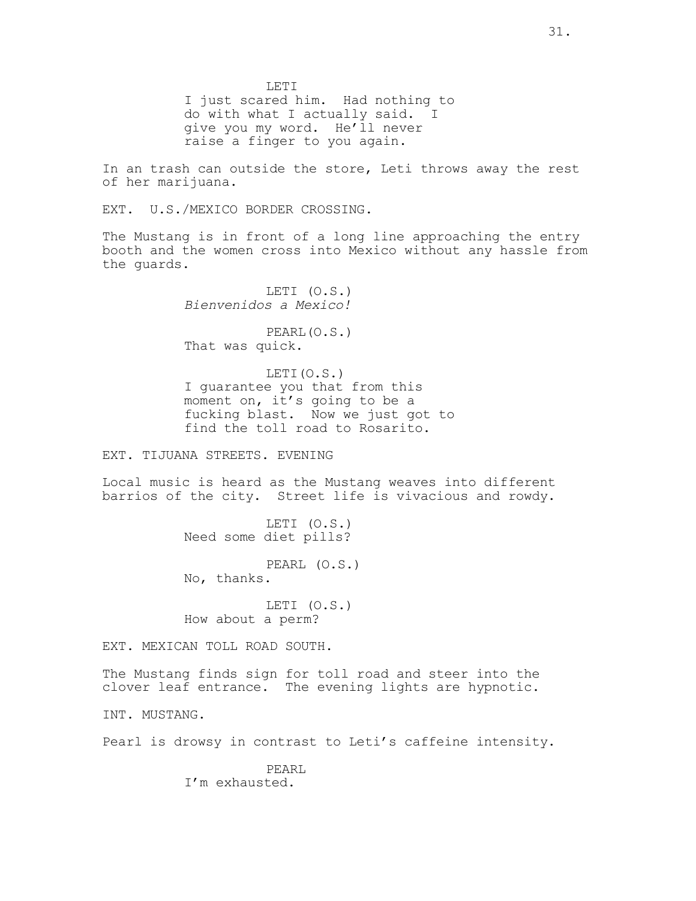LETI I just scared him. Had nothing to do with what I actually said. I give you my word. He'll never raise a finger to you again.

In an trash can outside the store, Leti throws away the rest of her marijuana.

EXT. U.S./MEXICO BORDER CROSSING.

The Mustang is in front of a long line approaching the entry booth and the women cross into Mexico without any hassle from the guards.

> LETI (O.S.) Bienvenidos a Mexico!

> PEARL(O.S.) That was quick.

LETI(O.S.) I guarantee you that from this moment on, it's going to be a fucking blast. Now we just got to find the toll road to Rosarito.

EXT. TIJUANA STREETS. EVENING

Local music is heard as the Mustang weaves into different barrios of the city. Street life is vivacious and rowdy.

> LETI (O.S.) Need some diet pills?

PEARL (O.S.)

No, thanks.

LETI (O.S.) How about a perm?

EXT. MEXICAN TOLL ROAD SOUTH.

The Mustang finds sign for toll road and steer into the clover leaf entrance. The evening lights are hypnotic.

INT. MUSTANG.

Pearl is drowsy in contrast to Leti's caffeine intensity.

PEARL I'm exhausted.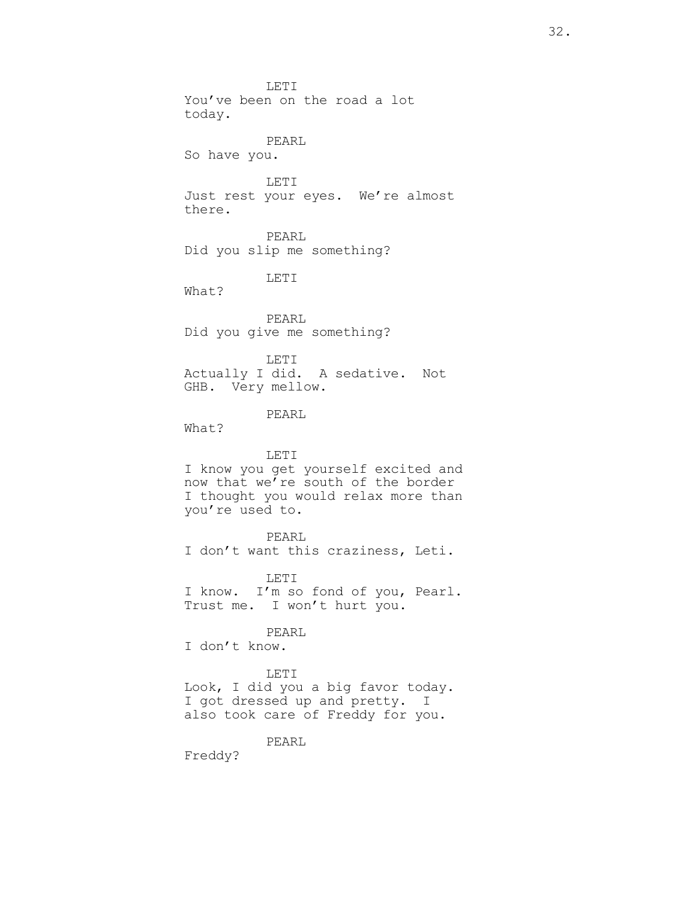LETI You've been on the road a lot today. PEARL So have you. LETI Just rest your eyes. We're almost there. PEARL Did you slip me something? LETI What? PEARL Did you give me something? LETI Actually I did. A sedative. Not GHB. Very mellow. PEARL What? LETI I know you get yourself excited and now that we're south of the border I thought you would relax more than you're used to. PEARL I don't want this craziness, Leti. LETI

I know. I'm so fond of you, Pearl. Trust me. I won't hurt you.

## PEARL

I don't know.

## LETI

Look, I did you a big favor today. I got dressed up and pretty. I also took care of Freddy for you.

#### PEARL

Freddy?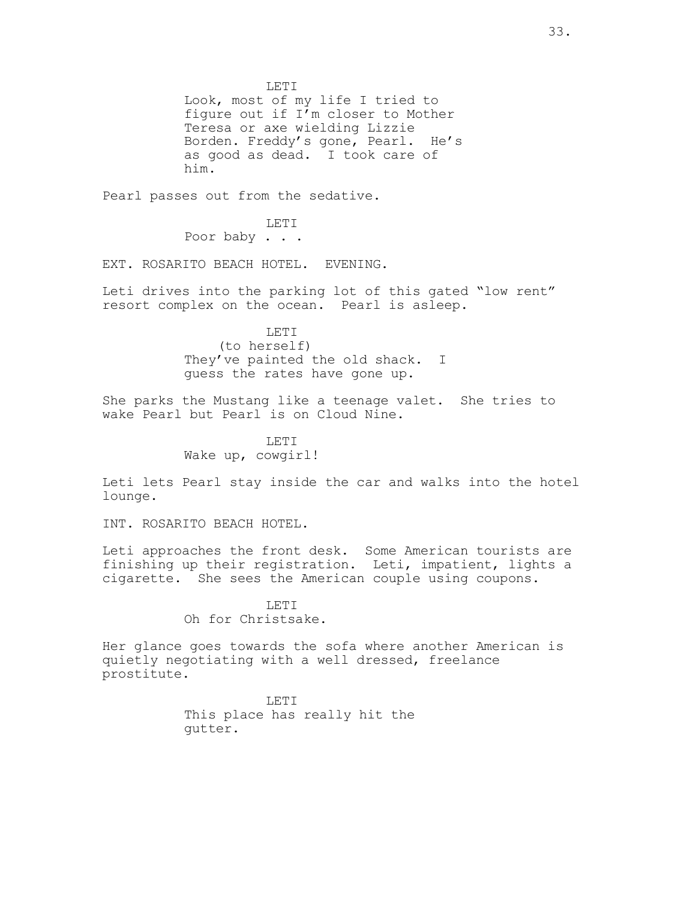LETI Look, most of my life I tried to figure out if  $I<sup>T</sup>$ m closer to Mother Teresa or axe wielding Lizzie Borden. Freddy's gone, Pearl. He's as good as dead. I took care of him.

Pearl passes out from the sedative.

LETI Poor baby . . .

EXT. ROSARITO BEACH HOTEL. EVENING.

Leti drives into the parking lot of this gated "low rent" resort complex on the ocean. Pearl is asleep.

> LETI (to herself) They've painted the old shack. I guess the rates have gone up.

She parks the Mustang like a teenage valet. She tries to wake Pearl but Pearl is on Cloud Nine.

> LETT. Wake up, cowgirl!

Leti lets Pearl stay inside the car and walks into the hotel lounge.

INT. ROSARITO BEACH HOTEL.

Leti approaches the front desk. Some American tourists are finishing up their registration. Leti, impatient, lights a cigarette. She sees the American couple using coupons.

> LETT. Oh for Christsake.

Her glance goes towards the sofa where another American is quietly negotiating with a well dressed, freelance prostitute.

> LETI This place has really hit the gutter.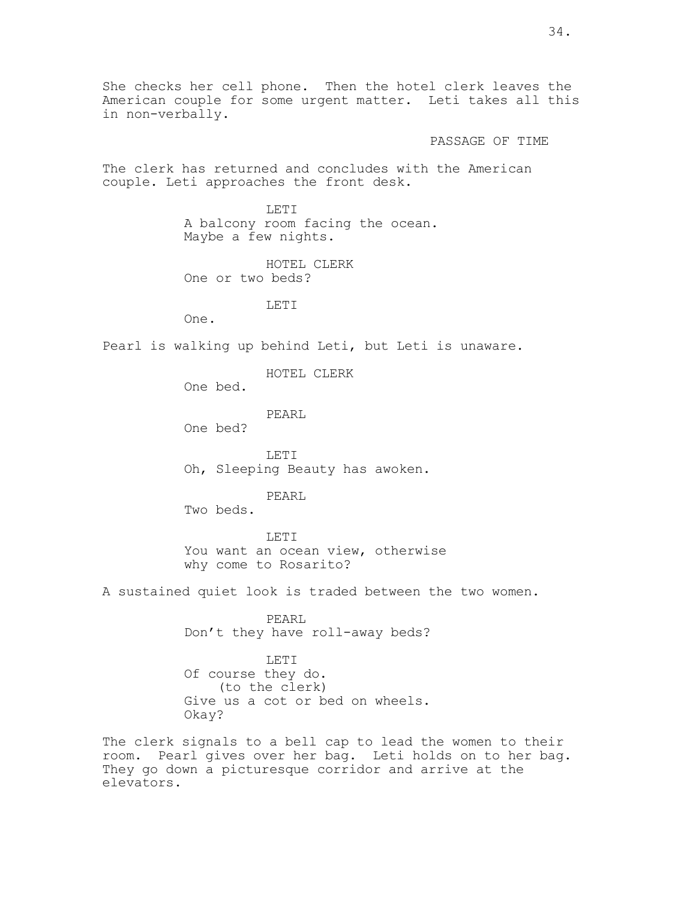She checks her cell phone. Then the hotel clerk leaves the American couple for some urgent matter. Leti takes all this in non-verbally.

PASSAGE OF TIME

The clerk has returned and concludes with the American couple. Leti approaches the front desk.

> LETI A balcony room facing the ocean. Maybe a few nights.

HOTEL CLERK One or two beds?

LETI

Pearl is walking up behind Leti, but Leti is unaware.

HOTEL CLERK

One bed.

One.

PEARL

One bed?

LETI Oh, Sleeping Beauty has awoken.

PEARL

Two beds.

LETI You want an ocean view, otherwise why come to Rosarito?

A sustained quiet look is traded between the two women.

PEARL Don't they have roll-away beds?

LETI Of course they do. (to the clerk) Give us a cot or bed on wheels. Okay?

The clerk signals to a bell cap to lead the women to their room. Pearl gives over her bag. Leti holds on to her bag. They go down a picturesque corridor and arrive at the elevators.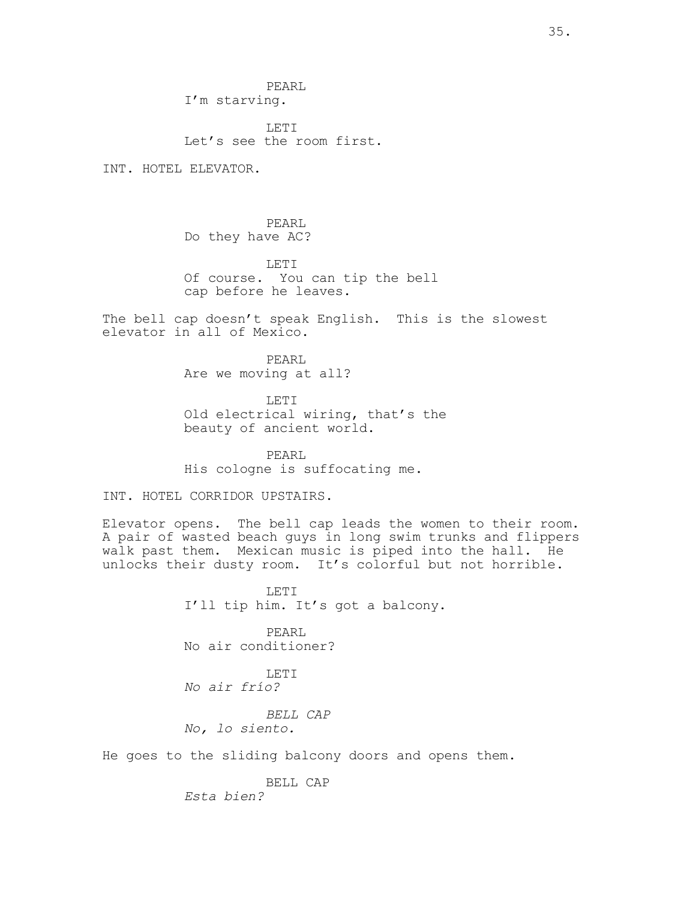PEARL I'm starving.

LETT. Let's see the room first.

INT. HOTEL ELEVATOR.

PEARL Do they have AC?

LETI Of course. You can tip the bell cap before he leaves.

The bell cap doesn't speak English. This is the slowest elevator in all of Mexico.

> PEARL Are we moving at all?

LETI Old electrical wiring, that's the beauty of ancient world.

PEARL His cologne is suffocating me.

INT. HOTEL CORRIDOR UPSTAIRS.

Elevator opens. The bell cap leads the women to their room. A pair of wasted beach guys in long swim trunks and flippers walk past them. Mexican music is piped into the hall. He unlocks their dusty room. It's colorful but not horrible.

> LETI I'll tip him. It's got a balcony.

PEARL No air conditioner?

LETI No air frío?

BELL CAP No, lo siento.

He goes to the sliding balcony doors and opens them.

BELL CAP

Esta bien?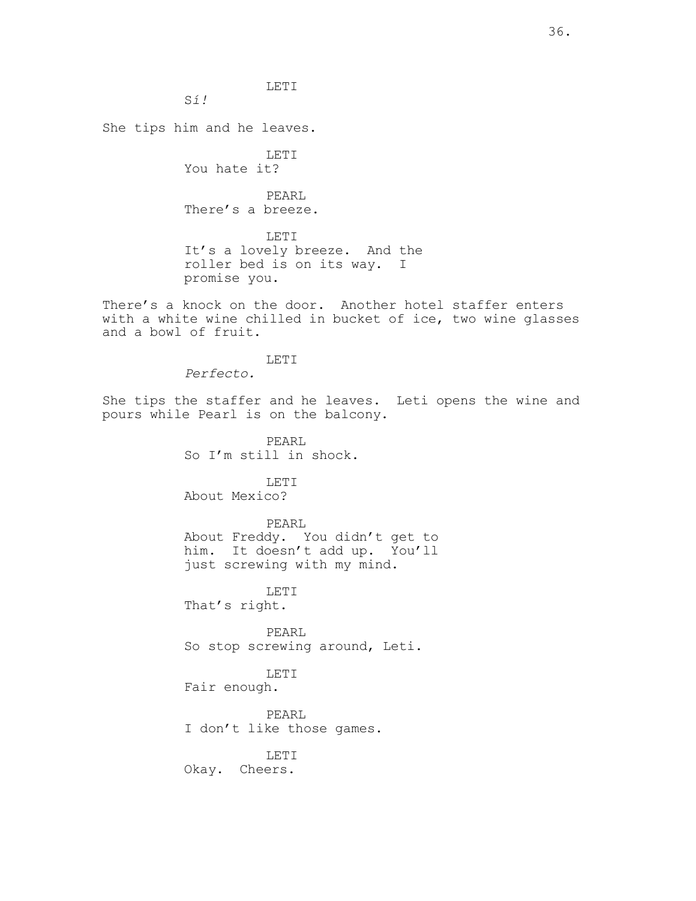Sí!

She tips him and he leaves.

LETI You hate it? PEARL There's a breeze. LETI It's a lovely breeze. And the roller bed is on its way. I promise you.

LETI

There's a knock on the door. Another hotel staffer enters with a white wine chilled in bucket of ice, two wine glasses and a bowl of fruit.

LETI

Perfecto.

She tips the staffer and he leaves. Leti opens the wine and pours while Pearl is on the balcony.

> PEARL So I'm still in shock.

LETI About Mexico?

PEARL About Freddy. You didn't get to him. It doesn't add up. You'll just screwing with my mind.

LETI That's right.

PEARL So stop screwing around, Leti.

LETI

Fair enough.

PEARL I don't like those games.

LETI Okay. Cheers.

36.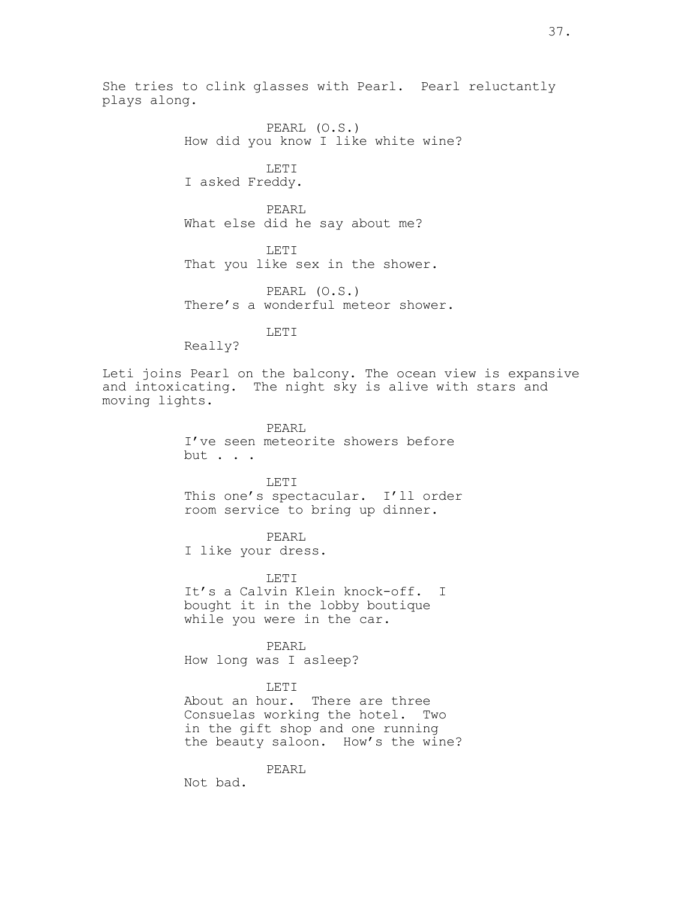She tries to clink glasses with Pearl. Pearl reluctantly plays along.

> PEARL (O.S.) How did you know I like white wine? LETI I asked Freddy. PEARL What else did he say about me? LETI That you like sex in the shower. PEARL (O.S.)

There's a wonderful meteor shower.

LETI

Really?

Leti joins Pearl on the balcony. The ocean view is expansive and intoxicating. The night sky is alive with stars and moving lights.

> PEARL I've seen meteorite showers before but . . .

LETI This one's spectacular. I'll order room service to bring up dinner.

PEARL I like your dress.

LETI It's a Calvin Klein knock-off. I bought it in the lobby boutique while you were in the car.

PEARL How long was I asleep?

## LETI

About an hour. There are three Consuelas working the hotel. Two in the gift shop and one running the beauty saloon. How's the wine?

PEARL

Not bad.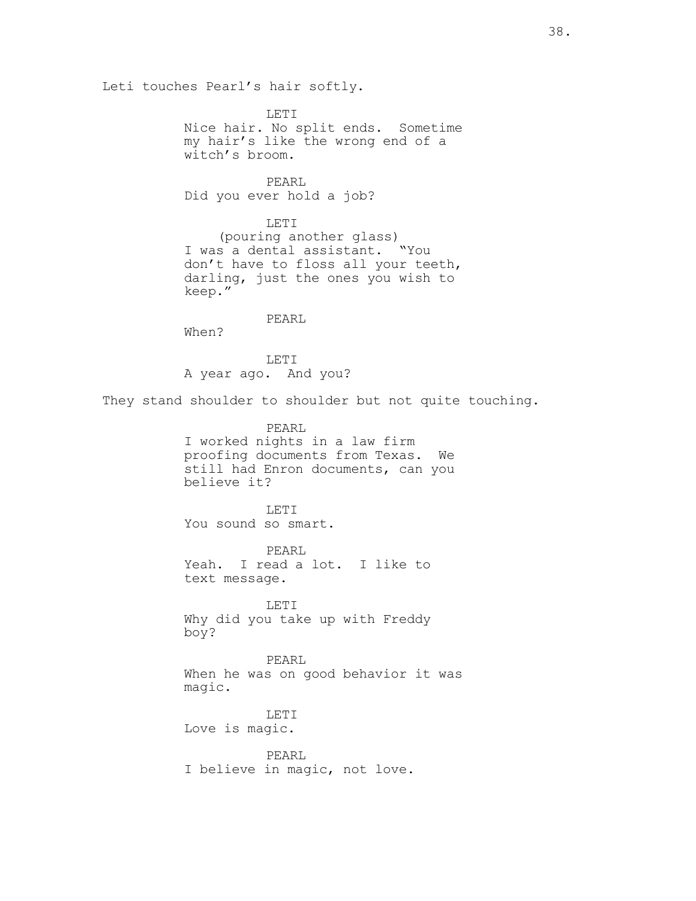Leti touches Pearl's hair softly.

LETI Nice hair. No split ends. Sometime my hair's like the wrong end of a witch's broom.

PEARL Did you ever hold a job?

LETI (pouring another glass) I was a dental assistant. "You don't have to floss all your teeth, darling, just the ones you wish to keep."

PEARL When?

LETI A year ago. And you?

They stand shoulder to shoulder but not quite touching.

PEARL I worked nights in a law firm proofing documents from Texas. We still had Enron documents, can you believe it?

LETI You sound so smart.

PEARL Yeah. I read a lot. I like to text message.

LETI Why did you take up with Freddy boy?

PEARL When he was on good behavior it was magic.

LETI Love is magic.

PEARL I believe in magic, not love.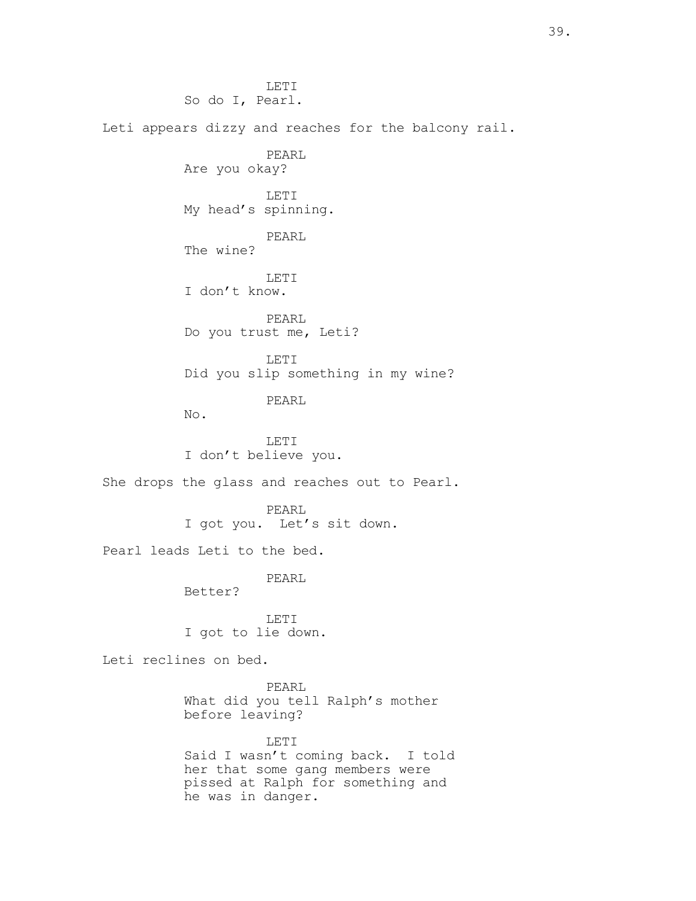LETI So do I, Pearl. Leti appears dizzy and reaches for the balcony rail. PEARL Are you okay? LETI My head's spinning. PEARL The wine? LETI I don't know. PEARL Do you trust me, Leti? LETI Did you slip something in my wine? PEARL No. LETI I don't believe you. She drops the glass and reaches out to Pearl. PEARL I got you. Let's sit down. Pearl leads Leti to the bed. PEARL Better? LETI I got to lie down. Leti reclines on bed. PEARL What did you tell Ralph's mother before leaving? LETI Said I wasn't coming back. I told

her that some gang members were pissed at Ralph for something and he was in danger.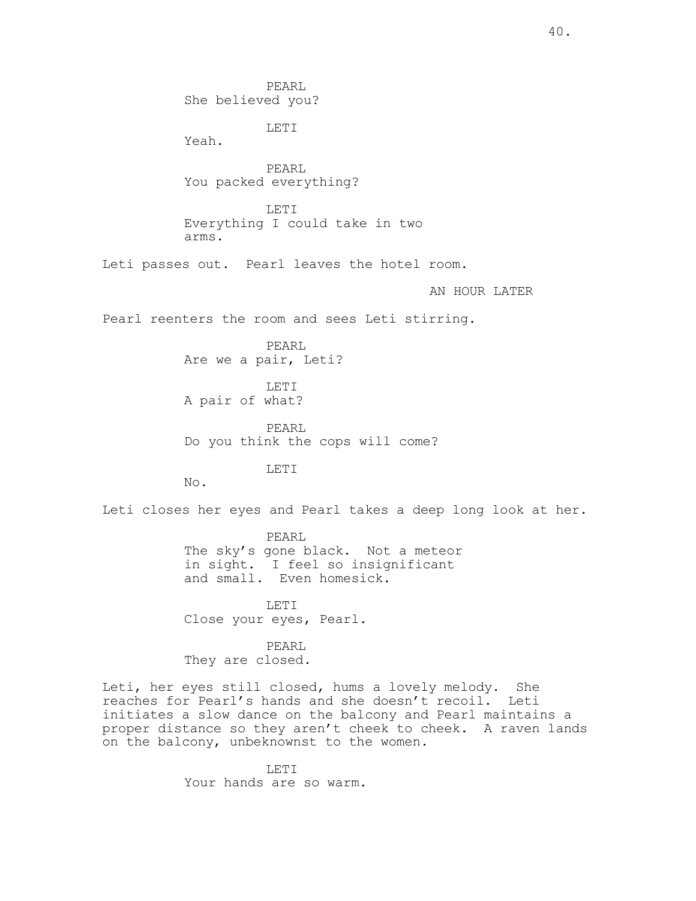PEARL She believed you? LETI Yeah. PEARL You packed everything? LETI Everything I could take in two arms. Leti passes out. Pearl leaves the hotel room. AN HOUR LATER Pearl reenters the room and sees Leti stirring. PEARL Are we a pair, Leti? LETI A pair of what? PEARL Do you think the cops will come? LETI No. Leti closes her eyes and Pearl takes a deep long look at her. PEARL The sky's gone black. Not a meteor in sight. I feel so insignificant and small. Even homesick. LETI Close your eyes, Pearl. PEARL They are closed. Leti, her eyes still closed, hums a lovely melody. She

reaches for Pearl's hands and she doesn't recoil. Leti initiates a slow dance on the balcony and Pearl maintains a proper distance so they aren't cheek to cheek. A raven lands on the balcony, unbeknownst to the women.

> LETI Your hands are so warm.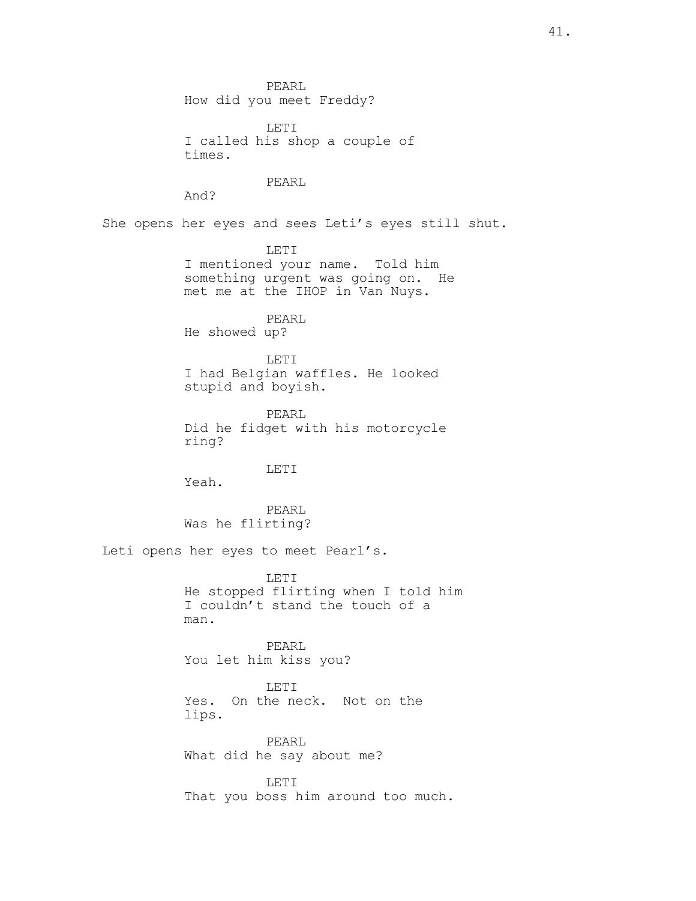PEARL How did you meet Freddy?

LETI I called his shop a couple of times.

PEARL

And?

She opens her eyes and sees Leti's eyes still shut.

LETI I mentioned your name. Told him something urgent was going on. He met me at the IHOP in Van Nuys.

PEARL He showed up?

LETI I had Belgian waffles. He looked stupid and boyish.

PEARL Did he fidget with his motorcycle ring?

LETI

Yeah.

PEARL Was he flirting?

Leti opens her eyes to meet Pearl's.

LETI He stopped flirting when I told him I couldn't stand the touch of a man.

PEARL You let him kiss you?

LETI Yes. On the neck. Not on the lips.

PEARL What did he say about me?

LETI That you boss him around too much.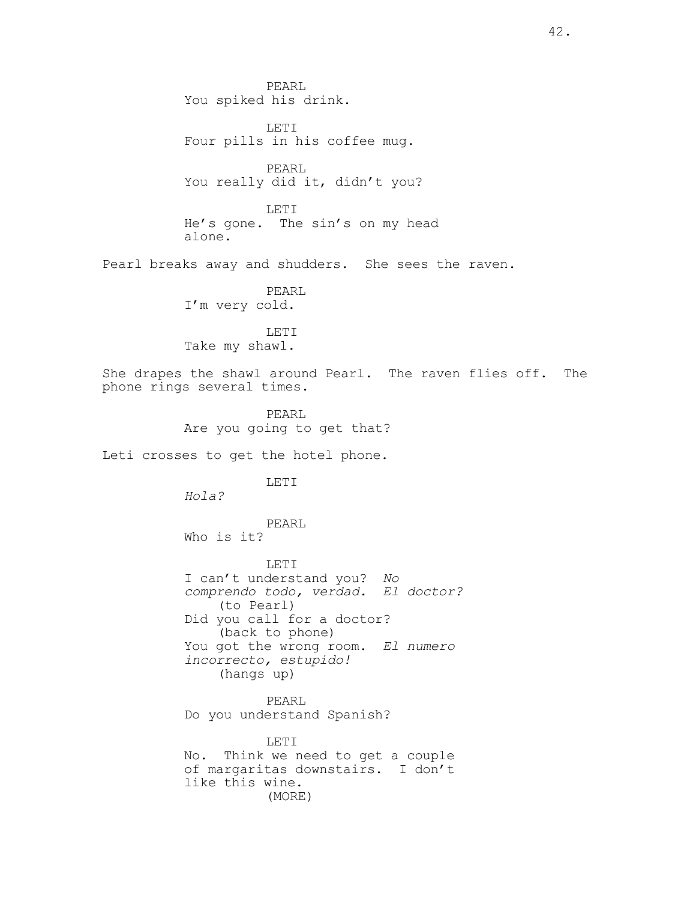PEARL You spiked his drink.

LETI Four pills in his coffee mug.

PEARL You really did it, didn't you?

LETI He's gone. The sin's on my head alone.

Pearl breaks away and shudders. She sees the raven.

PEARL I'm very cold.

LETI Take my shawl.

She drapes the shawl around Pearl. The raven flies off. The phone rings several times.

> PEARL Are you going to get that?

Leti crosses to get the hotel phone.

LETI

Hola?

PEARL Who is it?

LETI I can't understand you? No comprendo todo, verdad. El doctor? (to Pearl) Did you call for a doctor? (back to phone) You got the wrong room. El numero incorrecto, estupido! (hangs up)

PEARL Do you understand Spanish?

LETI No. Think we need to get a couple of margaritas downstairs. I don't like this wine. (MORE)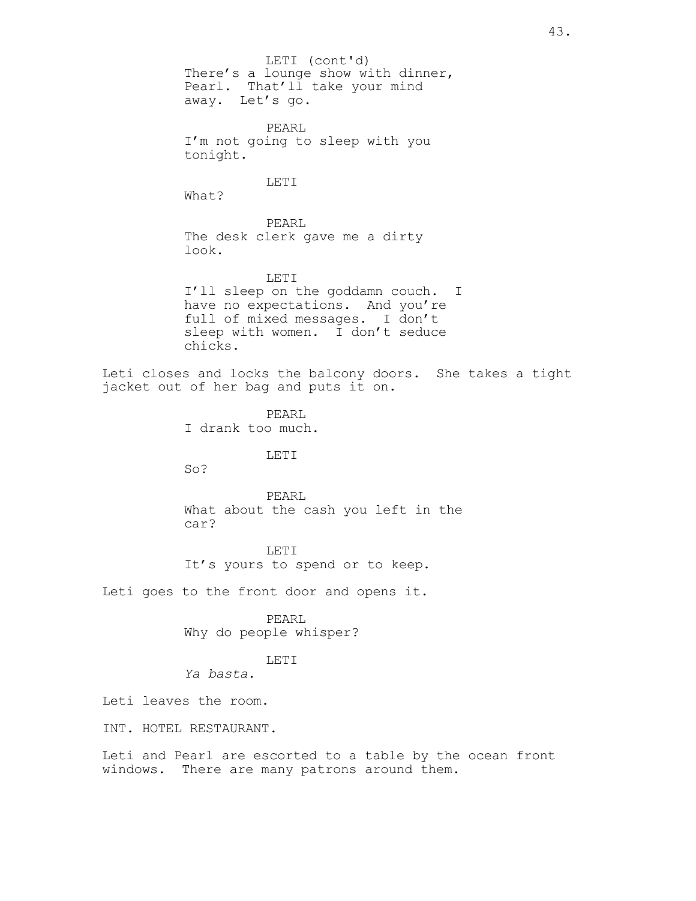There's a lounge show with dinner, Pearl. That'll take your mind away. Let's go. PEARL I'm not going to sleep with you tonight. LETI What? PEARL The desk clerk gave me a dirty look. LETI I'll sleep on the goddamn couch. I have no expectations. And you're full of mixed messages. I don't sleep with women. I don't seduce chicks. Leti closes and locks the balcony doors. She takes a tight jacket out of her bag and puts it on. PEARL I drank too much. LETI So? PEARL What about the cash you left in the car? LETI It's yours to spend or to keep. Leti goes to the front door and opens it. PEARL Why do people whisper? LETI Ya basta. Leti leaves the room. INT. HOTEL RESTAURANT. Leti and Pearl are escorted to a table by the ocean front windows. There are many patrons around them. LETI (cont'd)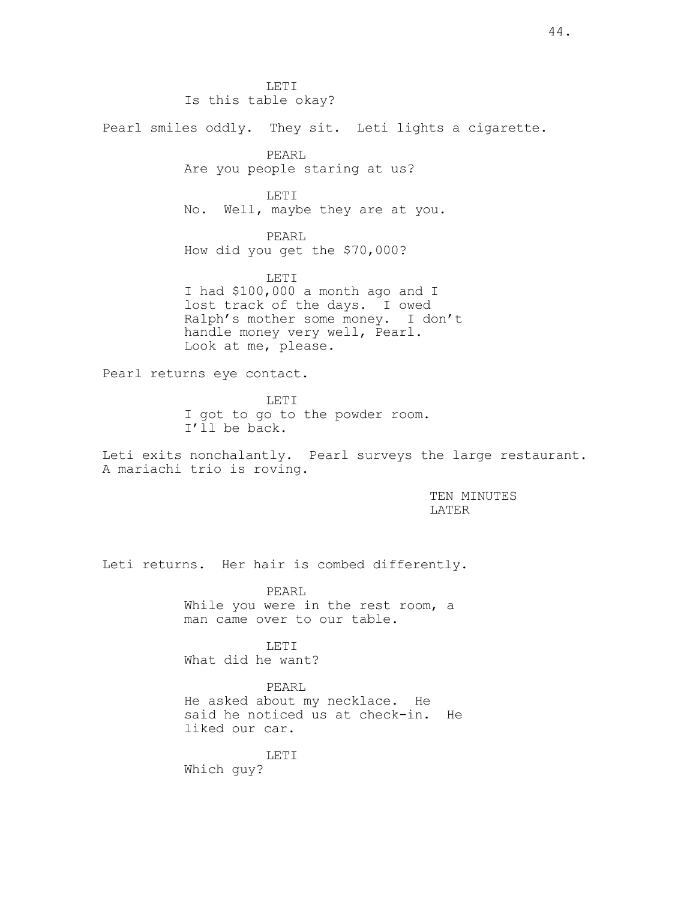LETI Is this table okay? Pearl smiles oddly. They sit. Leti lights a cigarette. PEARL Are you people staring at us? LETI No. Well, maybe they are at you. PEARL How did you get the \$70,000? LETI I had \$100,000 a month ago and I lost track of the days. I owed Ralph's mother some money. I don't handle money very well, Pearl. Look at me, please. Pearl returns eye contact. LETI I got to go to the powder room. I'll be back. Leti exits nonchalantly. Pearl surveys the large restaurant. A mariachi trio is roving. TEN MINUTES LATER Leti returns. Her hair is combed differently. PEARL While you were in the rest room, a man came over to our table. LETI What did he want? PEARL He asked about my necklace. He

said he noticed us at check-in. He liked our car.

LETI Which guy?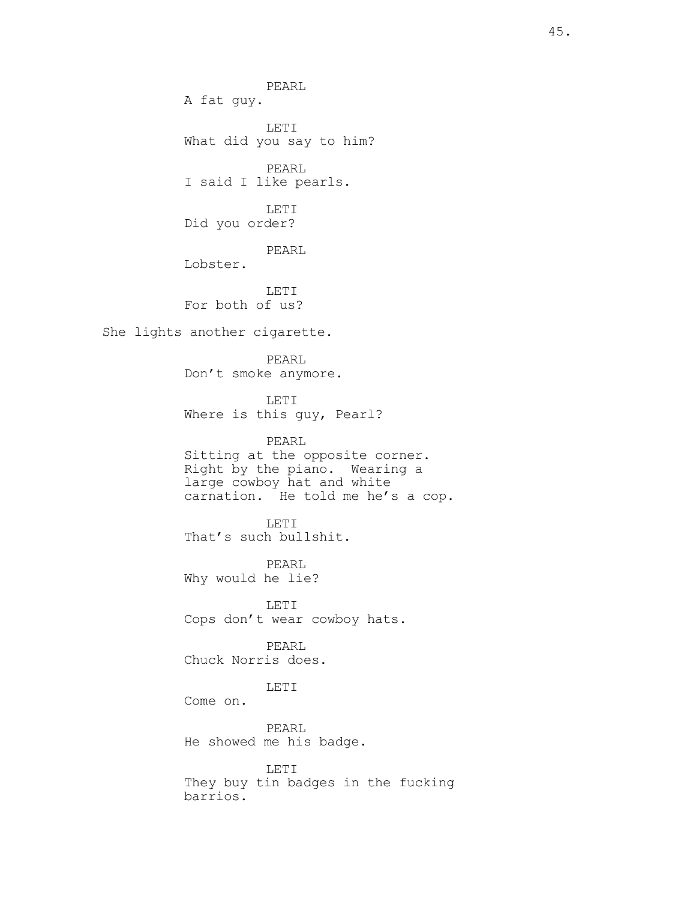PEARL A fat guy.

LETI What did you say to him?

PEARL I said I like pearls.

LETI Did you order?

PEARL

Lobster.

LETI For both of us?

She lights another cigarette.

PEARL Don't smoke anymore.

LETI Where is this guy, Pearl?

PEARL Sitting at the opposite corner. Right by the piano. Wearing a large cowboy hat and white carnation. He told me he's a cop.

LETI That's such bullshit.

PEARL Why would he lie?

LETI Cops don't wear cowboy hats.

PEARL Chuck Norris does.

LETI

Come on.

PEARL He showed me his badge.

LETI They buy tin badges in the fucking barrios.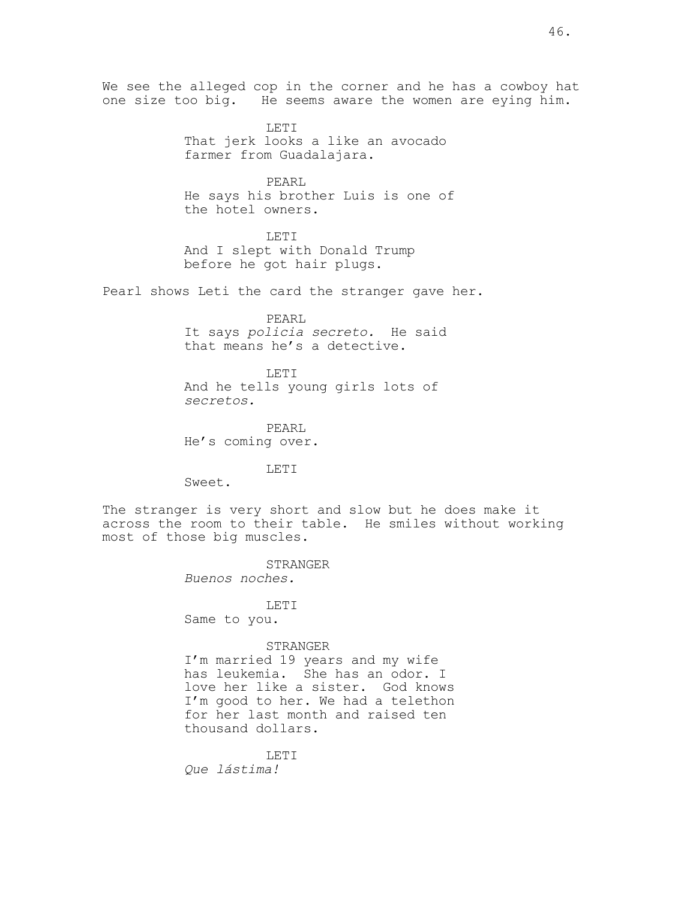We see the alleged cop in the corner and he has a cowboy hat one size too big. He seems aware the women are eying him.

> LETI That jerk looks a like an avocado farmer from Guadalajara.

PEARL He says his brother Luis is one of the hotel owners.

LETI And I slept with Donald Trump before he got hair plugs.

Pearl shows Leti the card the stranger gave her.

PEARL It says policia secreto. He said that means he's a detective.

LETT. And he tells young girls lots of secretos.

PEARL He's coming over.

LETI

Sweet.

The stranger is very short and slow but he does make it across the room to their table. He smiles without working most of those big muscles.

> STRANGER Buenos noches.

LETI Same to you.

## STRANGER

I'm married 19 years and my wife has leukemia. She has an odor. I love her like a sister. God knows I'm good to her. We had a telethon for her last month and raised ten thousand dollars.

LETT. Que lástima!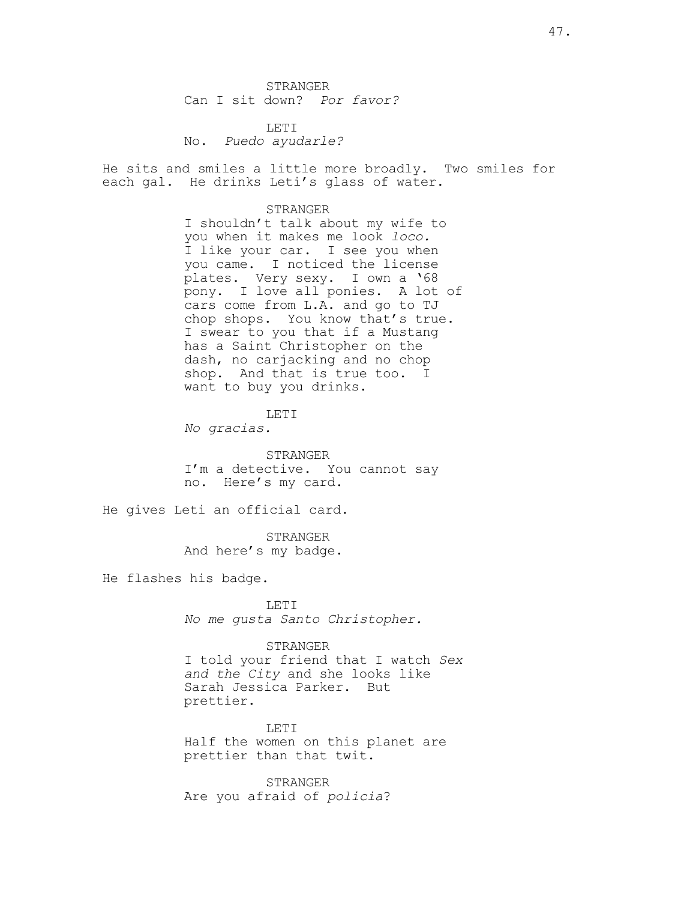STRANGER Can I sit down? Por favor?

LETI No. Puedo ayudarle?

He sits and smiles a little more broadly. Two smiles for each gal. He drinks Leti's glass of water.

#### STRANGER

I shouldn't talk about my wife to you when it makes me look loco. I like your car. I see you when you came. I noticed the license plates. Very sexy. I own a '68 pony. I love all ponies. A lot of cars come from L.A. and go to TJ chop shops. You know that's true. I swear to you that if a Mustang has a Saint Christopher on the dash, no carjacking and no chop shop. And that is true too. I want to buy you drinks.

#### LETI

No gracias.

STRANGER I'm a detective. You cannot say no. Here's my card.

He gives Leti an official card.

STRANGER And here's my badge.

He flashes his badge.

LETI No me gusta Santo Christopher.

### STRANGER

I told your friend that I watch Sex and the City and she looks like Sarah Jessica Parker. But prettier.

LETI Half the women on this planet are prettier than that twit.

STRANGER Are you afraid of policia?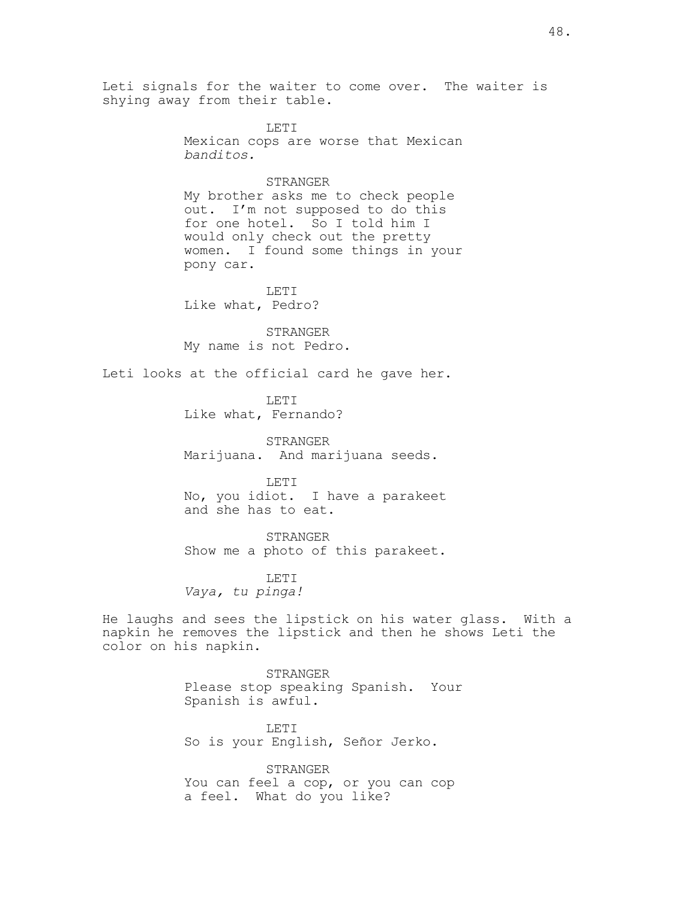Leti signals for the waiter to come over. The waiter is shying away from their table.

> LETI Mexican cops are worse that Mexican banditos.

## STRANGER

My brother asks me to check people out. I'm not supposed to do this for one hotel. So I told him I would only check out the pretty women. I found some things in your pony car.

LETI Like what, Pedro?

STRANGER My name is not Pedro.

Leti looks at the official card he gave her.

LETI Like what, Fernando?

STRANGER Marijuana. And marijuana seeds.

LETI No, you idiot. I have a parakeet and she has to eat.

STRANGER

Show me a photo of this parakeet.

LETI Vaya, tu pinga!

He laughs and sees the lipstick on his water glass. With a napkin he removes the lipstick and then he shows Leti the color on his napkin.

> STRANGER Please stop speaking Spanish. Your Spanish is awful.

LETI So is your English, Señor Jerko.

STRANGER You can feel a cop, or you can cop a feel. What do you like?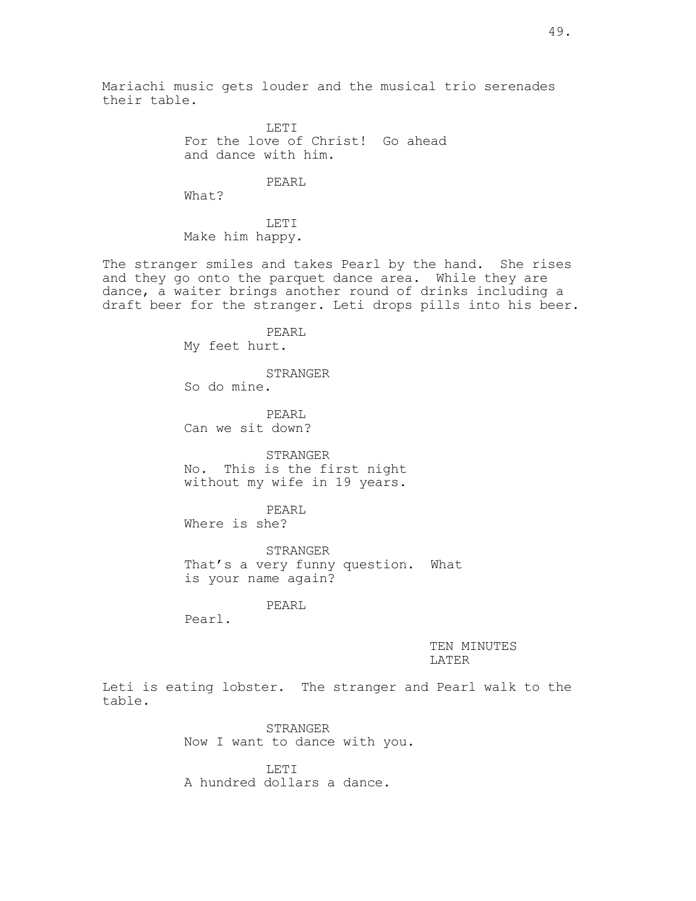Mariachi music gets louder and the musical trio serenades their table.

> LETI For the love of Christ! Go ahead and dance with him.

## PEARL

What?

LETI Make him happy.

The stranger smiles and takes Pearl by the hand. She rises and they go onto the parquet dance area. While they are dance, a waiter brings another round of drinks including a draft beer for the stranger. Leti drops pills into his beer.

> PEARL My feet hurt.

STRANGER So do mine.

PEARL Can we sit down?

STRANGER No. This is the first night without my wife in 19 years.

PEARL Where is she?

STRANGER That's a very funny question. What is your name again?

PEARL

Pearl.

TEN MINUTES LATER

Leti is eating lobster. The stranger and Pearl walk to the table.

> STRANGER Now I want to dance with you.

LETI A hundred dollars a dance.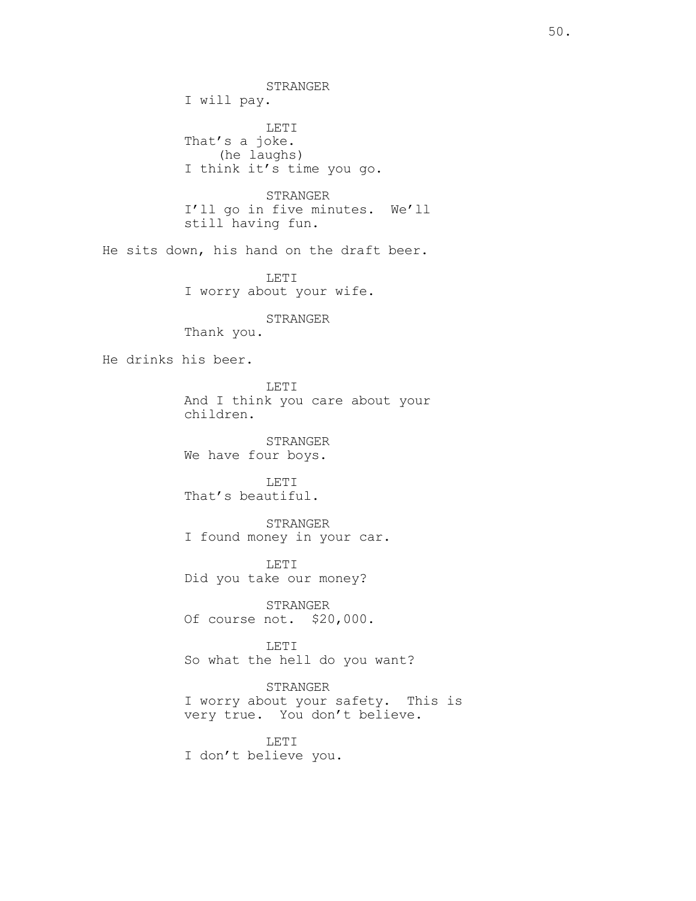STRANGER I will pay. LETI That's a joke. (he laughs) I think it's time you go. STRANGER I'll go in five minutes. We'll still having fun. He sits down, his hand on the draft beer. LETI I worry about your wife. STRANGER Thank you. He drinks his beer. LETI And I think you care about your children. STRANGER We have four boys. LETI That's beautiful. STRANGER I found money in your car. LETI Did you take our money? STRANGER Of course not. \$20,000. LETI So what the hell do you want? STRANGER I worry about your safety. This is very true. You don't believe. LETI I don't believe you.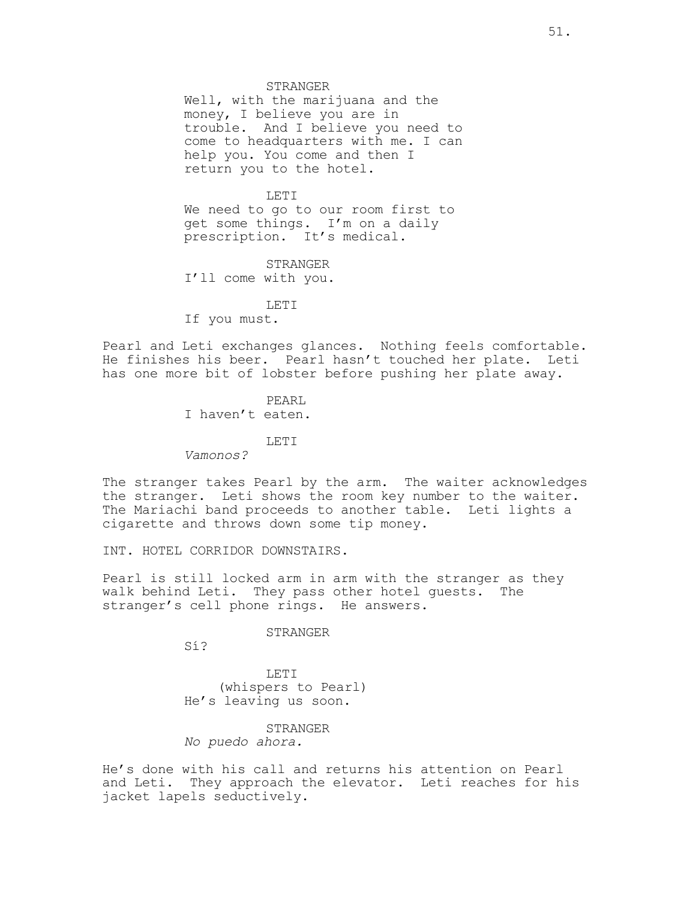STRANGER

Well, with the marijuana and the money, I believe you are in trouble. And I believe you need to come to headquarters with me. I can help you. You come and then I return you to the hotel.

## LETI

We need to go to our room first to get some things. I'm on a daily prescription. It's medical.

STRANGER I'll come with you.

LETI If you must.

Pearl and Leti exchanges glances. Nothing feels comfortable. He finishes his beer. Pearl hasn't touched her plate. Leti has one more bit of lobster before pushing her plate away.

> PEARL I haven't eaten.

> > LETI

Vamonos?

The stranger takes Pearl by the arm. The waiter acknowledges the stranger. Leti shows the room key number to the waiter. The Mariachi band proceeds to another table. Leti lights a cigarette and throws down some tip money.

INT. HOTEL CORRIDOR DOWNSTAIRS.

Pearl is still locked arm in arm with the stranger as they walk behind Leti. They pass other hotel guests. The stranger's cell phone rings. He answers.

#### STRANGER

Sí?

LETI (whispers to Pearl) He's leaving us soon.

### STRANGER

No puedo ahora.

He's done with his call and returns his attention on Pearl and Leti. They approach the elevator. Leti reaches for his jacket lapels seductively.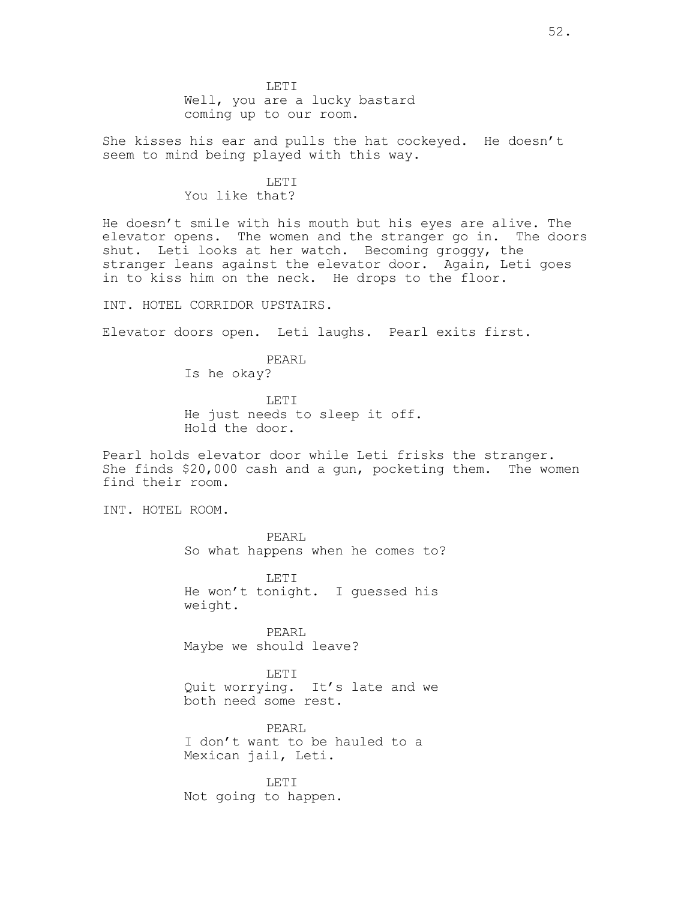LETI Well, you are a lucky bastard coming up to our room.

She kisses his ear and pulls the hat cockeyed. He doesn't seem to mind being played with this way.

> LETI You like that?

He doesn't smile with his mouth but his eyes are alive. The elevator opens. The women and the stranger go in. The doors shut. Leti looks at her watch. Becoming groggy, the stranger leans against the elevator door. Again, Leti goes in to kiss him on the neck. He drops to the floor.

INT. HOTEL CORRIDOR UPSTAIRS.

Elevator doors open. Leti laughs. Pearl exits first.

PEARL Is he okay?

LETI He just needs to sleep it off. Hold the door.

Pearl holds elevator door while Leti frisks the stranger. She finds \$20,000 cash and a gun, pocketing them. The women find their room.

INT. HOTEL ROOM.

PEARL So what happens when he comes to?

LETI He won't tonight. I guessed his weight.

PEARL Maybe we should leave?

LETI Quit worrying. It's late and we both need some rest.

PEARL I don't want to be hauled to a Mexican jail, Leti.

LETI Not going to happen.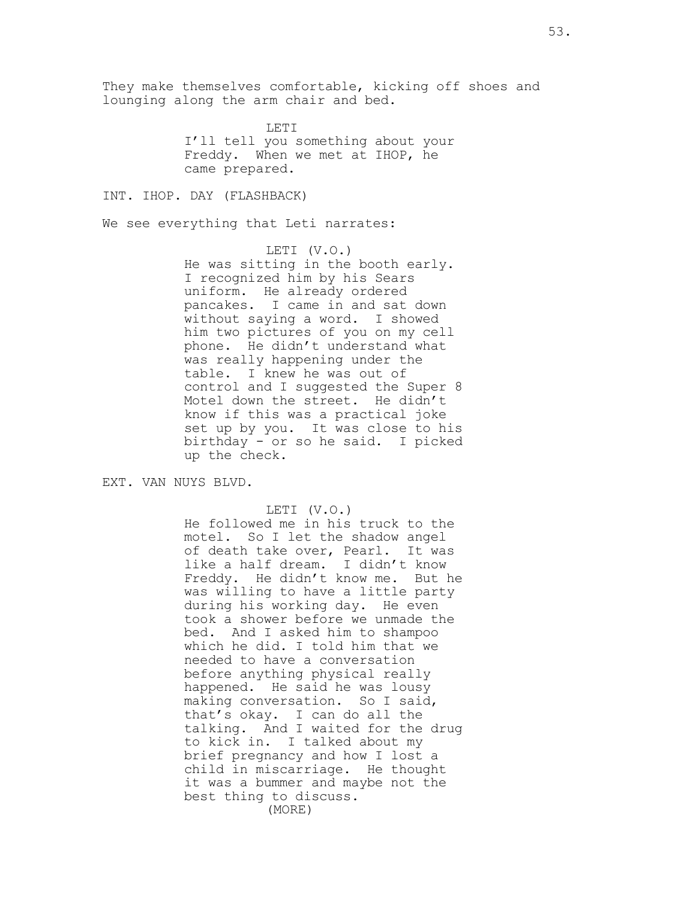They make themselves comfortable, kicking off shoes and lounging along the arm chair and bed.

> LETI I'll tell you something about your Freddy. When we met at IHOP, he came prepared.

INT. IHOP. DAY (FLASHBACK)

We see everything that Leti narrates:

LETI (V.O.) He was sitting in the booth early. I recognized him by his Sears uniform. He already ordered pancakes. I came in and sat down without saying a word. I showed him two pictures of you on my cell phone. He didn't understand what was really happening under the table. I knew he was out of control and I suggested the Super 8 Motel down the street. He didn't know if this was a practical joke set up by you. It was close to his birthday - or so he said. I picked up the check.

EXT. VAN NUYS BLVD.

LETI (V.O.)

He followed me in his truck to the motel. So I let the shadow angel of death take over, Pearl. It was like a half dream. I didn't know Freddy. He didn't know me. But he was willing to have a little party during his working day. He even took a shower before we unmade the bed. And I asked him to shampoo which he did. I told him that we needed to have a conversation before anything physical really happened. He said he was lousy making conversation. So I said, that's okay. I can do all the talking. And I waited for the drug to kick in. I talked about my brief pregnancy and how I lost a child in miscarriage. He thought it was a bummer and maybe not the best thing to discuss. (MORE)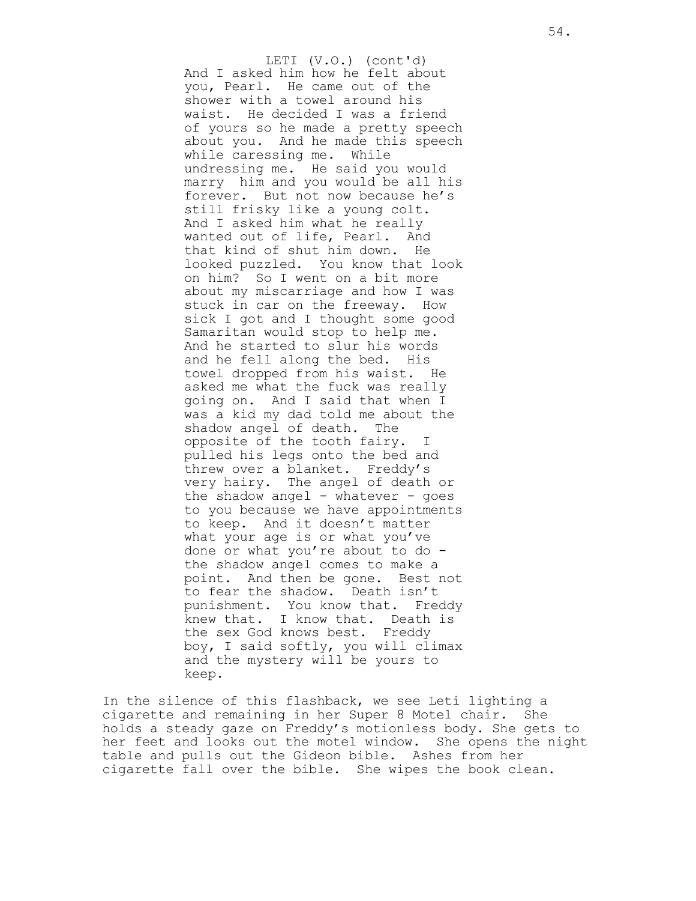And I asked him how he felt about you, Pearl. He came out of the shower with a towel around his waist. He decided I was a friend of yours so he made a pretty speech about you. And he made this speech while caressing me. While undressing me. He said you would marry him and you would be all his forever. But not now because he's still frisky like a young colt. And I asked him what he really wanted out of life, Pearl. And that kind of shut him down. He looked puzzled. You know that look on him? So I went on a bit more about my miscarriage and how I was stuck in car on the freeway. How sick I got and I thought some good Samaritan would stop to help me. And he started to slur his words and he fell along the bed. His towel dropped from his waist. He asked me what the fuck was really going on. And I said that when I was a kid my dad told me about the shadow angel of death. The opposite of the tooth fairy. I pulled his legs onto the bed and threw over a blanket. Freddy's very hairy. The angel of death or the shadow angel - whatever - goes to you because we have appointments to keep. And it doesn't matter what your age is or what you've done or what you're about to do the shadow angel comes to make a point. And then be gone. Best not to fear the shadow. Death isn't punishment. You know that. Freddy knew that. I know that. Death is the sex God knows best. Freddy boy, I said softly, you will climax and the mystery will be yours to keep. LETI (V.O.) (cont'd)

In the silence of this flashback, we see Leti lighting a cigarette and remaining in her Super 8 Motel chair. She holds a steady gaze on Freddy's motionless body. She gets to her feet and looks out the motel window. She opens the night table and pulls out the Gideon bible. Ashes from her cigarette fall over the bible. She wipes the book clean.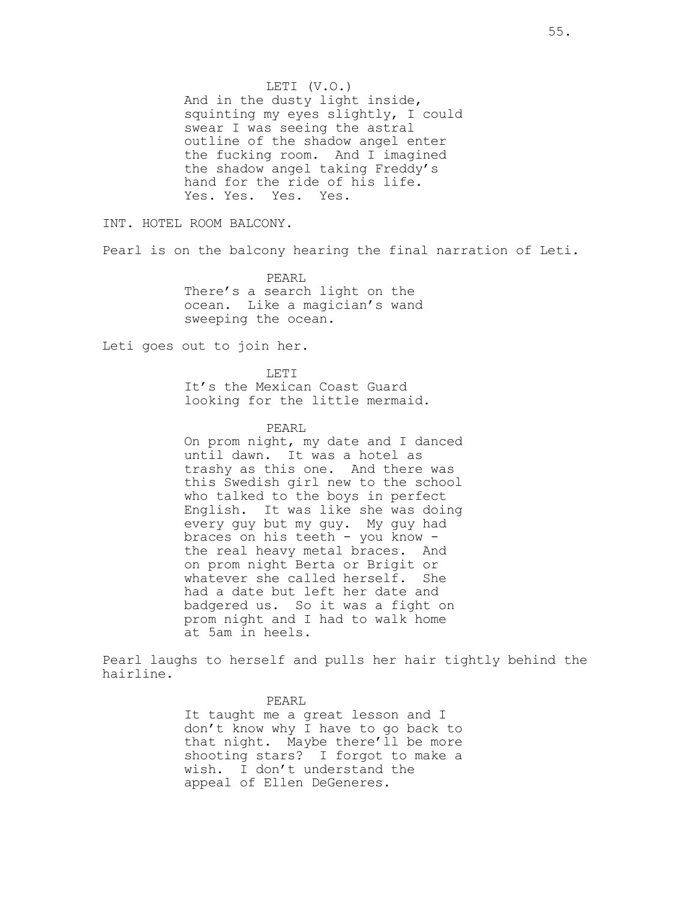LETI (V.O.) And in the dusty light inside, squinting my eyes slightly, I could swear I was seeing the astral outline of the shadow angel enter the fucking room. And I imagined the shadow angel taking Freddy's hand for the ride of his life. Yes. Yes. Yes. Yes.

INT. HOTEL ROOM BALCONY.

Pearl is on the balcony hearing the final narration of Leti.

PEARL There's a search light on the ocean. Like a magician's wand sweeping the ocean.

Leti goes out to join her.

LETT. It's the Mexican Coast Guard looking for the little mermaid.

PEARL

On prom night, my date and I danced until dawn. It was a hotel as trashy as this one. And there was this Swedish girl new to the school who talked to the boys in perfect English. It was like she was doing every guy but my guy. My guy had braces on his teeth - you know the real heavy metal braces. And on prom night Berta or Brigit or whatever she called herself. She had a date but left her date and badgered us. So it was a fight on prom night and I had to walk home at 5am in heels.

Pearl laughs to herself and pulls her hair tightly behind the hairline.

> PEARL It taught me a great lesson and I don't know why I have to go back to that night. Maybe there'll be more shooting stars? I forgot to make a wish. I don't understand the appeal of Ellen DeGeneres.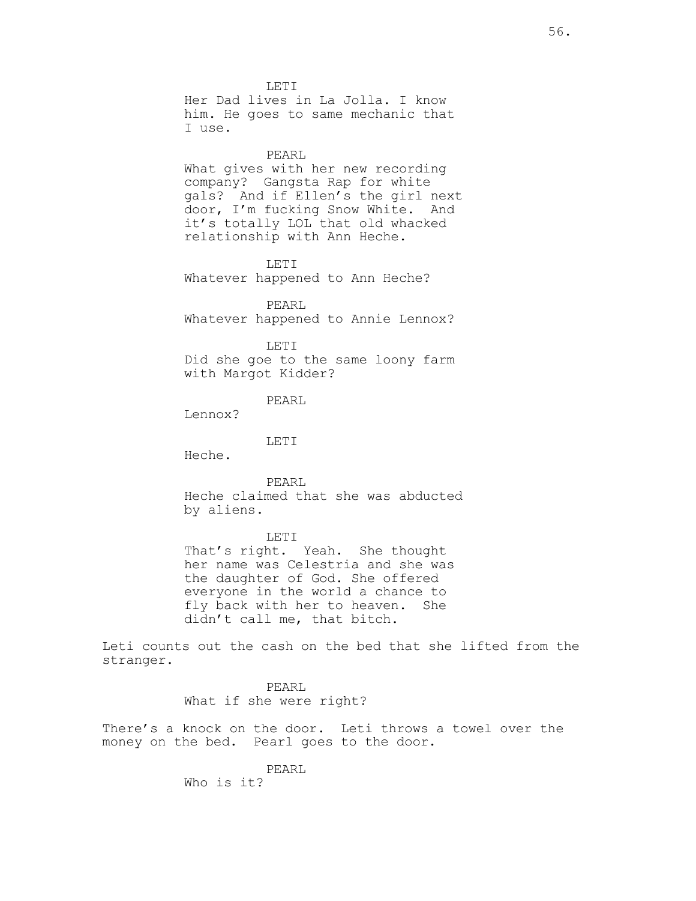LETI Her Dad lives in La Jolla. I know him. He goes to same mechanic that I use.

#### PEARL

What gives with her new recording company? Gangsta Rap for white gals? And if Ellen's the girl next door, I'm fucking Snow White. And it's totally LOL that old whacked relationship with Ann Heche.

### LETI

Whatever happened to Ann Heche?

PEARL Whatever happened to Annie Lennox?

#### LETI

Did she goe to the same loony farm with Margot Kidder?

## PEARL

Lennox?

#### LETI

Heche.

PEARL Heche claimed that she was abducted by aliens.

#### LETI

That's right. Yeah. She thought her name was Celestria and she was the daughter of God. She offered everyone in the world a chance to fly back with her to heaven. She didn't call me, that bitch.

Leti counts out the cash on the bed that she lifted from the stranger.

> PEARL What if she were right?

There's a knock on the door. Leti throws a towel over the money on the bed. Pearl goes to the door.

> PEARL Who is it?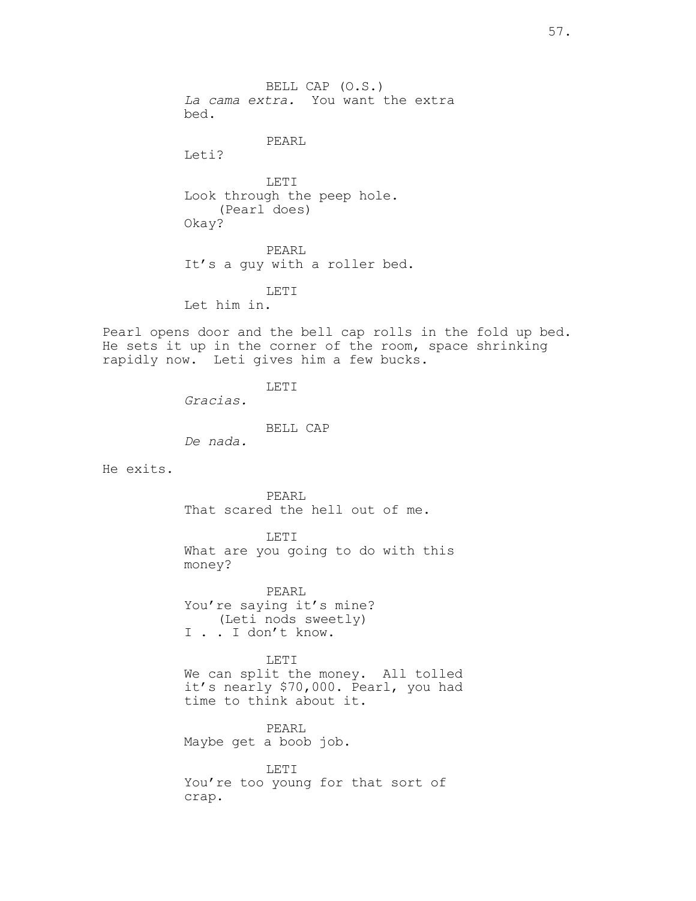BELL CAP (O.S.) La cama extra. You want the extra bed. PEARL Leti? LETI Look through the peep hole. (Pearl does) Okay? PEARL It's a guy with a roller bed. LETI Let him in. Pearl opens door and the bell cap rolls in the fold up bed. He sets it up in the corner of the room, space shrinking rapidly now. Leti gives him a few bucks. LETI Gracias. BELL CAP De nada. He exits. PEARL That scared the hell out of me. LETI What are you going to do with this money? PEARL You're saying it's mine? (Leti nods sweetly) I . . I don't know. LETI We can split the money. All tolled it's nearly \$70,000. Pearl, you had time to think about it. PEARL Maybe get a boob job. LETI You're too young for that sort of crap.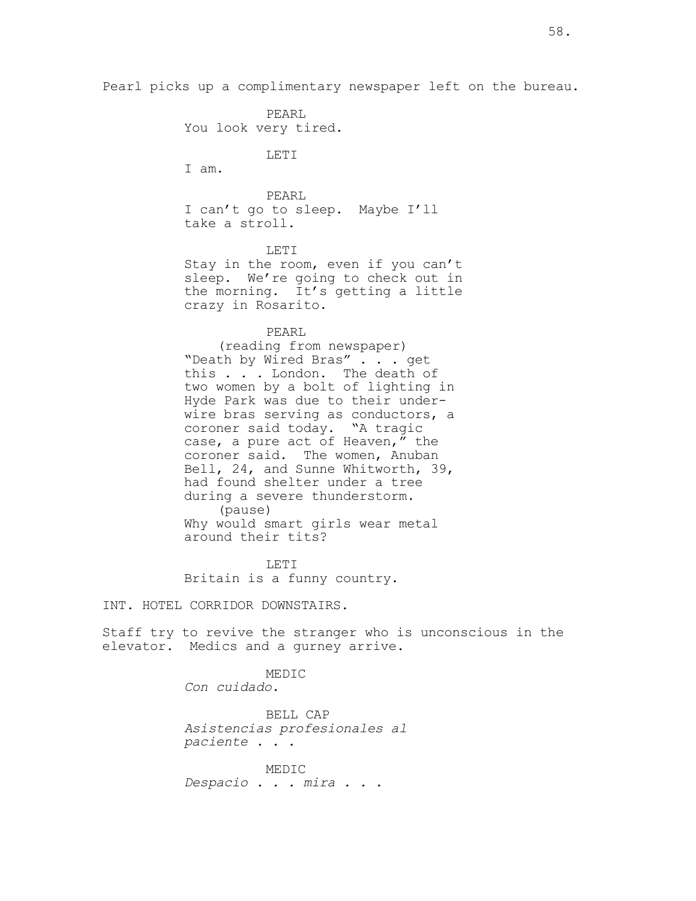Pearl picks up a complimentary newspaper left on the bureau.

PEARL You look very tired.

LETI

I am.

PEARL I can't go to sleep. Maybe I'll take a stroll.

LETT<sub>I</sub> Stay in the room, even if you can't sleep. We're going to check out in the morning. It's getting a little crazy in Rosarito.

### PEARL

(reading from newspaper) "Death by Wired Bras" . . . get this . . . London. The death of two women by a bolt of lighting in Hyde Park was due to their underwire bras serving as conductors, a coroner said today. "A tragic case, a pure act of Heaven,  $\overline{u}$  the coroner said. The women, Anuban Bell, 24, and Sunne Whitworth, 39, had found shelter under a tree during a severe thunderstorm. (pause) Why would smart girls wear metal around their tits?

LETI Britain is a funny country.

INT. HOTEL CORRIDOR DOWNSTAIRS.

Staff try to revive the stranger who is unconscious in the elevator. Medics and a gurney arrive.

> MEDIC Con cuidado.

BELL CAP Asistencias profesionales al paciente . . .

MEDIC Despacio . . . mira . . .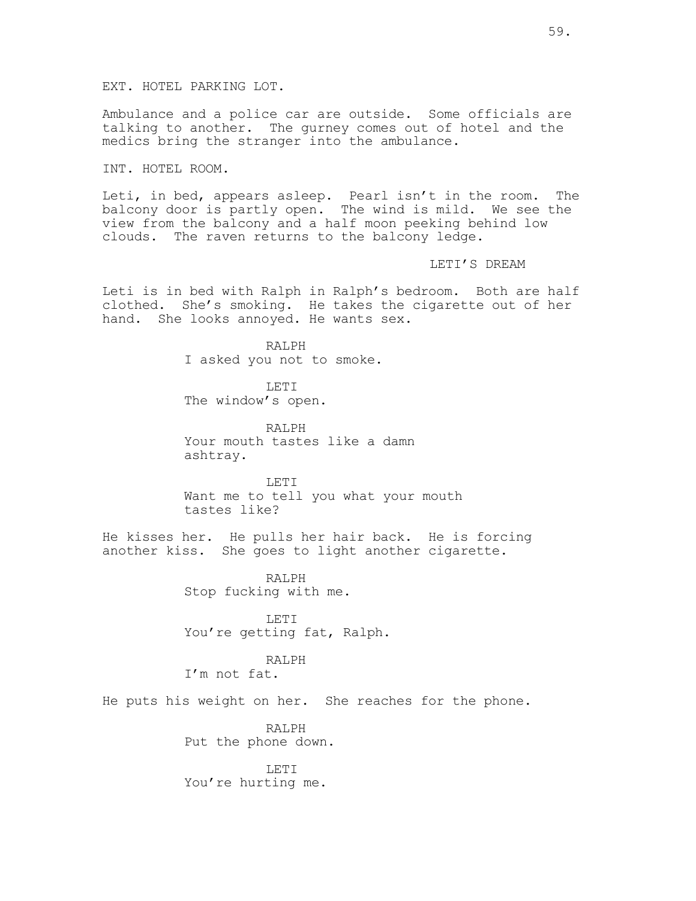Ambulance and a police car are outside. Some officials are talking to another. The gurney comes out of hotel and the medics bring the stranger into the ambulance.

INT. HOTEL ROOM.

Leti, in bed, appears asleep. Pearl isn't in the room. The balcony door is partly open. The wind is mild. We see the view from the balcony and a half moon peeking behind low clouds. The raven returns to the balcony ledge.

LETI'S DREAM

Leti is in bed with Ralph in Ralph's bedroom. Both are half clothed. She's smoking. He takes the cigarette out of her hand. She looks annoyed. He wants sex.

> RALPH I asked you not to smoke.

LETI The window's open.

RALPH Your mouth tastes like a damn ashtray.

LETI Want me to tell you what your mouth tastes like?

He kisses her. He pulls her hair back. He is forcing another kiss. She goes to light another cigarette.

> RALPH Stop fucking with me.

LETI You're getting fat, Ralph.

# RALPH

I'm not fat.

He puts his weight on her. She reaches for the phone.

RALPH Put the phone down.

LETI You're hurting me.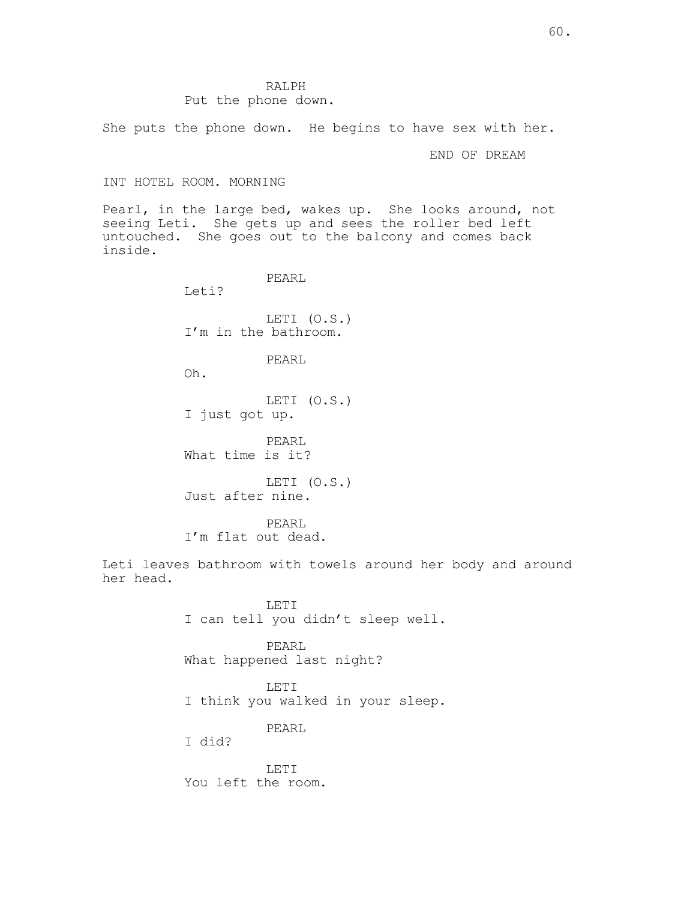## RALPH Put the phone down.

She puts the phone down. He begins to have sex with her.

END OF DREAM

## INT HOTEL ROOM. MORNING

Pearl, in the large bed, wakes up. She looks around, not seeing Leti. She gets up and sees the roller bed left untouched. She goes out to the balcony and comes back inside.

PEARL

Leti?

LETI (O.S.) I'm in the bathroom.

PEARL

Oh.

LETI (O.S.) I just got up.

PEARL What time is it?

LETI (O.S.) Just after nine.

PEARL I'm flat out dead.

Leti leaves bathroom with towels around her body and around her head.

> LETI I can tell you didn't sleep well.

PEARL What happened last night?

LETI I think you walked in your sleep.

PEARL

I did?

LETI You left the room.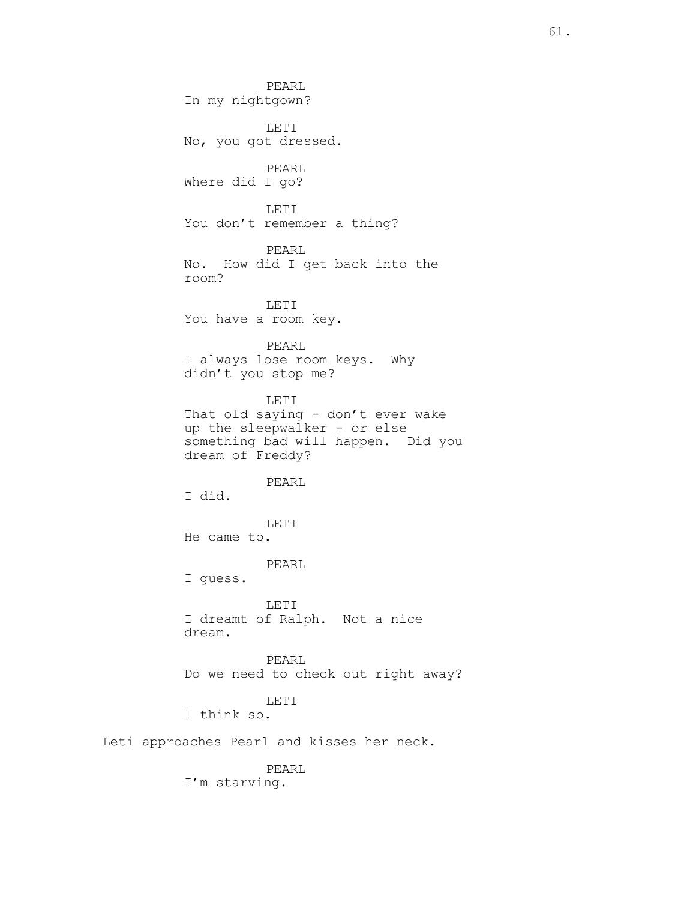PEARL In my nightgown? LETI No, you got dressed. PEARL Where did I go? LETI You don't remember a thing? PEARL No. How did I get back into the room? LETI You have a room key. PEARL I always lose room keys. Why didn't you stop me? LETI That old saying - don't ever wake up the sleepwalker - or else something bad will happen. Did you dream of Freddy? PEARL I did. LETI He came to. PEARL I guess. LETI I dreamt of Ralph. Not a nice dream. PEARL Do we need to check out right away? LETI I think so. Leti approaches Pearl and kisses her neck. PEARL

I'm starving.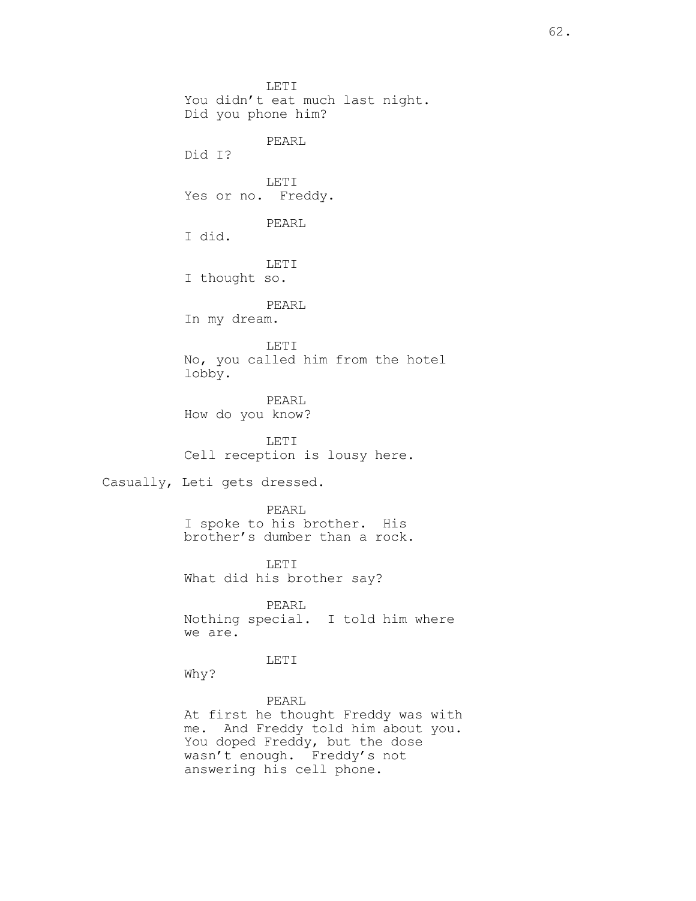LETI You didn't eat much last night. Did you phone him? PEARL Did I? LETI Yes or no. Freddy. PEARL I did. LETI I thought so. PEARL In my dream. LETI No, you called him from the hotel lobby. PEARL How do you know? LETI Cell reception is lousy here. Casually, Leti gets dressed. PEARL I spoke to his brother. His brother's dumber than a rock. LETI What did his brother say? PEARL Nothing special. I told him where we are.

LETI

Why?

PEARL At first he thought Freddy was with me. And Freddy told him about you. You doped Freddy, but the dose wasn't enough. Freddy's not answering his cell phone.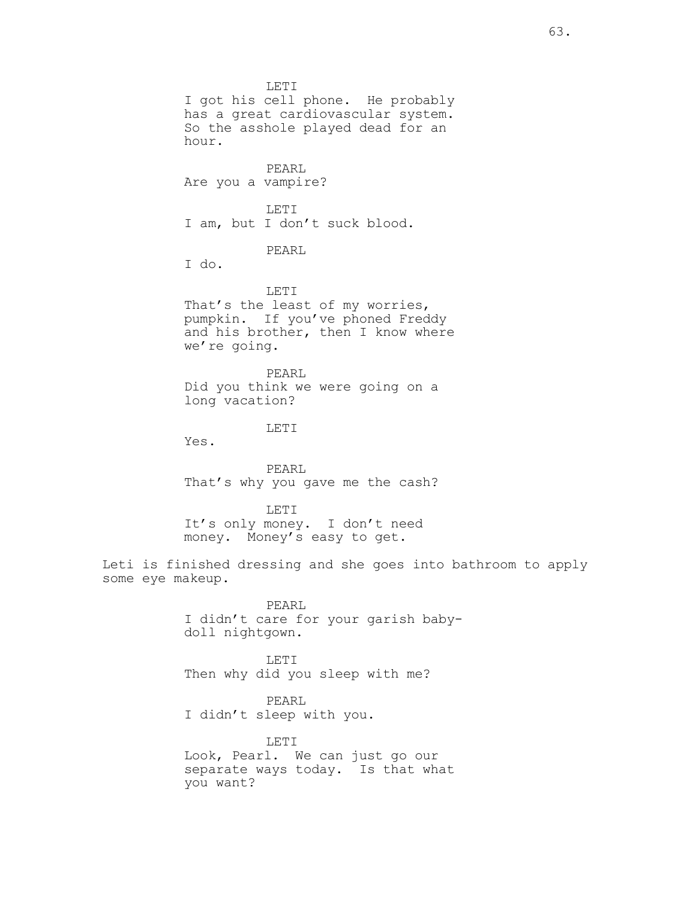LETI I got his cell phone. He probably has a great cardiovascular system. So the asshole played dead for an hour. PEARL Are you a vampire? LETI I am, but I don't suck blood. PEARL I do. LETI That's the least of my worries, pumpkin. If you've phoned Freddy and his brother, then I know where we're going. PEARL Did you think we were going on a long vacation? LET<sub>I</sub> Yes. PEARL That's why you gave me the cash? LETI It's only money. I don't need money. Money's easy to get. Leti is finished dressing and she goes into bathroom to apply some eye makeup. PEARL I didn't care for your garish babydoll nightgown. LETI Then why did you sleep with me? PEARL

> LETI Look, Pearl. We can just go our separate ways today. Is that what you want?

I didn't sleep with you.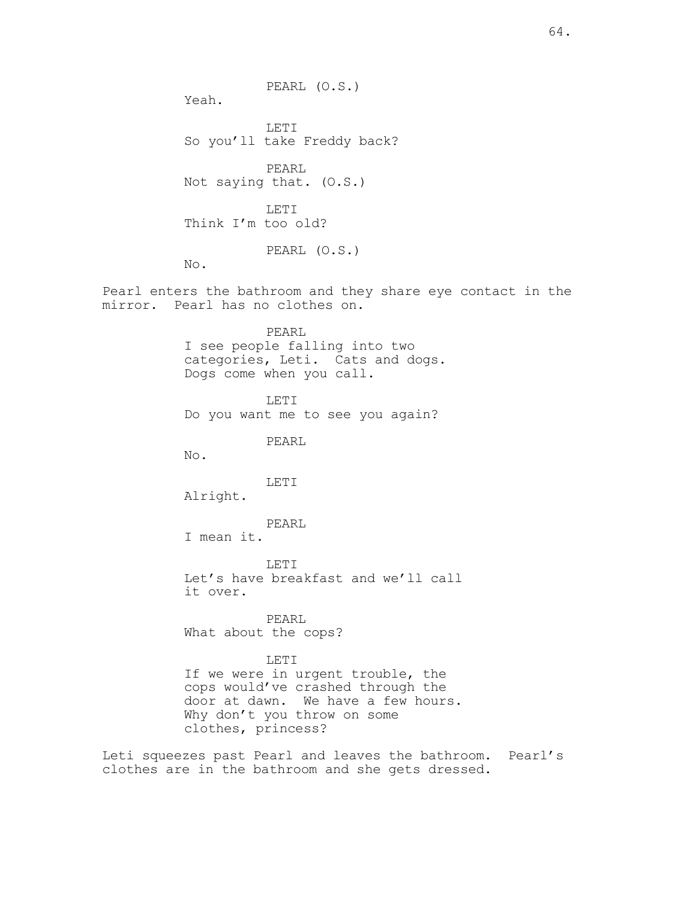64.

PEARL (O.S.)

Yeah.

LETI So you'll take Freddy back? PEARL Not saying that. (O.S.) LETI Think I'm too old? PEARL (O.S.) No. Pearl enters the bathroom and they share eye contact in the mirror. Pearl has no clothes on.

> PEARL I see people falling into two categories, Leti. Cats and dogs. Dogs come when you call.

LETI Do you want me to see you again?

PEARL

No.

LETI

Alright.

PEARL

I mean it.

LETI Let's have breakfast and we'll call it over.

PEARL What about the cops?

## LETI

If we were in urgent trouble, the cops would've crashed through the door at dawn. We have a few hours. Why don't you throw on some clothes, princess?

Leti squeezes past Pearl and leaves the bathroom. Pearl's clothes are in the bathroom and she gets dressed.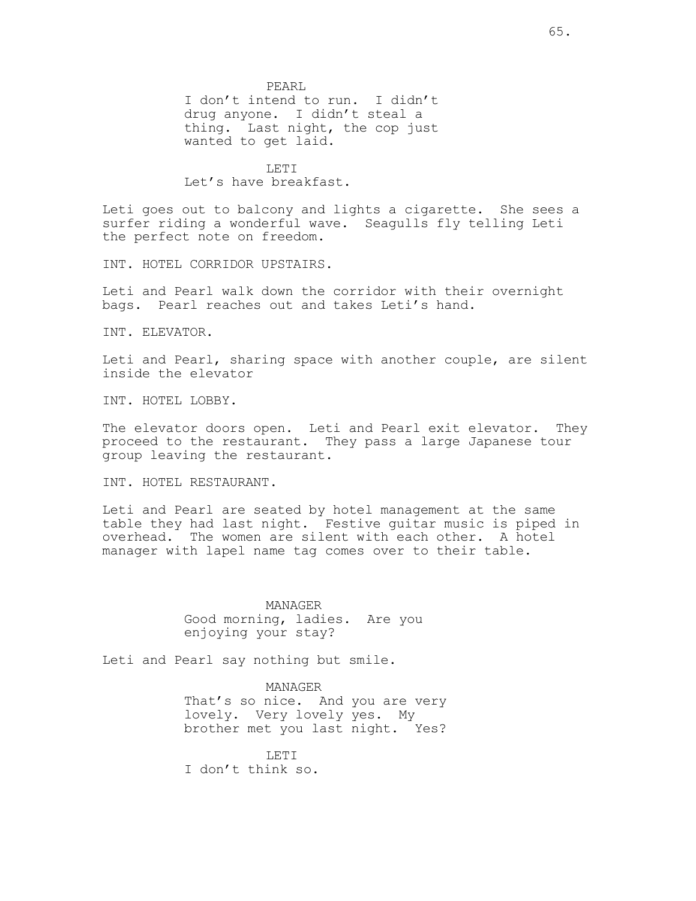PEARL I don't intend to run. I didn't drug anyone. I didn't steal a thing. Last night, the cop just wanted to get laid.

LET<sub>I</sub> Let's have breakfast.

Leti goes out to balcony and lights a cigarette. She sees a surfer riding a wonderful wave. Seagulls fly telling Leti the perfect note on freedom.

INT. HOTEL CORRIDOR UPSTAIRS.

Leti and Pearl walk down the corridor with their overnight bags. Pearl reaches out and takes Leti's hand.

INT. ELEVATOR.

Leti and Pearl, sharing space with another couple, are silent inside the elevator

INT. HOTEL LOBBY.

The elevator doors open. Leti and Pearl exit elevator. They proceed to the restaurant. They pass a large Japanese tour group leaving the restaurant.

INT. HOTEL RESTAURANT.

Leti and Pearl are seated by hotel management at the same table they had last night. Festive guitar music is piped in overhead. The women are silent with each other. A hotel manager with lapel name tag comes over to their table.

> MANAGER Good morning, ladies. Are you enjoying your stay?

Leti and Pearl say nothing but smile.

MANAGER That's so nice. And you are very lovely. Very lovely yes. My brother met you last night. Yes?

LETT. I don't think so.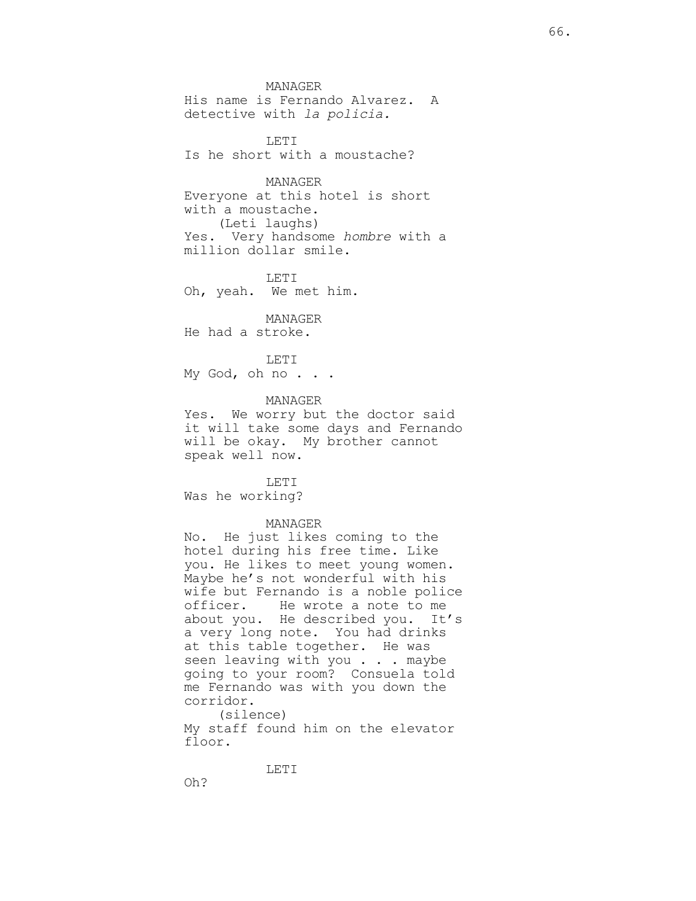MANAGER His name is Fernando Alvarez. A detective with la policia.

LETI Is he short with a moustache?

MANAGER Everyone at this hotel is short with a moustache. (Leti laughs) Yes. Very handsome hombre with a million dollar smile.

LETI Oh, yeah. We met him.

MANAGER He had a stroke.

LETI My God, oh no . . .

MANAGER Yes. We worry but the doctor said it will take some days and Fernando will be okay. My brother cannot

speak well now. LETI

Was he working?

#### MANAGER

No. He just likes coming to the hotel during his free time. Like you. He likes to meet young women. Maybe he's not wonderful with his wife but Fernando is a noble police officer. He wrote a note to me about you. He described you. It's a very long note. You had drinks at this table together. He was seen leaving with you . . . maybe going to your room? Consuela told me Fernando was with you down the corridor. (silence)

My staff found him on the elevator floor.

LETI

66.

Oh?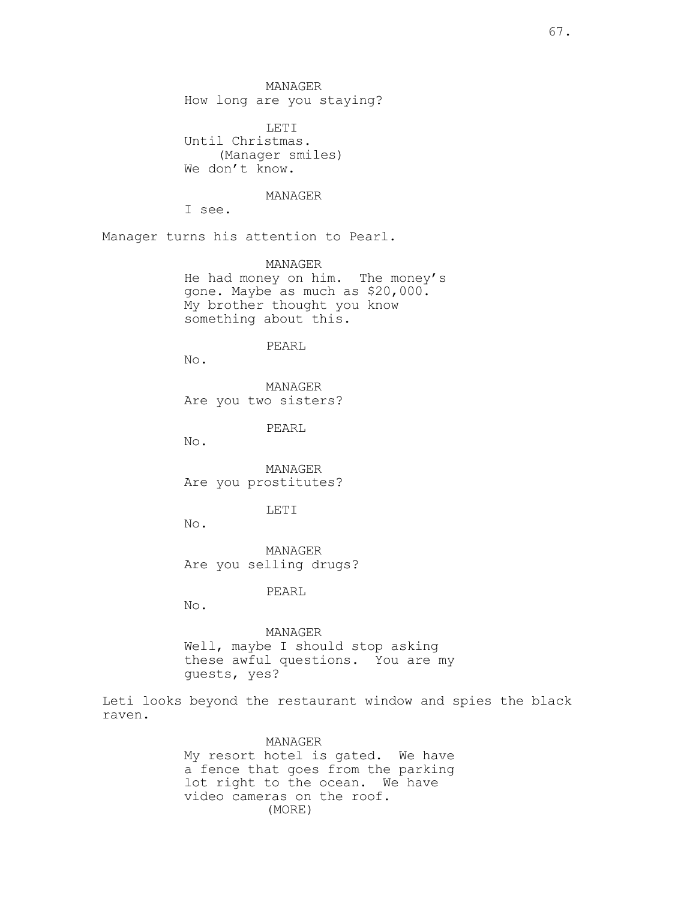MANAGER How long are you staying?

LETI Until Christmas. (Manager smiles) We don't know.

MANAGER

I see.

Manager turns his attention to Pearl.

MANAGER He had money on him. The money's gone. Maybe as much as \$20,000. My brother thought you know something about this.

#### PEARL

No.

MANAGER Are you two sisters?

PEARL

No.

MANAGER Are you prostitutes?

## LETI

No.

MANAGER Are you selling drugs?

PEARL

No.

MANAGER Well, maybe I should stop asking these awful questions. You are my guests, yes?

Leti looks beyond the restaurant window and spies the black raven.

> MANAGER My resort hotel is gated. We have a fence that goes from the parking lot right to the ocean. We have video cameras on the roof. (MORE)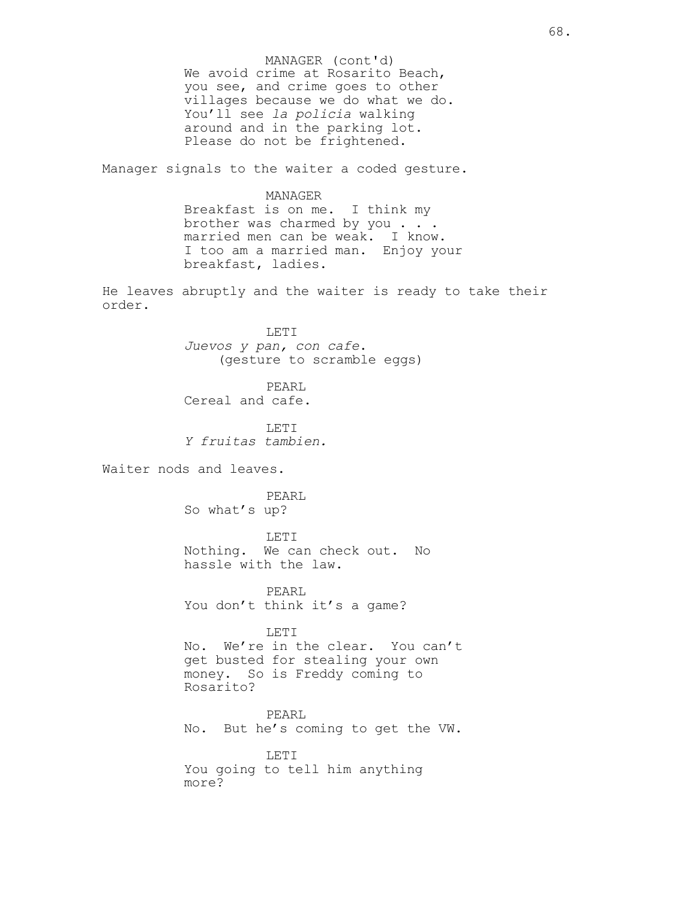We avoid crime at Rosarito Beach, you see, and crime goes to other villages because we do what we do. You'll see la policia walking around and in the parking lot. Please do not be frightened. MANAGER (cont'd)

Manager signals to the waiter a coded gesture.

## MANAGER

Breakfast is on me. I think my brother was charmed by you . . . married men can be weak. I know. I too am a married man. Enjoy your breakfast, ladies.

He leaves abruptly and the waiter is ready to take their order.

> LETI Juevos y pan, con cafe. (gesture to scramble eggs)

PEARL Cereal and cafe.

LETI Y fruitas tambien.

Waiter nods and leaves.

PEARL So what's up?

LETI Nothing. We can check out. No hassle with the law.

PEARL You don't think it's a game?

LETI

No. We're in the clear. You can't get busted for stealing your own money. So is Freddy coming to Rosarito?

PEARL No. But he's coming to get the VW.

LETI You going to tell him anything more?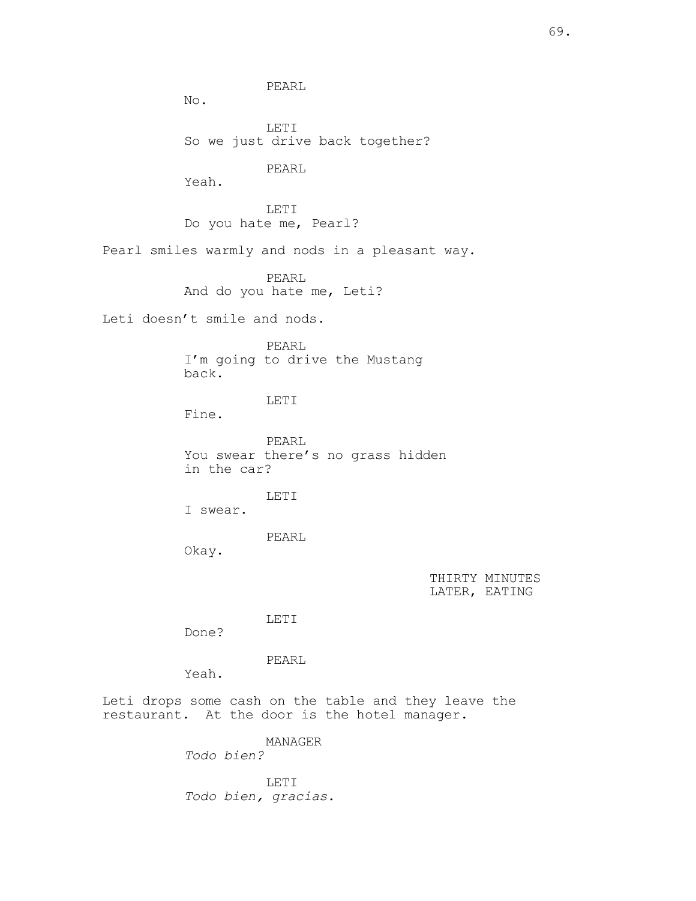69.

PEARL

No.

LETI So we just drive back together?

PEARL

Yeah.

LETI Do you hate me, Pearl?

Pearl smiles warmly and nods in a pleasant way.

PEARL And do you hate me, Leti?

Leti doesn't smile and nods.

PEARL I'm going to drive the Mustang back.

LETI

Fine.

PEARL You swear there's no grass hidden in the car?

I swear.

PEARL

LETI

Okay.

THIRTY MINUTES LATER, EATING

LETI

Done?

PEARL

Yeah.

Leti drops some cash on the table and they leave the restaurant. At the door is the hotel manager.

MANAGER

Todo bien?

LETI Todo bien, gracias.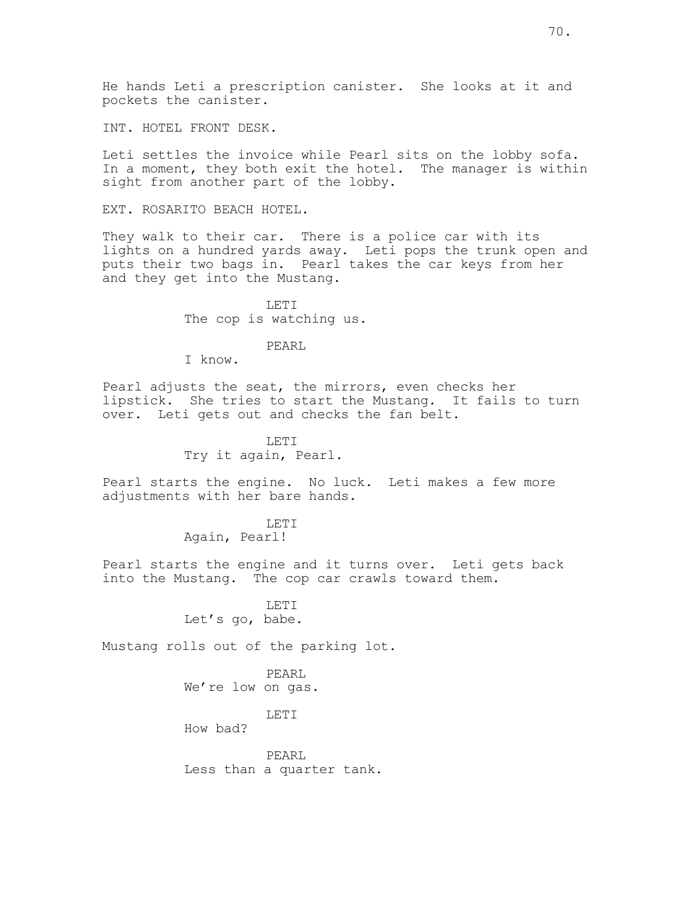INT. HOTEL FRONT DESK.

Leti settles the invoice while Pearl sits on the lobby sofa. In a moment, they both exit the hotel. The manager is within sight from another part of the lobby.

EXT. ROSARITO BEACH HOTEL.

They walk to their car. There is a police car with its lights on a hundred yards away. Leti pops the trunk open and puts their two bags in. Pearl takes the car keys from her and they get into the Mustang.

> LETI The cop is watching us.

> > PEARL

I know.

Pearl adjusts the seat, the mirrors, even checks her lipstick. She tries to start the Mustang. It fails to turn over. Leti gets out and checks the fan belt.

> LETT. Try it again, Pearl.

Pearl starts the engine. No luck. Leti makes a few more adjustments with her bare hands.

> LETI Again, Pearl!

Pearl starts the engine and it turns over. Leti gets back into the Mustang. The cop car crawls toward them.

> LETI Let's go, babe.

Mustang rolls out of the parking lot.

PEARL We're low on gas.

LETI

How bad?

PEARL Less than a quarter tank.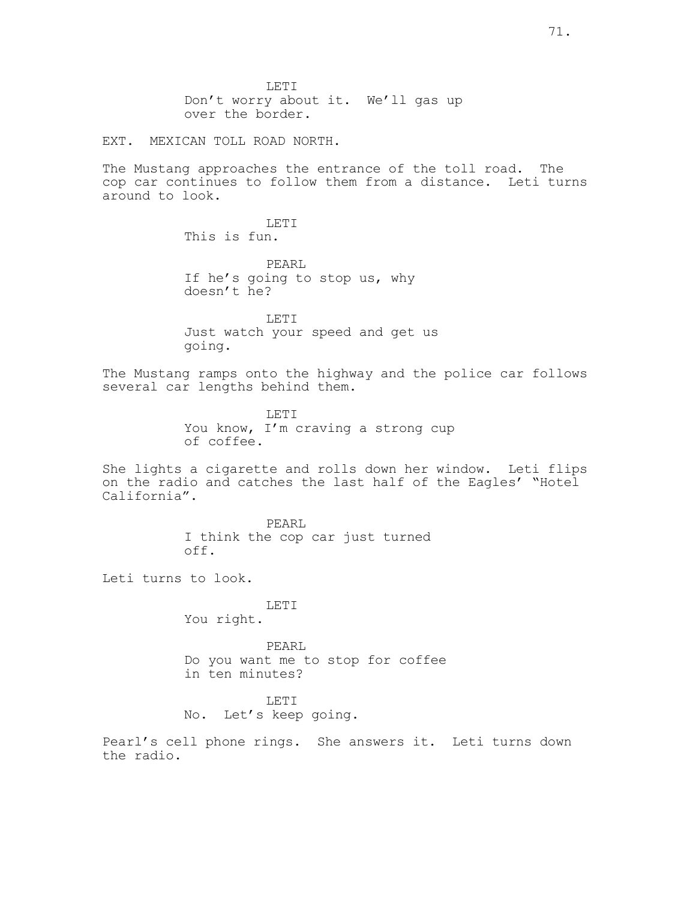LETI Don't worry about it. We'll gas up over the border.

EXT. MEXICAN TOLL ROAD NORTH.

The Mustang approaches the entrance of the toll road. The cop car continues to follow them from a distance. Leti turns around to look.

> LETI This is fun.

PEARL If he's going to stop us, why doesn't he?

LETI Just watch your speed and get us going.

The Mustang ramps onto the highway and the police car follows several car lengths behind them.

> LETI You know, I'm craving a strong cup of coffee.

She lights a cigarette and rolls down her window. Leti flips on the radio and catches the last half of the Eagles' "Hotel California".

> PEARL I think the cop car just turned off.

Leti turns to look.

LETI You right.

PEARL Do you want me to stop for coffee in ten minutes?

LETI No. Let's keep going.

Pearl's cell phone rings. She answers it. Leti turns down the radio.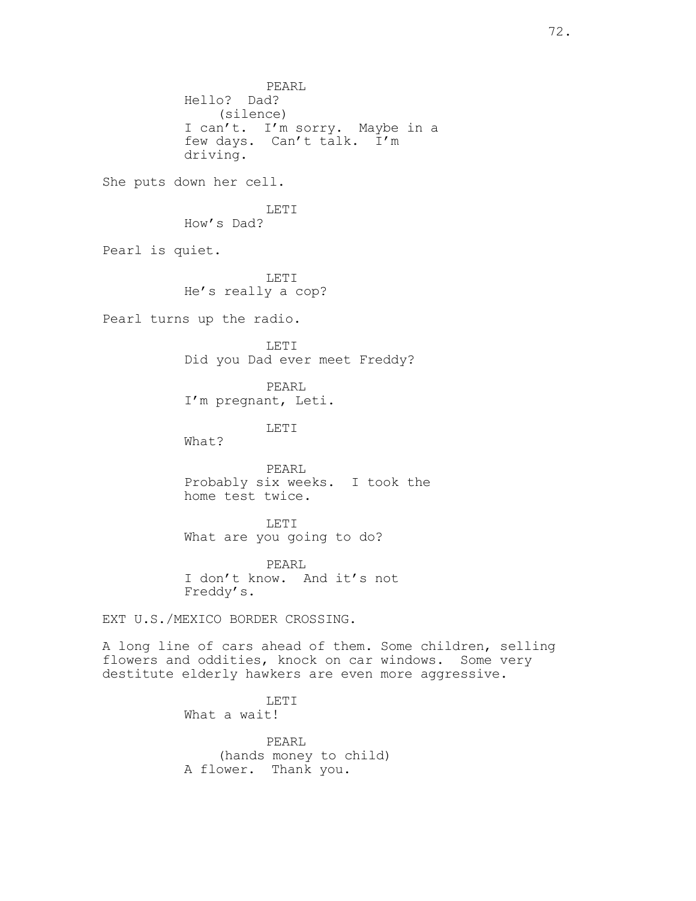PEARL Hello? Dad? (silence) I can't. I'm sorry. Maybe in a few days. Can't talk. I'm driving. She puts down her cell. LETI How's Dad? Pearl is quiet. LETI He's really a cop? Pearl turns up the radio. LETI Did you Dad ever meet Freddy? PEARL I'm pregnant, Leti. LETT. What? PEARL Probably six weeks. I took the home test twice. LETI What are you going to do? PEARL I don't know. And it's not Freddy's. EXT U.S./MEXICO BORDER CROSSING. A long line of cars ahead of them. Some children, selling flowers and oddities, knock on car windows. Some very destitute elderly hawkers are even more aggressive. LETI What a wait!

> PEARL (hands money to child) A flower. Thank you.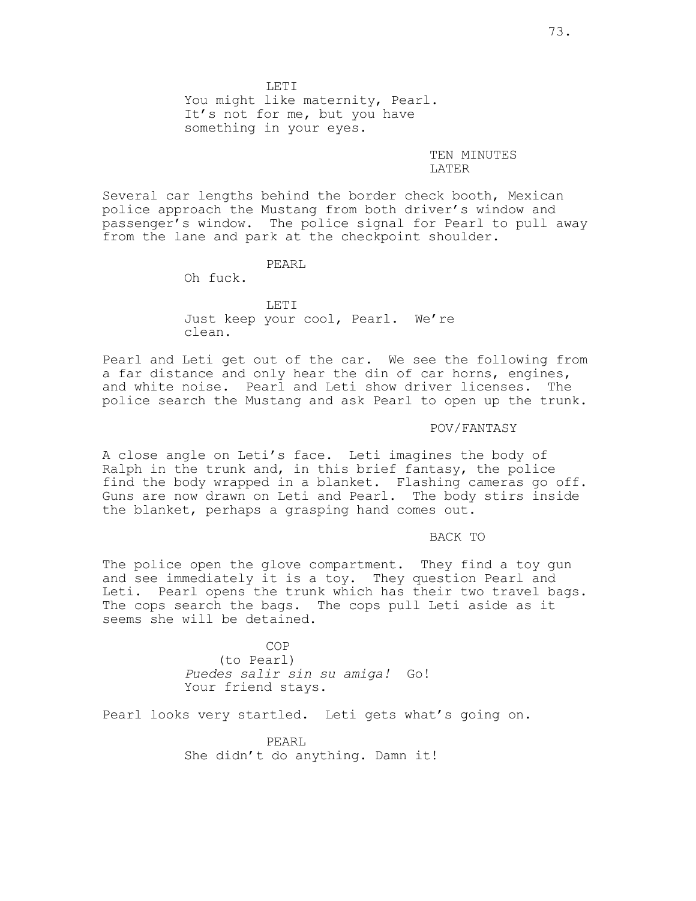LETI You might like maternity, Pearl. It's not for me, but you have something in your eyes.

### TEN MINUTES LATER

Several car lengths behind the border check booth, Mexican police approach the Mustang from both driver's window and passenger's window. The police signal for Pearl to pull away from the lane and park at the checkpoint shoulder.

## PEARL

Oh fuck.

LETI Just keep your cool, Pearl. We're clean.

Pearl and Leti get out of the car. We see the following from a far distance and only hear the din of car horns, engines, and white noise. Pearl and Leti show driver licenses. The police search the Mustang and ask Pearl to open up the trunk.

## POV/FANTASY

A close angle on Leti's face. Leti imagines the body of Ralph in the trunk and, in this brief fantasy, the police find the body wrapped in a blanket. Flashing cameras go off. Guns are now drawn on Leti and Pearl. The body stirs inside the blanket, perhaps a grasping hand comes out.

#### BACK TO

The police open the glove compartment. They find a toy gun and see immediately it is a toy. They question Pearl and Leti. Pearl opens the trunk which has their two travel bags. The cops search the bags. The cops pull Leti aside as it seems she will be detained.

> COP (to Pearl) Puedes salir sin su amiga! Go! Your friend stays.

Pearl looks very startled. Leti gets what's going on.

PEARL She didn't do anything. Damn it!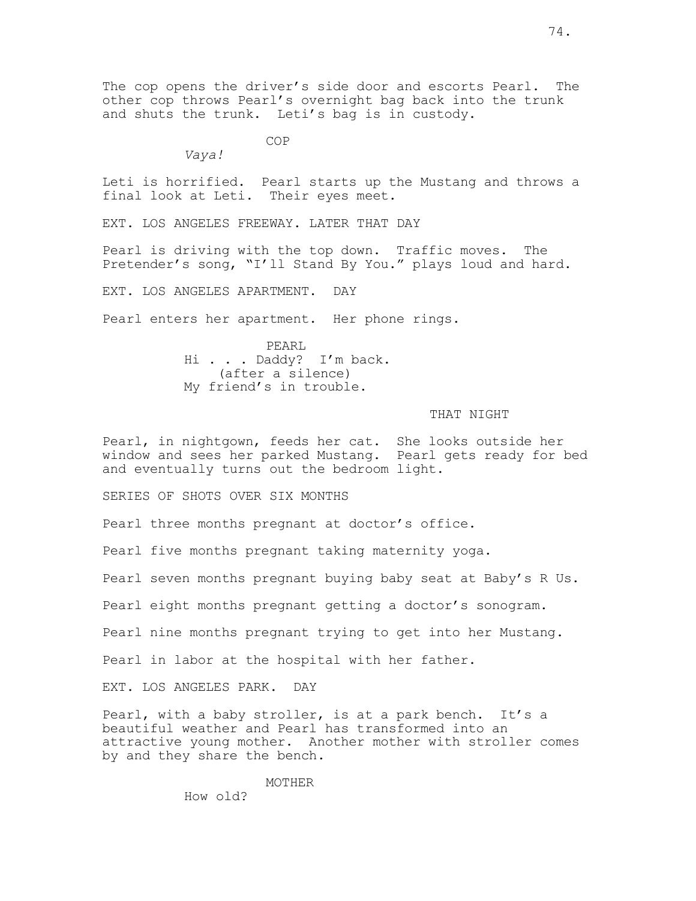The cop opens the driver's side door and escorts Pearl. The other cop throws Pearl's overnight bag back into the trunk and shuts the trunk. Leti's bag is in custody.

COP

Vaya!

Leti is horrified. Pearl starts up the Mustang and throws a final look at Leti. Their eyes meet.

EXT. LOS ANGELES FREEWAY. LATER THAT DAY

Pearl is driving with the top down. Traffic moves. The Pretender's song, "I'll Stand By You." plays loud and hard.

EXT. LOS ANGELES APARTMENT. DAY

Pearl enters her apartment. Her phone rings.

PEARL Hi . . . Daddy? I'm back. (after a silence) My friend's in trouble.

#### THAT NIGHT

Pearl, in nightgown, feeds her cat. She looks outside her window and sees her parked Mustang. Pearl gets ready for bed and eventually turns out the bedroom light.

SERIES OF SHOTS OVER SIX MONTHS

Pearl three months pregnant at doctor's office.

Pearl five months pregnant taking maternity yoga.

Pearl seven months pregnant buying baby seat at Baby's R Us.

Pearl eight months pregnant getting a doctor's sonogram.

Pearl nine months pregnant trying to get into her Mustang.

Pearl in labor at the hospital with her father.

EXT. LOS ANGELES PARK. DAY

Pearl, with a baby stroller, is at a park bench. It's a beautiful weather and Pearl has transformed into an attractive young mother. Another mother with stroller comes by and they share the bench.

MOTHER

How old?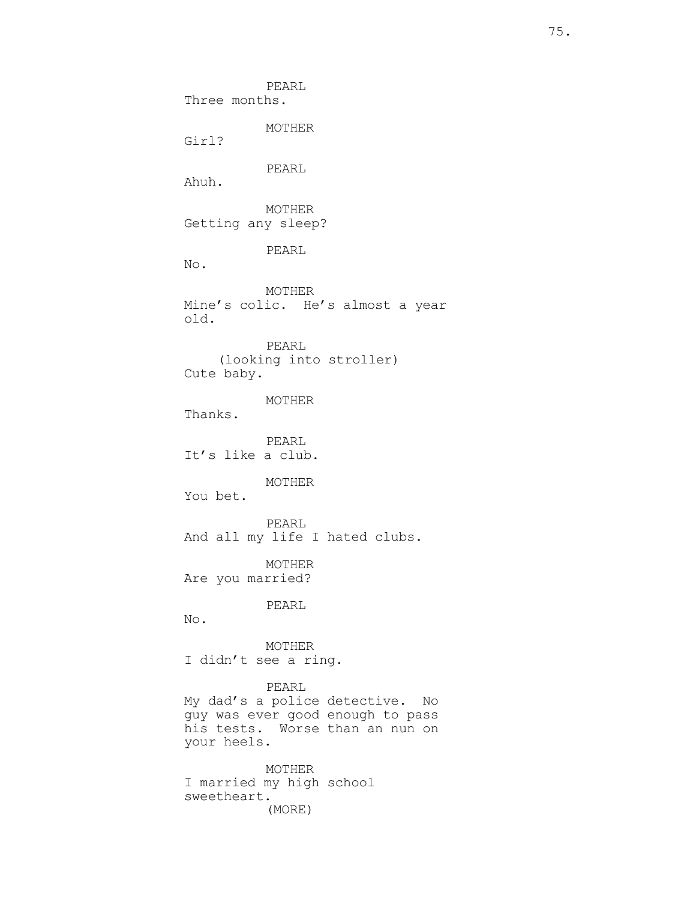PEARL Three months. MOTHER Girl? PEARL Ahuh. MOTHER Getting any sleep? PEARL No. MOTHER Mine's colic. He's almost a year old. PEARL (looking into stroller) Cute baby. MOTHER Thanks. PEARL It's like a club. MOTHER You bet. PEARL And all my life I hated clubs. MOTHER Are you married? PEARL No. MOTHER I didn't see a ring. PEARL My dad's a police detective. No guy was ever good enough to pass his tests. Worse than an nun on your heels. MOTHER I married my high school sweetheart. (MORE)

75.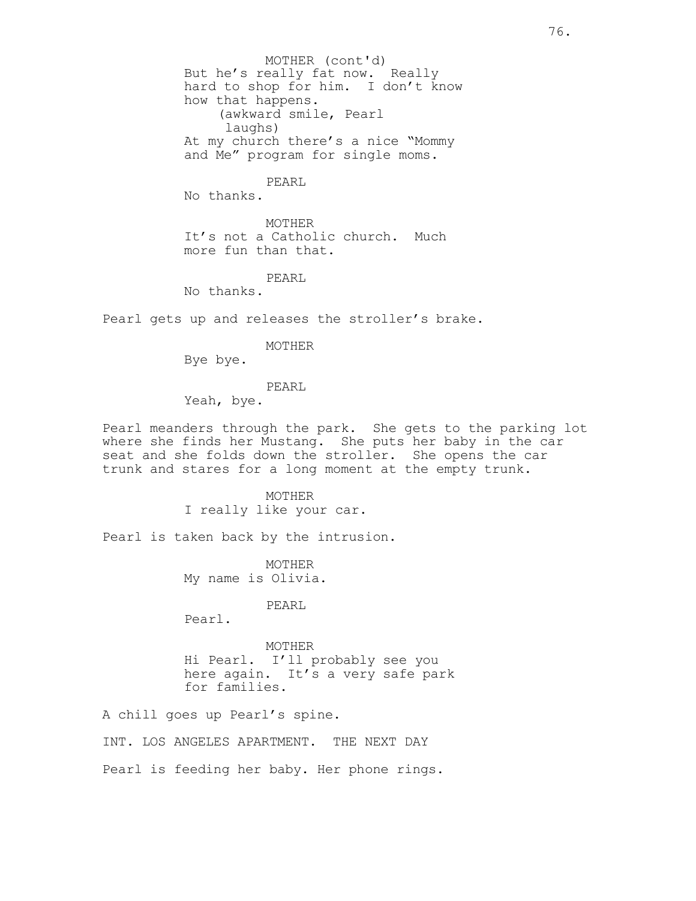But he's really fat now. Really hard to shop for him. I don't know how that happens. (awkward smile, Pearl laughs) At my church there's a nice "Mommy and Me" program for single moms. MOTHER (cont'd)

## PEARL

No thanks.

MOTHER It's not a Catholic church. Much more fun than that.

PEARL

No thanks.

Pearl gets up and releases the stroller's brake.

MOTHER

Bye bye.

PEARL

Yeah, bye.

Pearl meanders through the park. She gets to the parking lot where she finds her Mustang. She puts her baby in the car seat and she folds down the stroller. She opens the car trunk and stares for a long moment at the empty trunk.

> MOTHER I really like your car.

Pearl is taken back by the intrusion.

MOTHER My name is Olivia.

PEARL

Pearl.

MOTHER Hi Pearl. I'll probably see you here again. It's a very safe park for families.

A chill goes up Pearl's spine.

INT. LOS ANGELES APARTMENT. THE NEXT DAY

Pearl is feeding her baby. Her phone rings.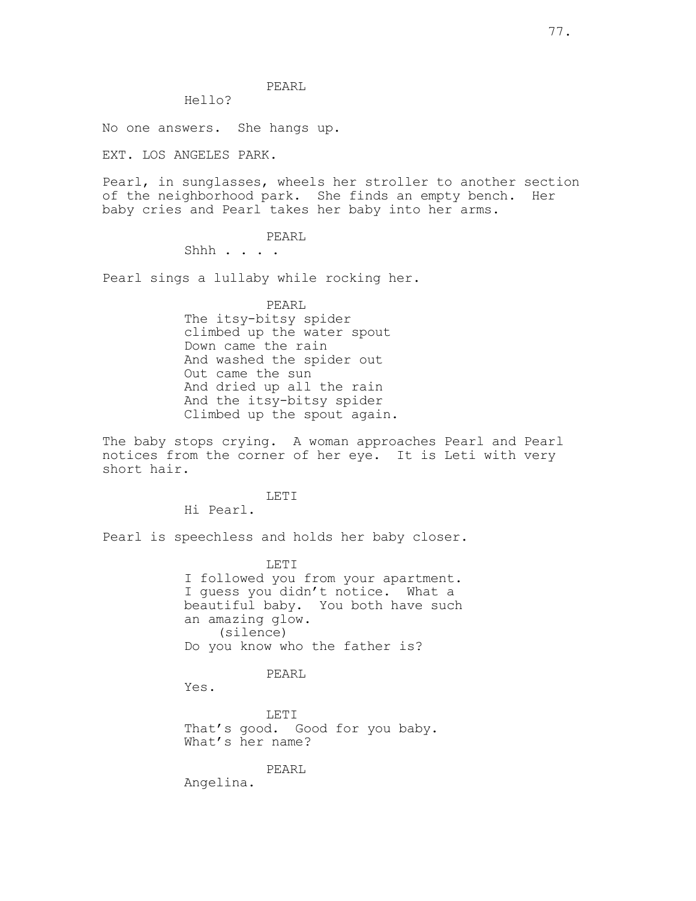## PEARL

# Hello?

No one answers. She hangs up.

EXT. LOS ANGELES PARK.

Pearl, in sunglasses, wheels her stroller to another section of the neighborhood park. She finds an empty bench. Her baby cries and Pearl takes her baby into her arms.

## PEARL

Shhh . . . .

Pearl sings a lullaby while rocking her.

PEARL The itsy-bitsy spider climbed up the water spout Down came the rain And washed the spider out Out came the sun And dried up all the rain And the itsy-bitsy spider Climbed up the spout again.

The baby stops crying. A woman approaches Pearl and Pearl notices from the corner of her eye. It is Leti with very short hair.

LETI

Hi Pearl.

Pearl is speechless and holds her baby closer.

LETI I followed you from your apartment. I guess you didn't notice. What a beautiful baby. You both have such an amazing glow. (silence) Do you know who the father is?

### PEARL

Yes.

LETI That's good. Good for you baby. What's her name?

PEARL

Angelina.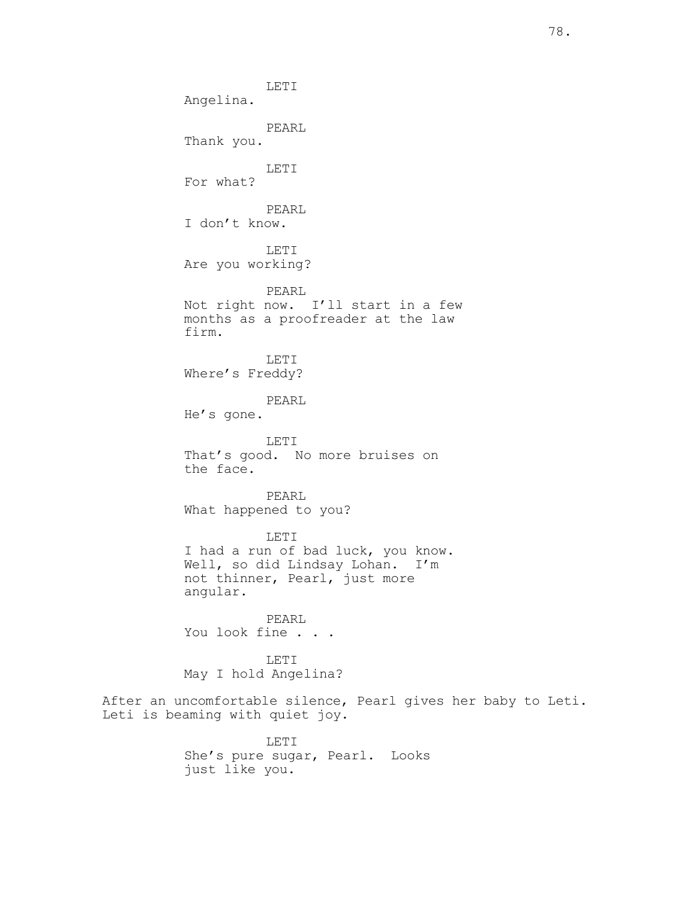LETI Angelina. PEARL Thank you. LETI For what? PEARL I don't know. LETI Are you working? PEARL Not right now. I'll start in a few months as a proofreader at the law firm. LETI Where's Freddy? PEARL He's gone. LETI That's good. No more bruises on the face. PEARL What happened to you? LETI I had a run of bad luck, you know. Well, so did Lindsay Lohan. I'm not thinner, Pearl, just more angular. PEARL You look fine . . . LETI May I hold Angelina? After an uncomfortable silence, Pearl gives her baby to Leti. Leti is beaming with quiet joy. LETI She's pure sugar, Pearl. Looks

just like you.

78.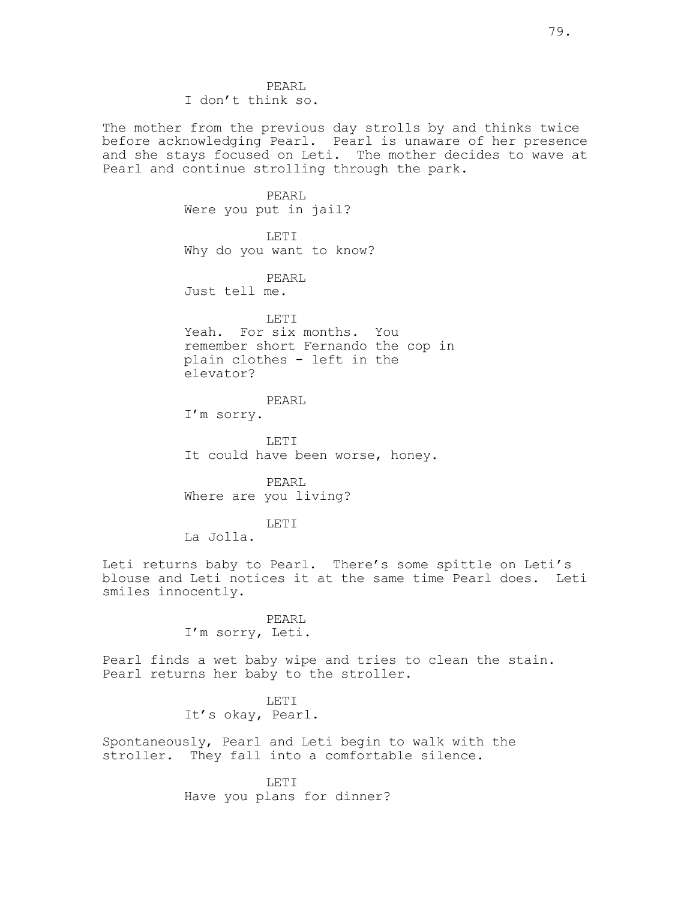PEARL I don't think so.

The mother from the previous day strolls by and thinks twice before acknowledging Pearl. Pearl is unaware of her presence and she stays focused on Leti. The mother decides to wave at Pearl and continue strolling through the park.

> PEARL Were you put in jail? LETI Why do you want to know? PEARL Just tell me. LETI

Yeah. For six months. You remember short Fernando the cop in plain clothes - left in the elevator?

# PEARL

I'm sorry.

LETI It could have been worse, honey.

PEARL Where are you living?

LETI

La Jolla.

Leti returns baby to Pearl. There's some spittle on Leti's blouse and Leti notices it at the same time Pearl does. Leti smiles innocently.

> PEARL I'm sorry, Leti.

Pearl finds a wet baby wipe and tries to clean the stain. Pearl returns her baby to the stroller.

> LETT<sub>I</sub> It's okay, Pearl.

Spontaneously, Pearl and Leti begin to walk with the stroller. They fall into a comfortable silence.

> LETI Have you plans for dinner?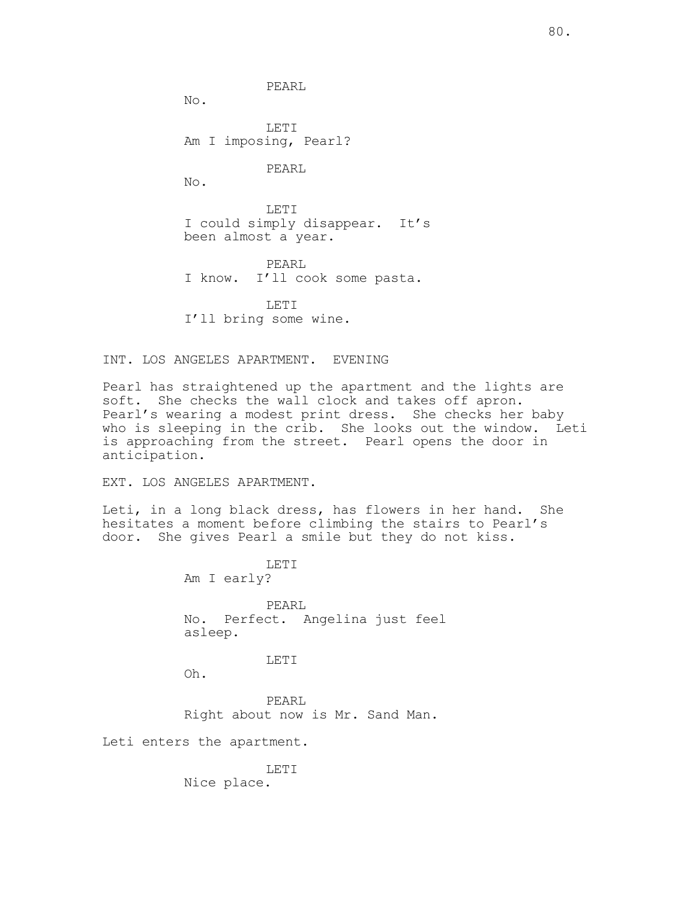PEARL

No.

LETI Am I imposing, Pearl?

PEARL

No.

LETI I could simply disappear. It's been almost a year.

PEARL I know. I'll cook some pasta.

LETI I'll bring some wine.

INT. LOS ANGELES APARTMENT. EVENING

Pearl has straightened up the apartment and the lights are soft. She checks the wall clock and takes off apron. Pearl's wearing a modest print dress. She checks her baby who is sleeping in the crib. She looks out the window. Leti is approaching from the street. Pearl opens the door in anticipation.

EXT. LOS ANGELES APARTMENT.

Leti, in a long black dress, has flowers in her hand. She hesitates a moment before climbing the stairs to Pearl's door. She gives Pearl a smile but they do not kiss.

> LETI Am I early? PEARL No. Perfect. Angelina just feel asleep. LETI

Oh.

PEARL Right about now is Mr. Sand Man.

Leti enters the apartment.

LETI Nice place.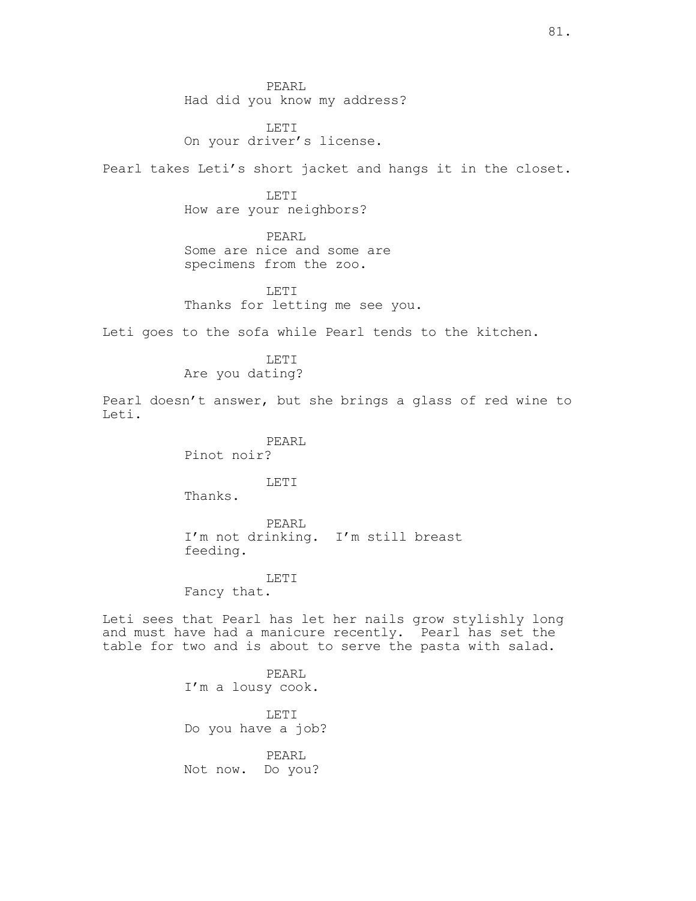PEARL Had did you know my address?

LETI On your driver's license.

Pearl takes Leti's short jacket and hangs it in the closet.

LETI How are your neighbors?

PEARL Some are nice and some are specimens from the zoo.

LETI Thanks for letting me see you.

Leti goes to the sofa while Pearl tends to the kitchen.

LETI Are you dating?

Pearl doesn't answer, but she brings a glass of red wine to Leti.

> PEARL Pinot noir?

> > LETI

Thanks.

PEARL I'm not drinking. I'm still breast feeding.

LETI

Fancy that.

Leti sees that Pearl has let her nails grow stylishly long and must have had a manicure recently. Pearl has set the table for two and is about to serve the pasta with salad.

> PEARL I'm a lousy cook.

LETI Do you have a job?

PEARL Not now. Do you?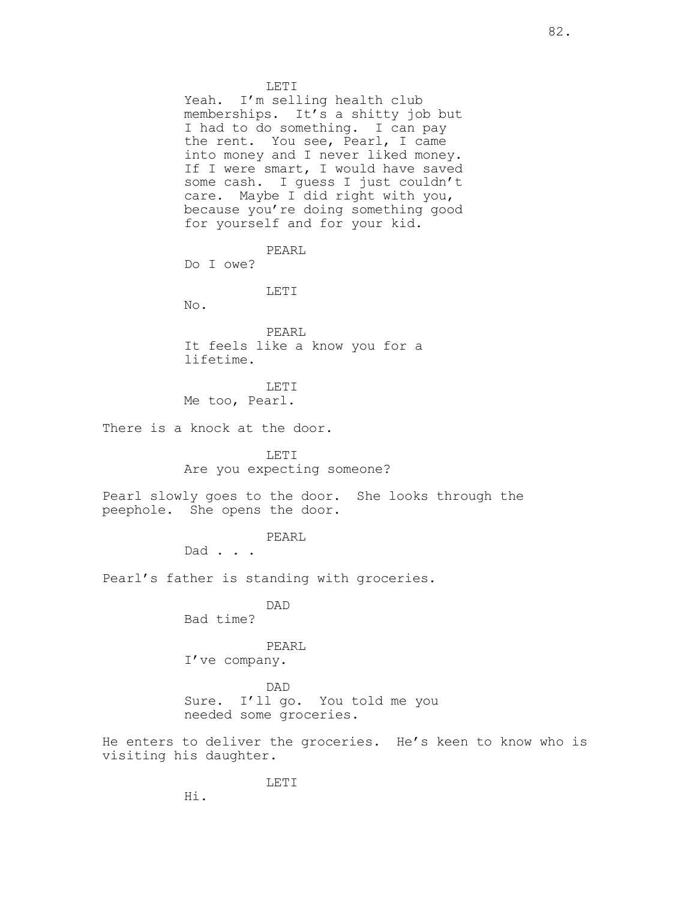LETI Yeah. I'm selling health club memberships. It's a shitty job but I had to do something. I can pay the rent. You see, Pearl, I came into money and I never liked money. If I were smart, I would have saved some cash. I guess I just couldn't care. Maybe I did right with you, because you're doing something good for yourself and for your kid. PEARL Do I owe? LETI No. PEARL It feels like a know you for a lifetime. LETI Me too, Pearl. There is a knock at the door. LETI Are you expecting someone? Pearl slowly goes to the door. She looks through the peephole. She opens the door. PEARL Dad . . . Pearl's father is standing with groceries. DAD Bad time? PEARL I've company. DAD Sure. I'll go. You told me you needed some groceries.

He enters to deliver the groceries. He's keen to know who is visiting his daughter.

Hi.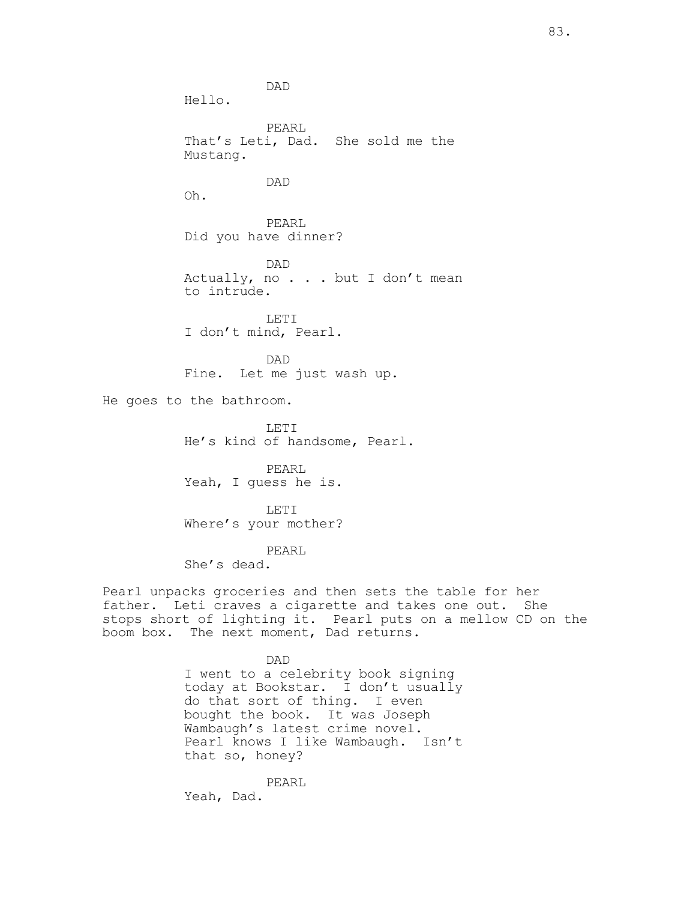DAD Hello. PEARL That's Leti, Dad. She sold me the Mustang. DAD Oh. PEARL Did you have dinner? DAD Actually, no . . . but I don't mean to intrude. LETI I don't mind, Pearl. DAD Fine. Let me just wash up. He goes to the bathroom. LETI He's kind of handsome, Pearl. PEARL Yeah, I guess he is. LETI Where's your mother? PEARL She's dead. Pearl unpacks groceries and then sets the table for her

father. Leti craves a cigarette and takes one out. She stops short of lighting it. Pearl puts on a mellow CD on the boom box. The next moment, Dad returns.

> DAD I went to a celebrity book signing today at Bookstar. I don't usually do that sort of thing. I even bought the book. It was Joseph Wambaugh's latest crime novel. Pearl knows I like Wambaugh. Isn't that so, honey?

PEARL Yeah, Dad.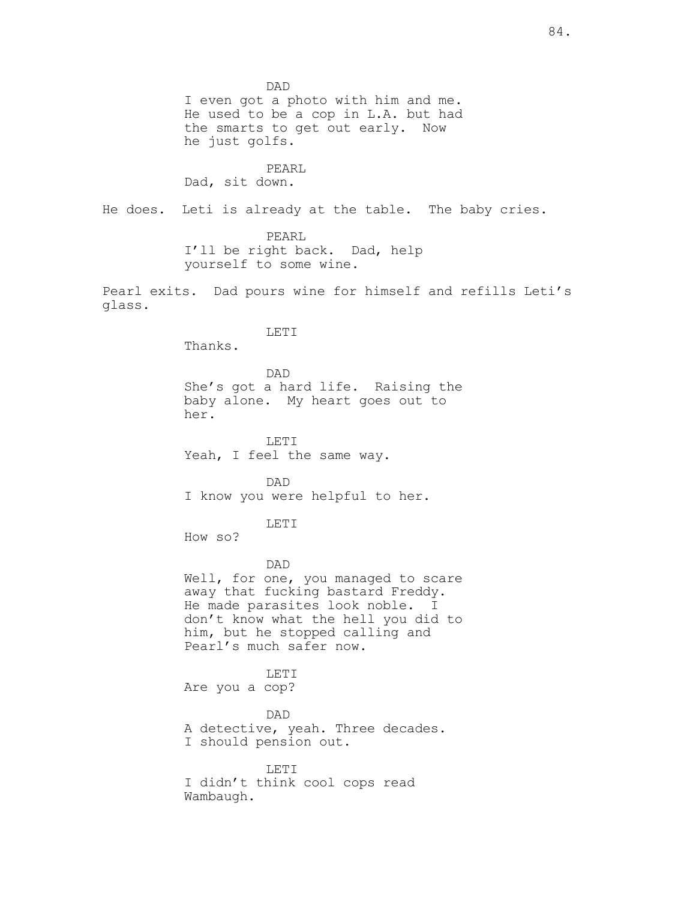DAD I even got a photo with him and me. He used to be a cop in L.A. but had the smarts to get out early. Now he just golfs.

PEARL Dad, sit down.

He does. Leti is already at the table. The baby cries.

PEARL I'll be right back. Dad, help yourself to some wine.

Pearl exits. Dad pours wine for himself and refills Leti's glass.

LETI

Thanks.

DAD She's got a hard life. Raising the baby alone. My heart goes out to her.

LETI Yeah, I feel the same way.

DAD I know you were helpful to her.

LETI

How so?

#### DAD

Well, for one, you managed to scare away that fucking bastard Freddy. He made parasites look noble. I don't know what the hell you did to him, but he stopped calling and Pearl's much safer now.

LETI Are you a cop?

## DAD

A detective, yeah. Three decades. I should pension out.

LETI

I didn't think cool cops read Wambaugh.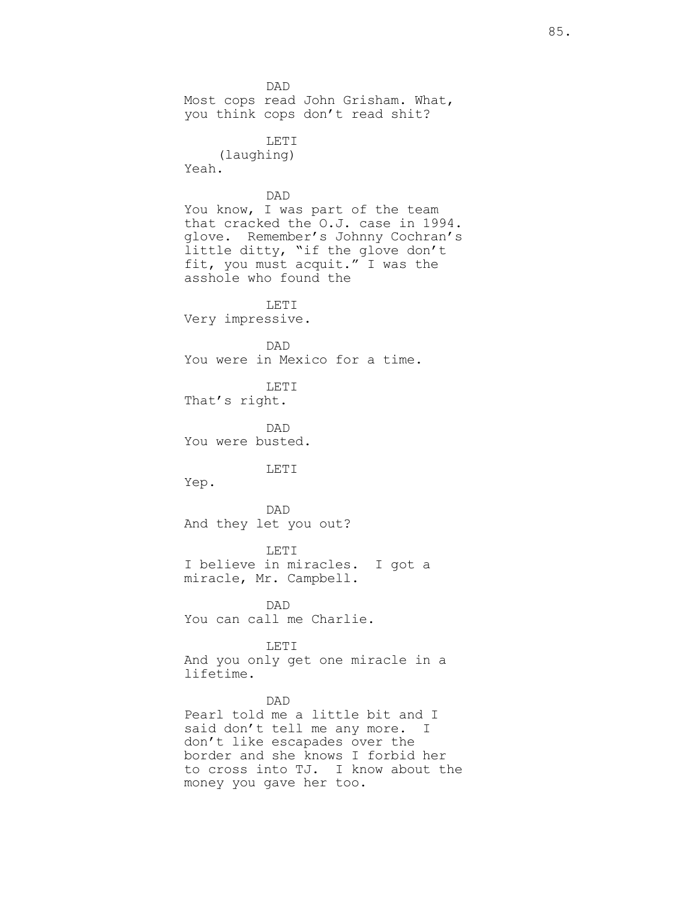DAD Most cops read John Grisham. What, you think cops don't read shit? LETI (laughing) Yeah. DAD You know, I was part of the team that cracked the O.J. case in 1994. glove. Remember's Johnny Cochran's little ditty, "if the glove don't fit, you must acquit." I was the asshole who found the LETI Very impressive. DAD You were in Mexico for a time. LETI That's right. DAD You were busted. LETI Yep. DAD And they let you out? LETI I believe in miracles. I got a miracle, Mr. Campbell. DAD You can call me Charlie. LETI And you only get one miracle in a lifetime. DAD Pearl told me a little bit and I said don't tell me any more. I don't like escapades over the border and she knows I forbid her to cross into TJ. I know about the money you gave her too.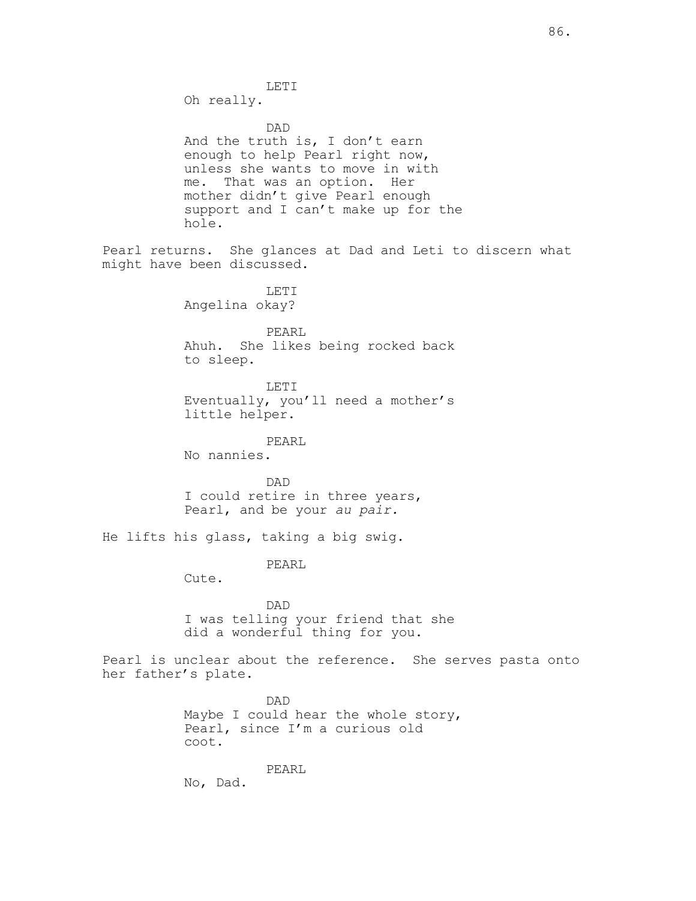LETI Oh really. DAD And the truth is, I don't earn enough to help Pearl right now, unless she wants to move in with me. That was an option. Her mother didn't give Pearl enough support and I can't make up for the hole. Pearl returns. She glances at Dad and Leti to discern what might have been discussed. LETI Angelina okay? PEARL Ahuh. She likes being rocked back to sleep. LETI Eventually, you'll need a mother's little helper. PEARL No nannies. DAD I could retire in three years, Pearl, and be your au pair. He lifts his glass, taking a big swig. PEARL Cute. DAD I was telling your friend that she did a wonderful thing for you. Pearl is unclear about the reference. She serves pasta onto her father's plate. DAD Maybe I could hear the whole story, Pearl, since I'm a curious old coot. PEARL No, Dad.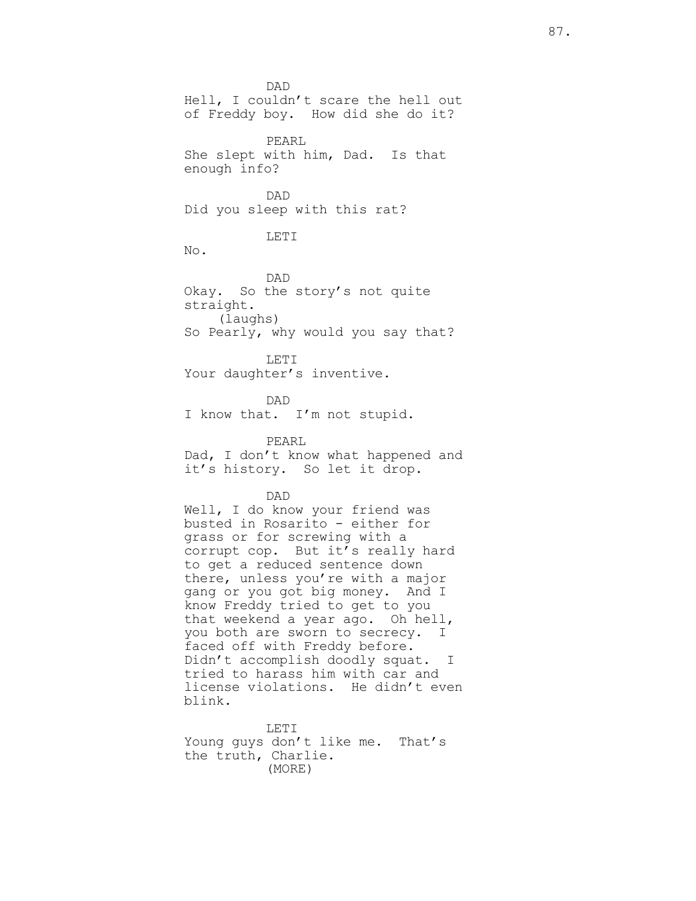DAD Hell, I couldn't scare the hell out of Freddy boy. How did she do it? PEARL She slept with him, Dad. Is that enough info? DAD Did you sleep with this rat? LETI No. DAD Okay. So the story's not quite straight. (laughs) So Pearly, why would you say that? LETI Your daughter's inventive. DAD I know that. I'm not stupid. PEARL Dad, I don't know what happened and it's history. So let it drop. DAD Well, I do know your friend was busted in Rosarito - either for grass or for screwing with a corrupt cop. But it's really hard to get a reduced sentence down there, unless you're with a major gang or you got big money. And I know Freddy tried to get to you that weekend a year ago. Oh hell, you both are sworn to secrecy. I faced off with Freddy before. Didn't accomplish doodly squat. I tried to harass him with car and license violations. He didn't even blink.

LETI Young guys don't like me. That's the truth, Charlie. (MORE)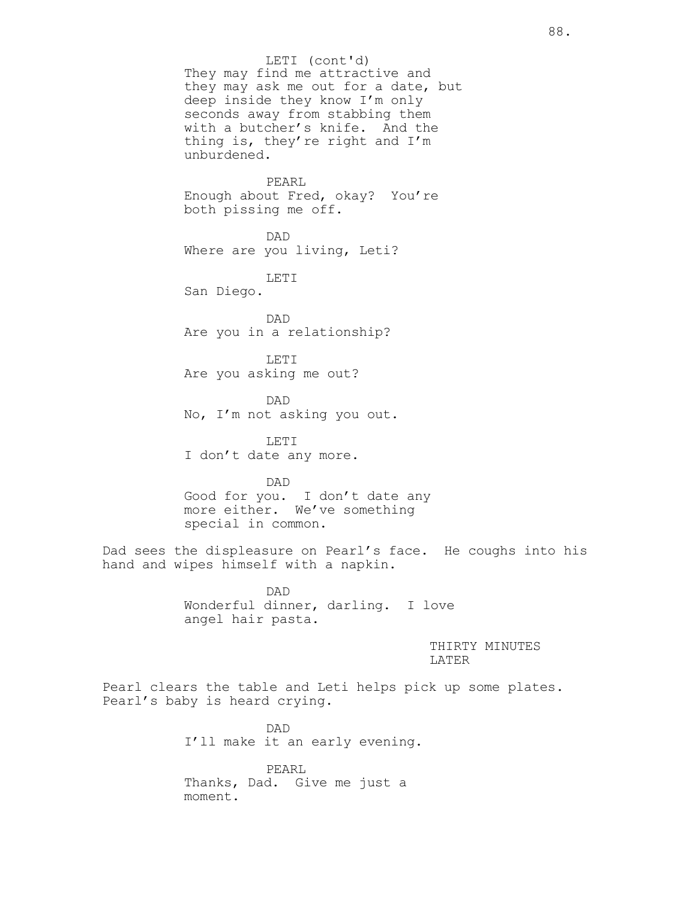They may find me attractive and they may ask me out for a date, but deep inside they know I'm only seconds away from stabbing them with a butcher's knife. And the thing is, they're right and I'm unburdened. PEARL LETI (cont'd)

Enough about Fred, okay? You're both pissing me off.

DAD Where are you living, Leti?

LETI San Diego.

DAD Are you in a relationship?

LETI Are you asking me out?

DAD No, I'm not asking you out.

LETI I don't date any more.

DAD Good for you. I don't date any more either. We've something special in common.

Dad sees the displeasure on Pearl's face. He coughs into his hand and wipes himself with a napkin.

> DAD Wonderful dinner, darling. I love angel hair pasta.

> > THIRTY MINUTES LATER

Pearl clears the table and Leti helps pick up some plates. Pearl's baby is heard crying.

> DAD I'll make it an early evening.

PEARL Thanks, Dad. Give me just a moment.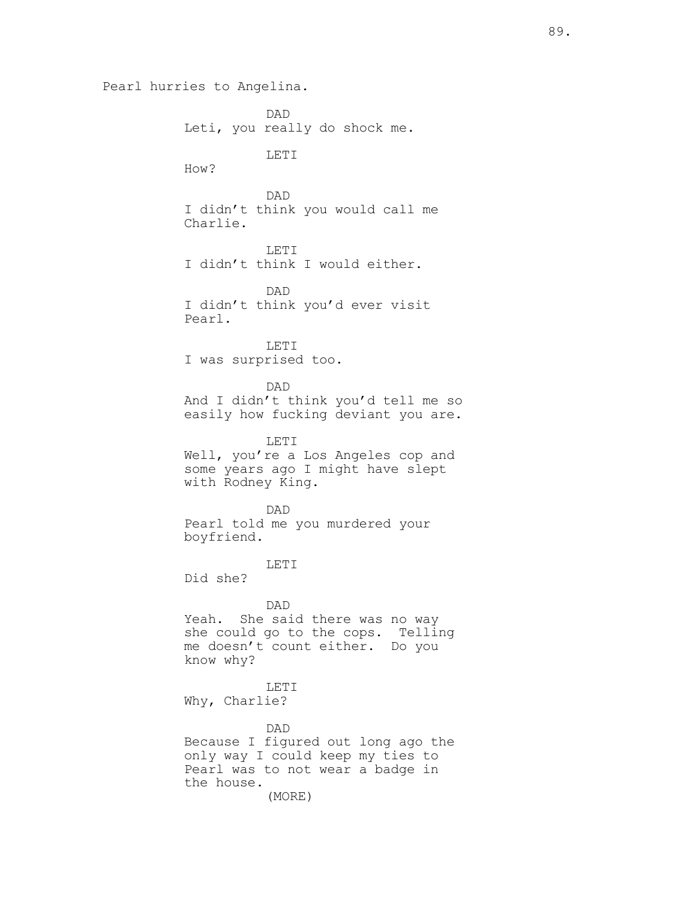```
Pearl hurries to Angelina.
           DAD
Leti, you really do shock me.
           LETI
How?
           DAD
I didn't think you would call me 
Charlie.
           LETI
I didn't think I would either.
           DAD
I didn't think you'd ever visit 
Pearl.
           LETI
I was surprised too.
           DAD
And I didn't think you'd tell me so 
easily how fucking deviant you are.
           LETI
Well, you're a Los Angeles cop and 
some years ago I might have slept 
with Rodney King.
           DAD
Pearl told me you murdered your 
boyfriend. 
           LETI
Did she?
           DAD
Yeah. She said there was no way 
she could go to the cops. Telling 
me doesn't count either. Do you 
know why?
           LETI
Why, Charlie?
           DAD
Because I figured out long ago the 
only way I could keep my ties to 
Pearl was to not wear a badge in 
the house. 
           (MORE)
```
89.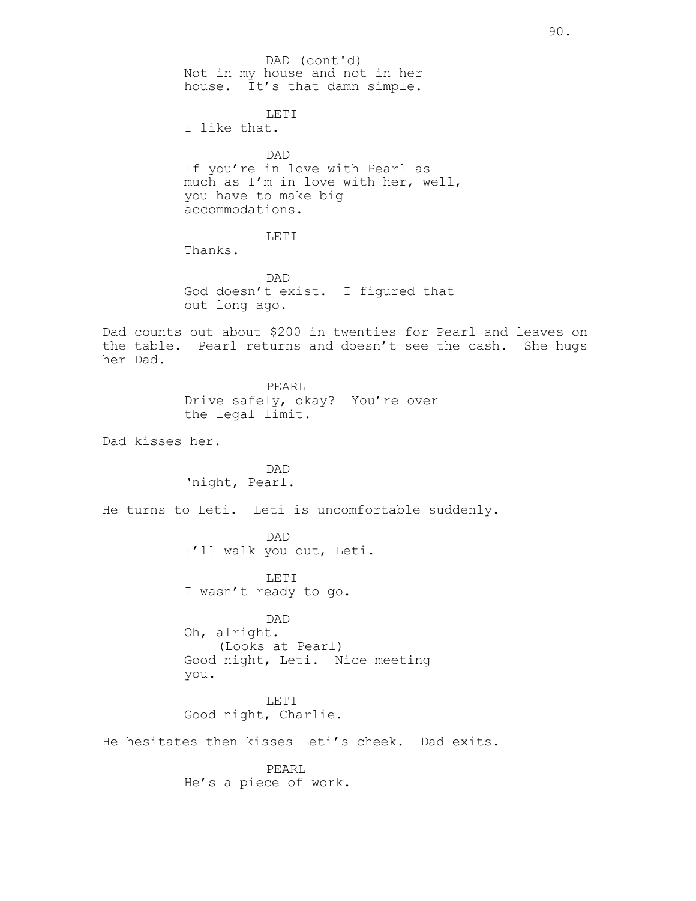Not in my house and not in her house. It's that damn simple. LETI I like that. DAD If you're in love with Pearl as much as I'm in love with her, well, you have to make big accommodations. LETI Thanks. DAD God doesn't exist. I figured that out long ago. Dad counts out about \$200 in twenties for Pearl and leaves on the table. Pearl returns and doesn't see the cash. She hugs her Dad. PEARL Drive safely, okay? You're over the legal limit. Dad kisses her. DAD 'night, Pearl. He turns to Leti. Leti is uncomfortable suddenly. DAD I'll walk you out, Leti. LETI I wasn't ready to go. DAD Oh, alright. (Looks at Pearl) Good night, Leti. Nice meeting you. LETI Good night, Charlie. He hesitates then kisses Leti's cheek. Dad exits. PEARL He's a piece of work. DAD (cont'd)

90.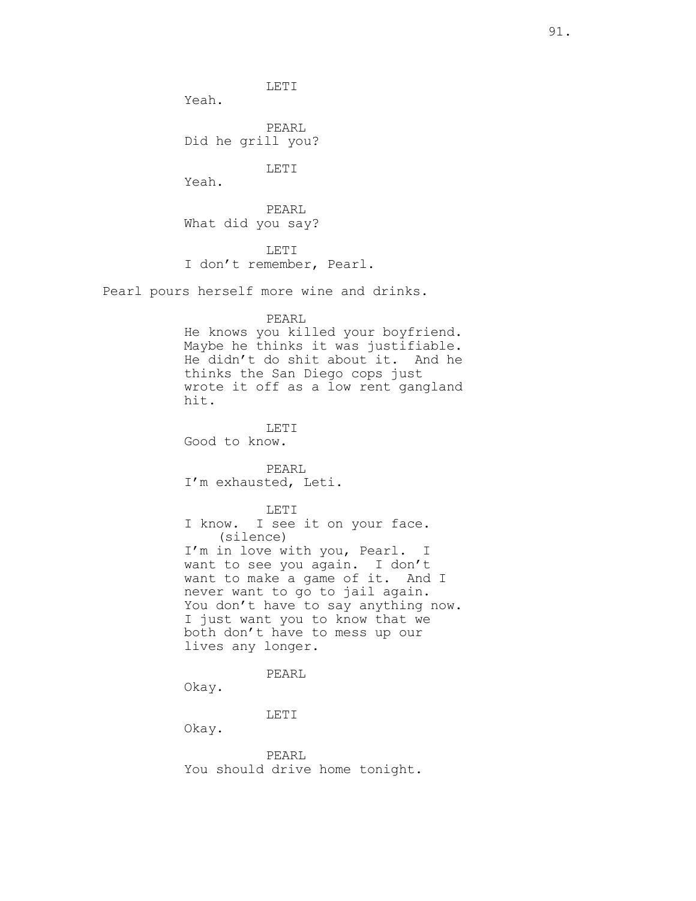LETI

Yeah.

PEARL Did he grill you?

LETI

Yeah.

PEARL What did you say?

LETI I don't remember, Pearl.

Pearl pours herself more wine and drinks.

## PEARL

He knows you killed your boyfriend. Maybe he thinks it was justifiable. He didn't do shit about it. And he thinks the San Diego cops just wrote it off as a low rent gangland hit.

LETT. Good to know.

PEARL I'm exhausted, Leti.

LETI I know. I see it on your face. (silence) I'm in love with you, Pearl. I want to see you again. I don't want to make a game of it. And I never want to go to jail again. You don't have to say anything now. I just want you to know that we both don't have to mess up our lives any longer.

PEARL

Okay.

LETI

Okay.

PEARL You should drive home tonight.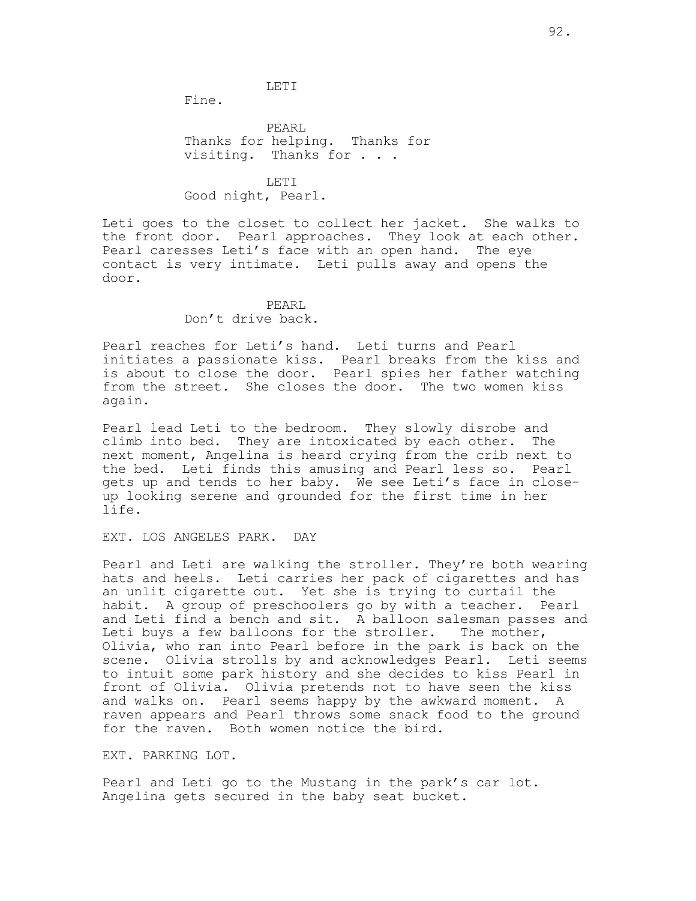#### LETI

Fine.

PEARL Thanks for helping. Thanks for visiting. Thanks for . . .

LETI Good night, Pearl.

Leti goes to the closet to collect her jacket. She walks to the front door. Pearl approaches. They look at each other. Pearl caresses Leti's face with an open hand. The eye contact is very intimate. Leti pulls away and opens the door.

#### PEARL Don't drive back.

Pearl reaches for Leti's hand. Leti turns and Pearl initiates a passionate kiss. Pearl breaks from the kiss and is about to close the door. Pearl spies her father watching from the street. She closes the door. The two women kiss again.

Pearl lead Leti to the bedroom. They slowly disrobe and climb into bed. They are intoxicated by each other. The next moment, Angelina is heard crying from the crib next to the bed. Leti finds this amusing and Pearl less so. Pearl gets up and tends to her baby. We see Leti's face in closeup looking serene and grounded for the first time in her life.

EXT. LOS ANGELES PARK. DAY

Pearl and Leti are walking the stroller. They're both wearing hats and heels. Leti carries her pack of cigarettes and has an unlit cigarette out. Yet she is trying to curtail the habit. A group of preschoolers go by with a teacher. Pearl and Leti find a bench and sit. A balloon salesman passes and Leti buys a few balloons for the stroller. The mother, Olivia, who ran into Pearl before in the park is back on the scene. Olivia strolls by and acknowledges Pearl. Leti seems to intuit some park history and she decides to kiss Pearl in front of Olivia. Olivia pretends not to have seen the kiss and walks on. Pearl seems happy by the awkward moment. A raven appears and Pearl throws some snack food to the ground for the raven. Both women notice the bird.

EXT. PARKING LOT.

Pearl and Leti go to the Mustang in the park's car lot. Angelina gets secured in the baby seat bucket.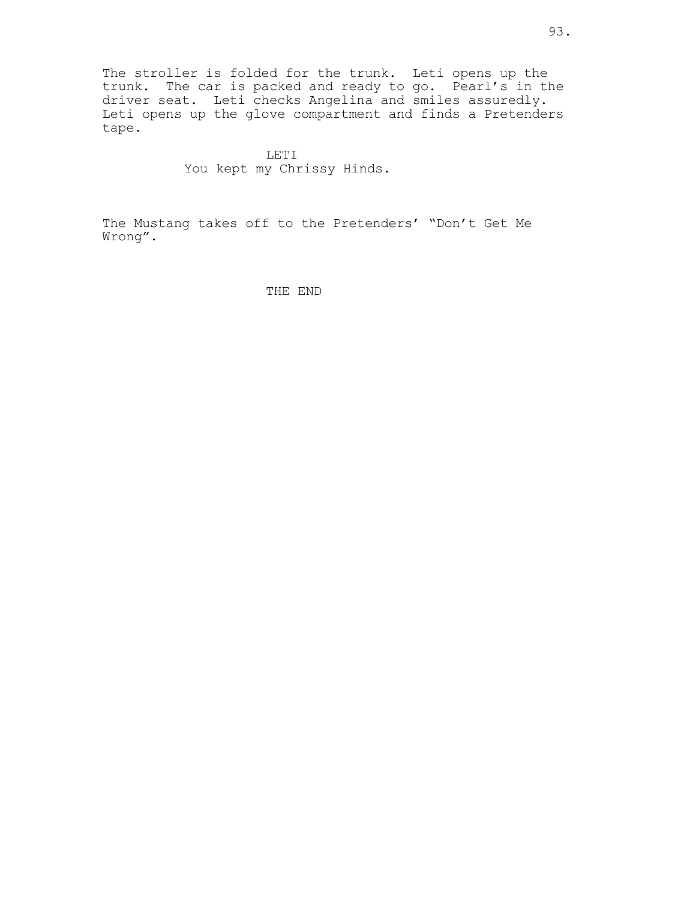The stroller is folded for the trunk. Leti opens up the trunk. The car is packed and ready to go. Pearl's in the driver seat. Leti checks Angelina and smiles assuredly. Leti opens up the glove compartment and finds a Pretenders tape.

> LETI You kept my Chrissy Hinds.

The Mustang takes off to the Pretenders' "Don't Get Me Wrong".

THE END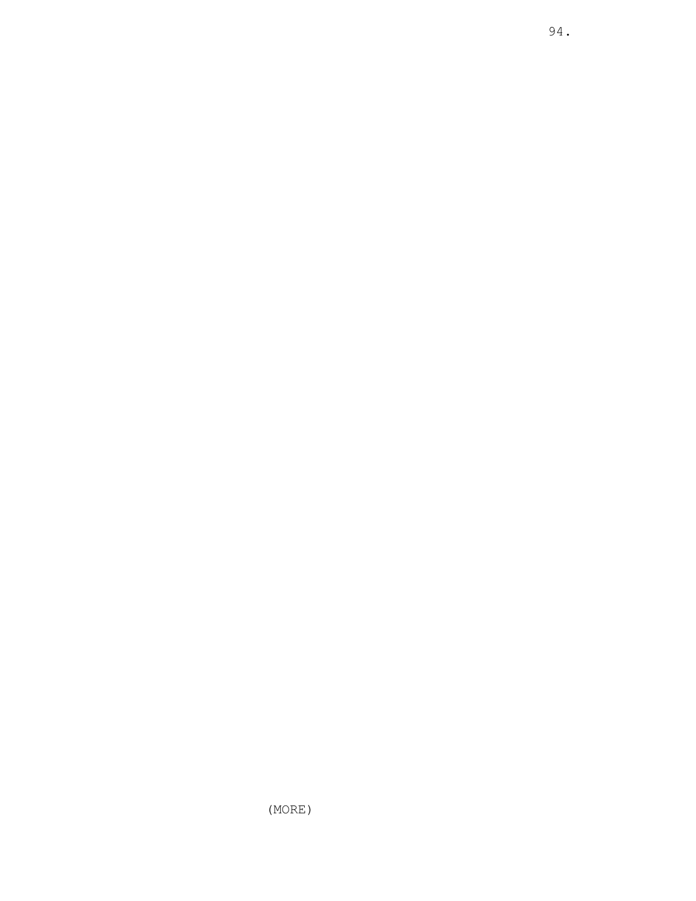(MORE)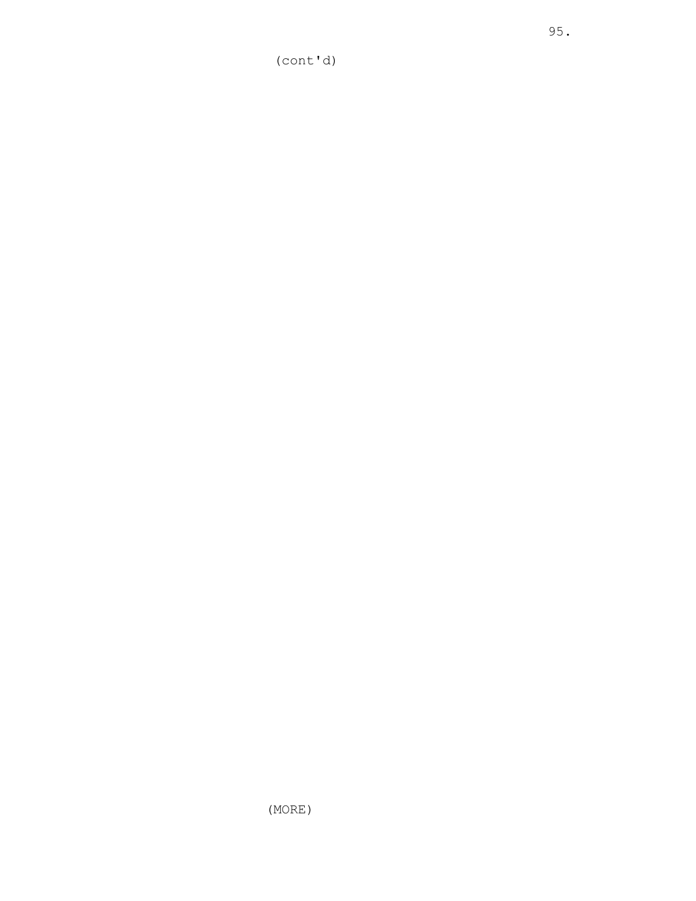(MORE)